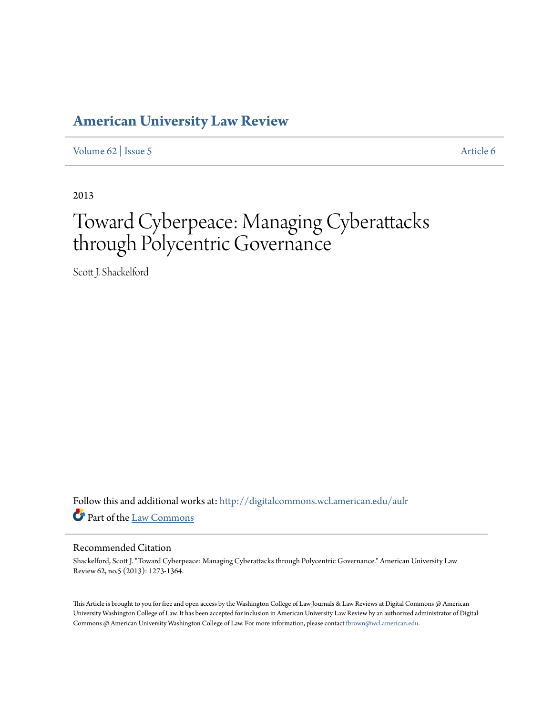## **[American University Law Review](http://digitalcommons.wcl.american.edu/aulr?utm_source=digitalcommons.wcl.american.edu%2Faulr%2Fvol62%2Fiss5%2F6&utm_medium=PDF&utm_campaign=PDFCoverPages)**

[Volume 62](http://digitalcommons.wcl.american.edu/aulr/vol62?utm_source=digitalcommons.wcl.american.edu%2Faulr%2Fvol62%2Fiss5%2F6&utm_medium=PDF&utm_campaign=PDFCoverPages) | [Issue 5](http://digitalcommons.wcl.american.edu/aulr/vol62/iss5?utm_source=digitalcommons.wcl.american.edu%2Faulr%2Fvol62%2Fiss5%2F6&utm_medium=PDF&utm_campaign=PDFCoverPages) [Article 6](http://digitalcommons.wcl.american.edu/aulr/vol62/iss5/6?utm_source=digitalcommons.wcl.american.edu%2Faulr%2Fvol62%2Fiss5%2F6&utm_medium=PDF&utm_campaign=PDFCoverPages)

2013

# Toward Cyberpeace: Managing Cyberattacks through Polycentric Governance

Scott J. Shackelford

Follow this and additional works at: [http://digitalcommons.wcl.american.edu/aulr](http://digitalcommons.wcl.american.edu/aulr?utm_source=digitalcommons.wcl.american.edu%2Faulr%2Fvol62%2Fiss5%2F6&utm_medium=PDF&utm_campaign=PDFCoverPages) Part of the [Law Commons](http://network.bepress.com/hgg/discipline/578?utm_source=digitalcommons.wcl.american.edu%2Faulr%2Fvol62%2Fiss5%2F6&utm_medium=PDF&utm_campaign=PDFCoverPages)

#### Recommended Citation

Shackelford, Scott J. "Toward Cyberpeace: Managing Cyberattacks through Polycentric Governance." American University Law Review 62, no.5 (2013): 1273-1364.

This Article is brought to you for free and open access by the Washington College of Law Journals & Law Reviews at Digital Commons @ American University Washington College of Law. It has been accepted for inclusion in American University Law Review by an authorized administrator of Digital Commons @ American University Washington College of Law. For more information, please contact [fbrown@wcl.american.edu](mailto:fbrown@wcl.american.edu).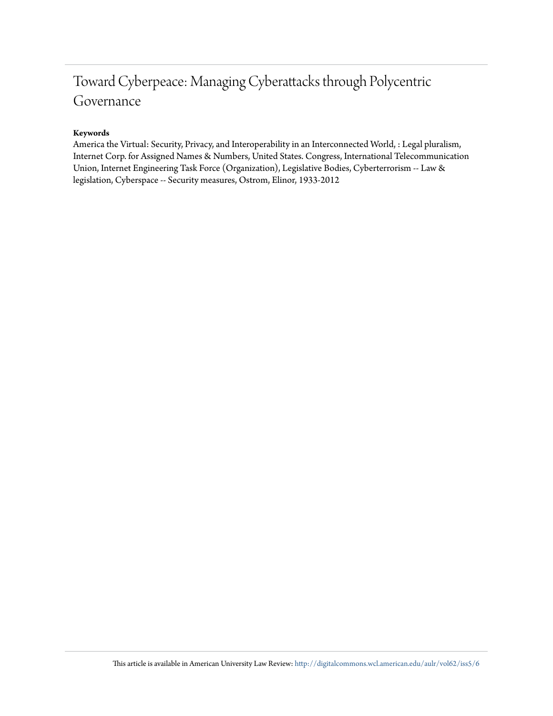# Toward Cyberpeace: Managing Cyberattacks through Polycentric Governance

#### **Keywords**

America the Virtual: Security, Privacy, and Interoperability in an Interconnected World, : Legal pluralism, Internet Corp. for Assigned Names & Numbers, United States. Congress, International Telecommunication Union, Internet Engineering Task Force (Organization), Legislative Bodies, Cyberterrorism -- Law & legislation, Cyberspace -- Security measures, Ostrom, Elinor, 1933-2012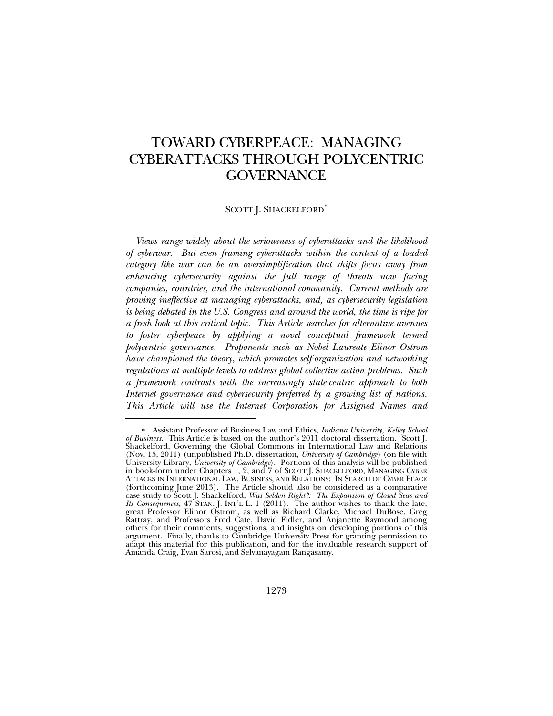### TOWARD CYBERPEACE: MANAGING CYBERATTACKS THROUGH POLYCENTRIC GOVERNANCE

#### SCOTT J. SHACKELFORD<sup>\*</sup>

*Views range widely about the seriousness of cyberattacks and the likelihood of cyberwar. But even framing cyberattacks within the context of a loaded category like war can be an oversimplification that shifts focus away from enhancing cybersecurity against the full range of threats now facing companies, countries, and the international community. Current methods are proving ineffective at managing cyberattacks, and, as cybersecurity legislation is being debated in the U.S. Congress and around the world, the time is ripe for a fresh look at this critical topic. This Article searches for alternative avenues to foster cyberpeace by applying a novel conceptual framework termed polycentric governance. Proponents such as Nobel Laureate Elinor Ostrom have championed the theory, which promotes self-organization and networking regulations at multiple levels to address global collective action problems. Such a framework contrasts with the increasingly state-centric approach to both Internet governance and cybersecurity preferred by a growing list of nations. This Article will use the Internet Corporation for Assigned Names and* 

<sup>∗</sup> Assistant Professor of Business Law and Ethics, *Indiana University, Kelley School of Business*. This Article is based on the author's 2011 doctoral dissertation. Scott J. Shackelford, Governing the Global Commons in International Law and Relations (Nov. 15, 2011) (unpublished Ph.D. dissertation, *University of Cambridge*) (on file with University Library, *University of Cambridge*). Portions of this analysis will be published in book-form under Chapters 1, 2, and 7 of SCOTT J. SHACKELFORD, MANAGING CYBER ATTACKS IN INTERNATIONAL LAW, BUSINESS, AND RELATIONS: IN SEARCH OF CYBER PEACE (forthcoming June 2013). The Article should also be considered as a comparative case study to Scott J. Shackelford, *Was Selden Right?: The Expansion of Closed Seas and Its Consequences*, 47 STAN. J. INT'L L. 1 (2011). The author wishes to thank the late, great Professor Elinor Ostrom, as well as Richard Clarke, Michael DuBose, Greg Rattray, and Professors Fred Cate, David Fidler, and Anjanette Raymond among others for their comments, suggestions, and insights on developing portions of this argument. Finally, thanks to Cambridge University Press for granting permission to adapt this material for this publication, and for the invaluable research support of Amanda Craig, Evan Sarosi, and Selvanayagam Rangasamy.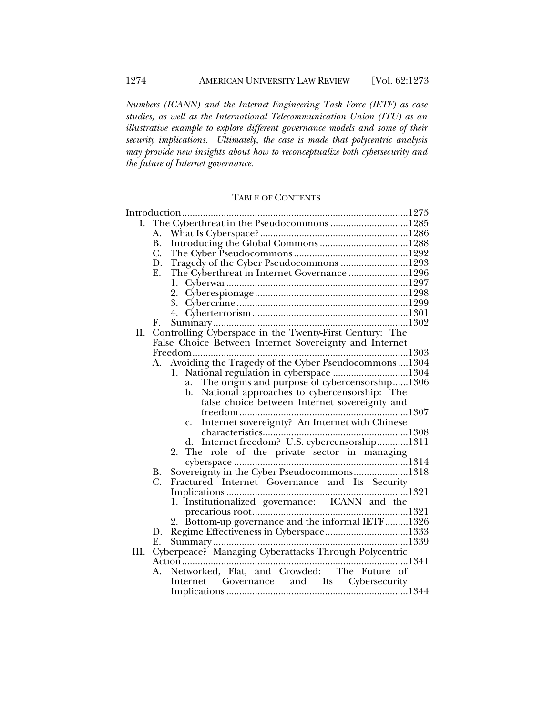*Numbers (ICANN) and the Internet Engineering Task Force (IETF) as case studies, as well as the International Telecommunication Union (ITU) as an illustrative example to explore different governance models and some of their security implications. Ultimately, the case is made that polycentric analysis may provide new insights about how to reconceptualize both cybersecurity and the future of Internet governance.* 

#### TABLE OF CONTENTS

|      | I. The Cyberthreat in the Pseudocommons 1285                     |  |
|------|------------------------------------------------------------------|--|
|      | А.                                                               |  |
|      | <b>B.</b>                                                        |  |
|      | $C$ .                                                            |  |
|      | Tragedy of the Cyber Pseudocommons 1293<br>D.                    |  |
|      | The Cyberthreat in Internet Governance 1296<br>Ε.                |  |
|      | 1.                                                               |  |
|      |                                                                  |  |
|      |                                                                  |  |
|      |                                                                  |  |
|      | F.                                                               |  |
| П.   | Controlling Cyberspace in the Twenty-First Century: The          |  |
|      | False Choice Between Internet Sovereignty and Internet           |  |
|      |                                                                  |  |
|      | Avoiding the Tragedy of the Cyber Pseudocommons1304<br>А.        |  |
|      | National regulation in cyberspace 1304<br>1.                     |  |
|      | The origins and purpose of cybercensorship1306<br>a.             |  |
|      | National approaches to cybercensorship: The<br>b.                |  |
|      | false choice between Internet sovereignty and                    |  |
|      | freedom                                                          |  |
|      | Internet sovereignty? An Internet with Chinese<br>$\mathbf{C}$ . |  |
|      | characteristics                                                  |  |
|      | d. Internet freedom? U.S. cybercensorship1311                    |  |
|      |                                                                  |  |
|      |                                                                  |  |
|      | Sovereignty in the Cyber Pseudocommons1318<br>B.                 |  |
|      | Fractured Internet Governance and Its Security<br>C.             |  |
|      |                                                                  |  |
|      | 1. Institutionalized governance: ICANN and the                   |  |
|      |                                                                  |  |
|      | 2. Bottom-up governance and the informal IETF1326                |  |
|      | D.                                                               |  |
| III. |                                                                  |  |
|      | Action                                                           |  |
|      | Networked, Flat, and Crowded: The Future of<br>А.                |  |
|      | Internet Governance and Its Cybersecurity                        |  |
|      |                                                                  |  |
|      |                                                                  |  |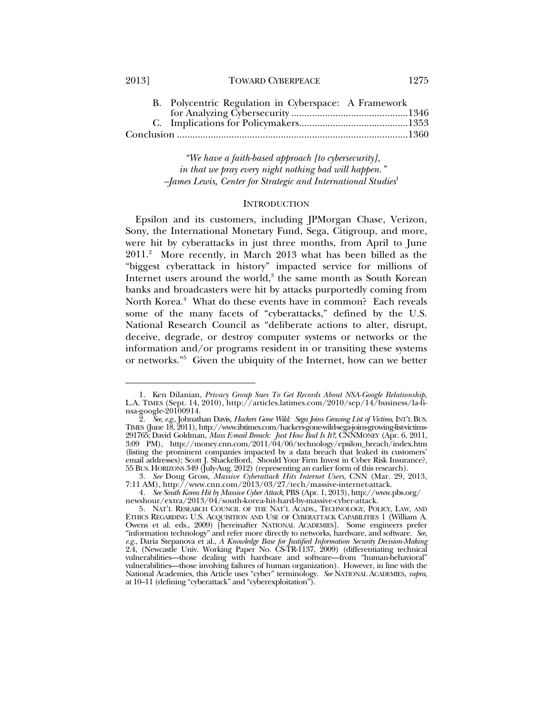2013] TOWARD CYBERPEACE 1275

 *"We have a faith-based approach [to cybersecurity], in that we pray every night nothing bad will happen." –James Lewis, Center for Strategic and International Studies*<sup>1</sup>

#### **INTRODUCTION**

Epsilon and its customers, including JPMorgan Chase, Verizon, Sony, the International Monetary Fund, Sega, Citigroup, and more, were hit by cyberattacks in just three months, from April to June 2011.2 More recently, in March 2013 what has been billed as the "biggest cyberattack in history" impacted service for millions of Internet users around the world,<sup>3</sup> the same month as South Korean banks and broadcasters were hit by attacks purportedly coming from North Korea.<sup>4</sup> What do these events have in common? Each reveals some of the many facets of "cyberattacks," defined by the U.S. National Research Council as "deliberate actions to alter, disrupt, deceive, degrade, or destroy computer systems or networks or the information and/or programs resident in or transiting these systems or networks."5 Given the ubiquity of the Internet, how can we better

<sup>1.</sup> Ken Dilanian, *Privacy Group Sues To Get Records About NSA-Google Relationship*, L.A. TIMES (Sept. 14, 2010), http://articles.latimes.com/2010/sep/14/business/la-finsa-google-20100914.

 <sup>2.</sup> *See, e.g.*, Johnathan Davis, *Hackers Gone Wild: Sega Joins Growing List of Victims*, INT'L BUS. TIMES (June 18, 2011), http://www.ibtimes.com/hackers-gone-wild-sega-joins-growing-list-victims-291765; David Goldman, *Mass E-mail Breach: Just How Bad Is It?*, CNNMONEY (Apr. 6, 2011, 3:09 PM), http://money.cnn.com/2011/04/06/technology/epsilon\_breach/index.htm (listing the prominent companies impacted by a data breach that leaked its customers' email addresses); Scott J. Shackelford, Should Your Firm Invest in Cyber Risk Insurance?, 55 BUS.HORIZONS 349 (July-Aug. 2012) (representing an earlier form of this research).

 <sup>3.</sup> *See* Doug Gross, *Massive Cyberattack Hits Internet Users*, CNN (Mar. 29, 2013, 7:11 AM), http://www.cnn.com/2013/03/27/tech/massive-internet-attack.

 <sup>4.</sup> *See South Korea Hit by Massive Cyber Attack*, PBS (Apr. 1, 2013), http://www.pbs.org/ newshour/extra/2013/04/south-korea-hit-hard-by-massive-cyber-attack.

 <sup>5.</sup> NAT'L RESEARCH COUNCIL OF THE NAT'L ACADS., TECHNOLOGY, POLICY, LAW, AND ETHICS REGARDING U.S. ACQUISITION AND USE OF CYBERATTACK CAPABILITIES 1 (William A. Owens et al. eds., 2009) [hereinafter NATIONAL ACADEMIES]. Some engineers prefer "information technology" and refer more directly to networks, hardware, and software. *See, e.g.*, Daria Stepanova et al., *A Knowledge Base for Justified Information Security Decision-Making* 2.4, (Newcastle Univ. Working Paper No. CS-TR-1137, 2009) (differentiating technical vulnerabilities—those dealing with hardware and software—from "human-behavioral" vulnerabilities—those involving failures of human organization). However, in line with the National Academies, this Article uses "cyber" terminology. *See* NATIONAL ACADEMIES, *supra*, at 10–11 (defining "cyberattack" and "cyberexploitation").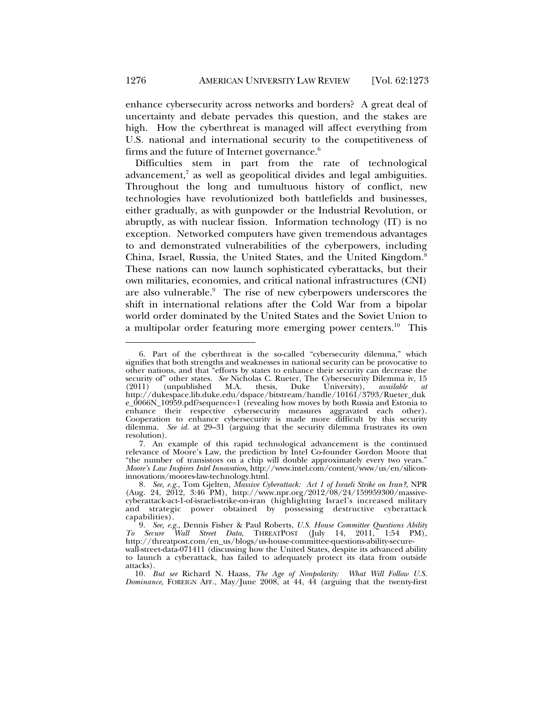enhance cybersecurity across networks and borders? A great deal of uncertainty and debate pervades this question, and the stakes are high. How the cyberthreat is managed will affect everything from U.S. national and international security to the competitiveness of firms and the future of Internet governance.<sup>6</sup>

Difficulties stem in part from the rate of technological advancement,<sup>7</sup> as well as geopolitical divides and legal ambiguities. Throughout the long and tumultuous history of conflict, new technologies have revolutionized both battlefields and businesses, either gradually, as with gunpowder or the Industrial Revolution, or abruptly, as with nuclear fission. Information technology (IT) is no exception. Networked computers have given tremendous advantages to and demonstrated vulnerabilities of the cyberpowers, including China, Israel, Russia, the United States, and the United Kingdom.8 These nations can now launch sophisticated cyberattacks, but their own militaries, economies, and critical national infrastructures (CNI) are also vulnerable.<sup>9</sup> The rise of new cyberpowers underscores the shift in international relations after the Cold War from a bipolar world order dominated by the United States and the Soviet Union to a multipolar order featuring more emerging power centers.<sup>10</sup> This

 <sup>6.</sup> Part of the cyberthreat is the so-called "cybersecurity dilemma," which signifies that both strengths and weaknesses in national security can be provocative to other nations, and that "efforts by states to enhance their security can decrease the security of other states. *See* Nicholas C. Rueter, The Cybersecurity Dilemma iv, 15 (2011) (unpublished M.A. thesis, Duke University), *available at* (2011) (unpublished M.A. thesis, Duke University), *available at* http://dukespace.lib.duke.edu/dspace/bitstream/handle/10161/3793/Rueter\_duk e\_0066N\_10959.pdf?sequence=1 (revealing how moves by both Russia and Estonia to enhance their respective cybersecurity measures aggravated each other). Cooperation to enhance cybersecurity is made more difficult by this security dilemma. *See id.* at 29–31 (arguing that the security dilemma frustrates its own resolution).

 <sup>7.</sup> An example of this rapid technological advancement is the continued relevance of Moore's Law, the prediction by Intel Co-founder Gordon Moore that "the number of transistors on a chip will double approximately every two years." *Moore's Law Inspires Intel Innovation*, http://www.intel.com/content/www/us/en/siliconinnovations/moores-law-technology.html.

 <sup>8.</sup> *See, e.g.*, Tom Gjelten, *Massive Cyberattack: Act 1 of Israeli Strike on Iran?*, NPR (Aug. 24, 2012, 3:46 PM), http://www.npr.org/2012/08/24/159959300/massivecyberattack-act-1-of-israeli-strike-on-iran (highlighting Israel's increased military and strategic power obtained by possessing destructive cyberattack capabilities).

 <sup>9.</sup> *See, e.g.*, Dennis Fisher & Paul Roberts, *U.S. House Committee Questions Ability To Secure Wall Street Data*, THREATPOST (July 14, 2011, 1:54 PM), http://threatpost.com/en\_us/blogs/us-house-committee-questions-ability-securewall-street-data-071411 (discussing how the United States, despite its advanced ability to launch a cyberattack, has failed to adequately protect its data from outside attacks).

 <sup>10.</sup> *But see* Richard N. Haass, *The Age of Nonpolarity: What Will Follow U.S. Dominance*, FOREIGN AFF., May/June 2008, at 44, 44 (arguing that the twenty-first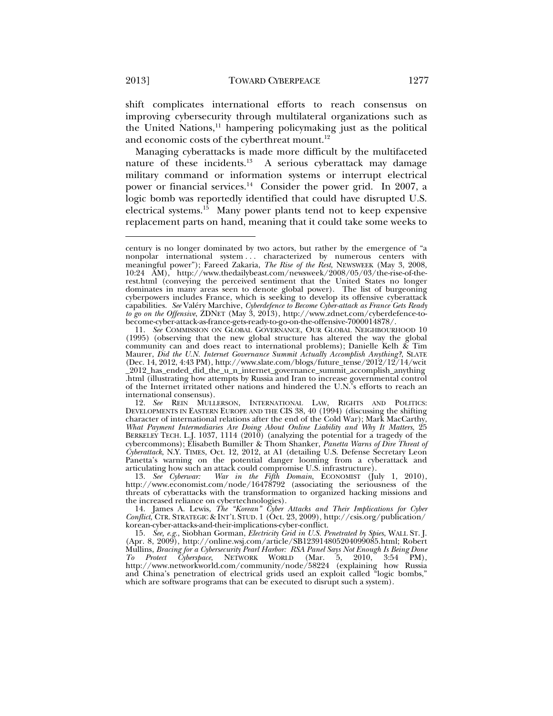shift complicates international efforts to reach consensus on improving cybersecurity through multilateral organizations such as the United Nations,<sup>11</sup> hampering policymaking just as the political and economic costs of the cyberthreat mount.<sup>12</sup>

Managing cyberattacks is made more difficult by the multifaceted nature of these incidents.<sup>13</sup> A serious cyberattack may damage military command or information systems or interrupt electrical power or financial services.<sup>14</sup> Consider the power grid. In 2007, a logic bomb was reportedly identified that could have disrupted U.S. electrical systems.<sup>15</sup> Many power plants tend not to keep expensive replacement parts on hand, meaning that it could take some weeks to

century is no longer dominated by two actors, but rather by the emergence of "a nonpolar international system . . . characterized by numerous centers with meaningful power"); Fareed Zakaria, *The Rise of the Rest*, NEWSWEEK (May 3, 2008, 10:24 AM), http://www.thedailybeast.com/newsweek/2008/05/03/the-rise-of-therest.html (conveying the perceived sentiment that the United States no longer dominates in many areas seen to denote global power). The list of burgeoning cyberpowers includes France, which is seeking to develop its offensive cyberattack capabilities. *See* Valéry Marchive, *Cyberdefence to Become Cyber-attack as France Gets Ready to go on the Offensive*, ZDNET (May 3, 2013), http://www.zdnet.com/cyberdefence-tobecome-cyber-attack-as-france-gets-ready-to-go-on-the-offensive-7000014878/.

 <sup>11.</sup> *See* COMMISSION ON GLOBAL GOVERNANCE, OUR GLOBAL NEIGHBOURHOOD 10 (1995) (observing that the new global structure has altered the way the global community can and does react to international problems); Danielle Kelh & Tim Maurer, *Did the U.N. Internet Governance Summit Actually Accomplish Anything?*, SLATE (Dec. 14, 2012, 4:43 PM), http://www.slate.com/blogs/future\_tense/2012/12/14/wcit \_2012\_has\_ended\_did\_the\_u\_n\_internet\_governance\_summit\_accomplish\_anything .html (illustrating how attempts by Russia and Iran to increase governmental control of the Internet irritated other nations and hindered the U.N.'s efforts to reach an international consensus).

 <sup>12.</sup> *See* REIN MULLERSON, INTERNATIONAL LAW, RIGHTS AND POLITICS: DEVELOPMENTS IN EASTERN EUROPE AND THE CIS 38, 40 (1994) (discussing the shifting character of international relations after the end of the Cold War); Mark MacCarthy, *What Payment Intermediaries Are Doing About Online Liability and Why It Matters*, 25 BERKELEY TECH. L.J. 1037, 1114 (2010) (analyzing the potential for a tragedy of the cybercommons); Elisabeth Bumiller & Thom Shanker, *Panetta Warns of Dire Threat of Cyberattack*, N.Y. TIMES, Oct. 12, 2012, at A1 (detailing U.S. Defense Secretary Leon Panetta's warning on the potential danger looming from a cyberattack and articulating how such an attack could compromise U.S. infrastructure).

 <sup>13.</sup> *See Cyberwar: War in the Fifth Domain*, ECONOMIST (July 1, 2010), http://www.economist.com/node/16478792 (associating the seriousness of the threats of cyberattacks with the transformation to organized hacking missions and the increased reliance on cybertechnologies).

 <sup>14.</sup> James A. Lewis, *The "Korean" Cyber Attacks and Their Implications for Cyber Conflict*, CTR. STRATEGIC & INT'L STUD. 1 (Oct. 23, 2009), http://csis.org/publication/ korean-cyber-attacks-and-their-implications-cyber-conflict.

 <sup>15.</sup> *See, e.g.*, Siobhan Gorman, *Electricity Grid in U.S. Penetrated by Spies*, WALL ST. J. (Apr. 8, 2009), http://online.wsj.com/article/SB123914805204099085.html; Robert Mullins, *Bracing for a Cybersecurity Pearl Harbor: RSA Panel Says Not Enough Is Being Done To Protect Cyberspace*, NETWORK WORLD (Mar. 5, 2010, 3:54 PM), http://www.networkworld.com/community/node/58224 (explaining how Russia and China's penetration of electrical grids used an exploit called "logic bombs," which are software programs that can be executed to disrupt such a system).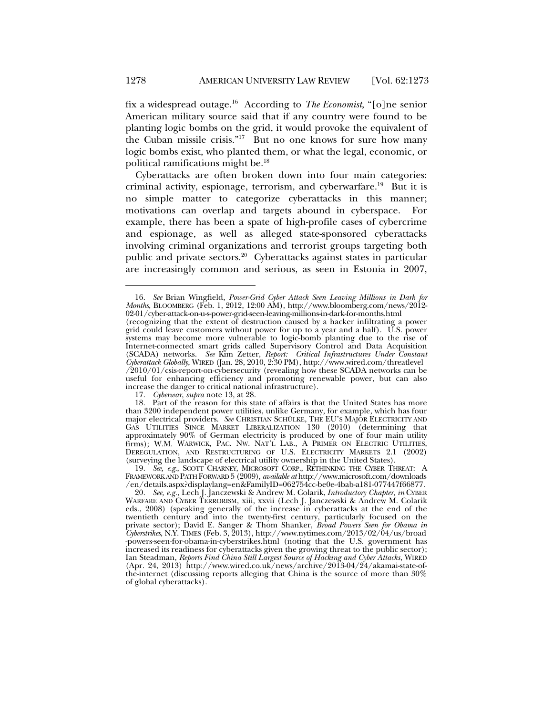fix a widespread outage.16 According to *The Economist*, "[o]ne senior American military source said that if any country were found to be planting logic bombs on the grid, it would provoke the equivalent of the Cuban missile crisis."<sup>17</sup> But no one knows for sure how many logic bombs exist, who planted them, or what the legal, economic, or political ramifications might be.18

Cyberattacks are often broken down into four main categories: criminal activity, espionage, terrorism, and cyberwarfare.<sup>19</sup> But it is no simple matter to categorize cyberattacks in this manner; motivations can overlap and targets abound in cyberspace. For example, there has been a spate of high-profile cases of cybercrime and espionage, as well as alleged state-sponsored cyberattacks involving criminal organizations and terrorist groups targeting both public and private sectors.<sup>20</sup> Cyberattacks against states in particular are increasingly common and serious, as seen in Estonia in 2007,

17. *Cyberwar*, *supra* note 13, at 28.

 <sup>16.</sup> *See* Brian Wingfield, *Power-Grid Cyber Attack Seen Leaving Millions in Dark for Months*, BLOOMBERG (Feb. 1, 2012, 12:00 AM), http://www.bloomberg.com/news/2012- 02-01/cyber-attack-on-u-s-power-grid-seen-leaving-millions-in-dark-for-months.html

<sup>(</sup>recognizing that the extent of destruction caused by a hacker infiltrating a power grid could leave customers without power for up to a year and a half). U.S. power systems may become more vulnerable to logic-bomb planting due to the rise of Internet-connected smart grids called Supervisory Control and Data Acquisition (SCADA) networks. *See* Kim Zetter, *Report: Critical Infrastructures Under Constant Cyberattack Globally*, WIRED (Jan. 28, 2010, 2:30 PM), http://www.wired.com/threatlevel /2010/01/csis-report-on-cybersecurity (revealing how these SCADA networks can be useful for enhancing efficiency and promoting renewable power, but can also increase the danger to critical national infrastructure).

 <sup>18.</sup> Part of the reason for this state of affairs is that the United States has more than 3200 independent power utilities, unlike Germany, for example, which has four major electrical providers. *See* CHRISTIAN SCHÜLKE, THE EU'S MAJOR ELECTRICITY AND GAS UTILITIES SINCE MARKET LIBERALIZATION 130 (2010) (determining that approximately 90% of German electricity is produced by one of four main utility firms); W.M. WARWICK, PAC. NW. NAT'L LAB., A PRIMER ON ELECTRIC UTILITIES, DEREGULATION, AND RESTRUCTURING OF U.S. ELECTRICITY MARKETS 2.1 (2002) (surveying the landscape of electrical utility ownership in the United States).

 <sup>19.</sup> *See, e.g.*, SCOTT CHARNEY, MICROSOFT CORP., RETHINKING THE CYBER THREAT: A FRAMEWORK AND PATH FORWARD 5 (2009), *available at* http://www.microsoft.com/downloads /en/details.aspx?displaylang=en&FamilyID=062754cc-be0e-4bab-a181-077447f66877.

 <sup>20.</sup> *See, e.g.*, Lech J. Janczewski & Andrew M. Colarik, *Introductory Chapter*, *in* CYBER WARFARE AND CYBER TERRORISM, xiii, xxvii (Lech J. Janczewski & Andrew M. Colarik eds., 2008) (speaking generally of the increase in cyberattacks at the end of the twentieth century and into the twenty-first century, particularly focused on the private sector); David E. Sanger & Thom Shanker, *Broad Powers Seen for Obama in Cyberstrikes*, N.Y. TIMES (Feb. 3, 2013), http://www.nytimes.com/2013/02/04/us/broad -powers-seen-for-obama-in-cyberstrikes.html (noting that the U.S. government has increased its readiness for cyberattacks given the growing threat to the public sector); Ian Steadman, *Reports Find China Still Largest Source of Hacking and Cyber Attacks*, WIRED (Apr. 24, 2013) http://www.wired.co.uk/news/archive/2013-04/24/akamai-state-ofthe-internet (discussing reports alleging that China is the source of more than 30% of global cyberattacks).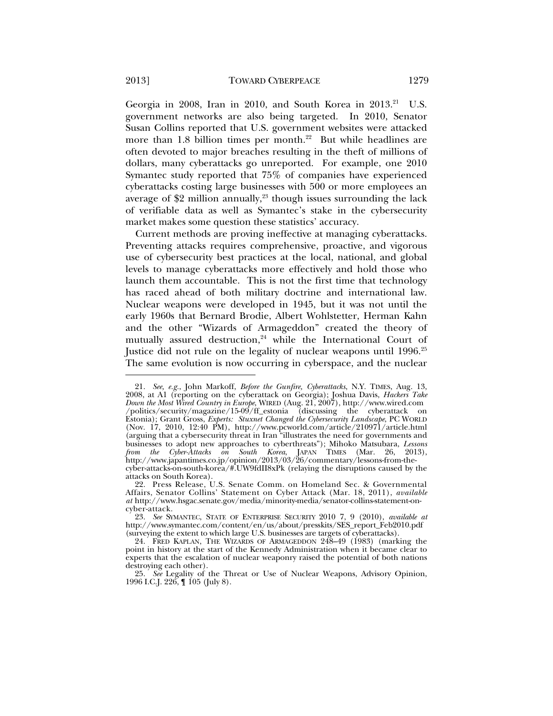Georgia in 2008, Iran in 2010, and South Korea in 2013.<sup>21</sup> U.S. government networks are also being targeted. In 2010, Senator Susan Collins reported that U.S. government websites were attacked more than 1.8 billion times per month.<sup>22</sup> But while headlines are often devoted to major breaches resulting in the theft of millions of dollars, many cyberattacks go unreported. For example, one 2010 Symantec study reported that 75% of companies have experienced cyberattacks costing large businesses with 500 or more employees an average of  $$2$  million annually,<sup>23</sup> though issues surrounding the lack of verifiable data as well as Symantec's stake in the cybersecurity market makes some question these statistics' accuracy.

Current methods are proving ineffective at managing cyberattacks. Preventing attacks requires comprehensive, proactive, and vigorous use of cybersecurity best practices at the local, national, and global levels to manage cyberattacks more effectively and hold those who launch them accountable. This is not the first time that technology has raced ahead of both military doctrine and international law. Nuclear weapons were developed in 1945, but it was not until the early 1960s that Bernard Brodie, Albert Wohlstetter, Herman Kahn and the other "Wizards of Armageddon" created the theory of mutually assured destruction, $24$  while the International Court of Justice did not rule on the legality of nuclear weapons until 1996.<sup>25</sup> The same evolution is now occurring in cyberspace, and the nuclear

 <sup>21.</sup> *See, e.g.*, John Markoff, *Before the Gunfire, Cyberattacks*, N.Y. TIMES, Aug. 13, 2008, at A1 (reporting on the cyberattack on Georgia); Joshua Davis, *Hackers Take Down the Most Wired Country in Europe*, WIRED (Aug. 21, 2007), http://www.wired.com /politics/security/magazine/15-09/ff\_estonia (discussing the cyberattack on Estonia); Grant Gross, *Experts: Stuxnet Changed the Cybersecurity Landscape*, PC WORLD (Nov. 17, 2010, 12:40 PM), http://www.pcworld.com/article/210971/article.html (arguing that a cybersecurity threat in Iran "illustrates the need for governments and businesses to adopt new approaches to cyberthreats"); Mihoko Matsubara, *Lessons from the Cyber-Attacks on South Korea*, JAPAN TIMES (Mar. 26, 2013), http://www.japantimes.co.jp/opinion/2013/03/26/commentary/lessons-from-thecyber-attacks-on-south-korea/#.UW9fdII8xPk (relaying the disruptions caused by the attacks on South Korea).

 <sup>22.</sup> Press Release, U.S. Senate Comm. on Homeland Sec. & Governmental Affairs, Senator Collins' Statement on Cyber Attack (Mar. 18, 2011), *available at* http://www.hsgac.senate.gov/media/minority-media/senator-collins-statement-oncyber-attack.

 <sup>23.</sup> *See* SYMANTEC, STATE OF ENTERPRISE SECURITY 2010 7, 9 (2010), *available at* http://www.symantec.com/content/en/us/about/presskits/SES\_report\_Feb2010.pdf (surveying the extent to which large U.S. businesses are targets of cyberattacks).

 <sup>24.</sup> FRED KAPLAN, THE WIZARDS OF ARMAGEDDON 248–49 (1983) (marking the point in history at the start of the Kennedy Administration when it became clear to experts that the escalation of nuclear weaponry raised the potential of both nations destroying each other).

 <sup>25.</sup> *See* Legality of the Threat or Use of Nuclear Weapons, Advisory Opinion, 1996 I.C.J. 226, ¶ 105 (July 8).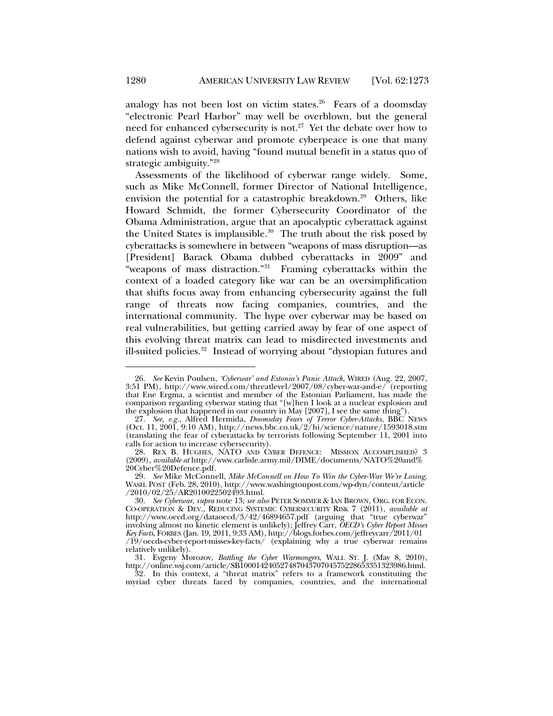analogy has not been lost on victim states. $26$  Fears of a doomsday "electronic Pearl Harbor" may well be overblown, but the general need for enhanced cybersecurity is not.<sup>27</sup> Yet the debate over how to defend against cyberwar and promote cyberpeace is one that many nations wish to avoid, having "found mutual benefit in a status quo of strategic ambiguity."28

Assessments of the likelihood of cyberwar range widely. Some, such as Mike McConnell, former Director of National Intelligence, envision the potential for a catastrophic breakdown.<sup>29</sup> Others, like Howard Schmidt, the former Cybersecurity Coordinator of the Obama Administration, argue that an apocalyptic cyberattack against the United States is implausible.<sup>30</sup> The truth about the risk posed by cyberattacks is somewhere in between "weapons of mass disruption—as [President] Barack Obama dubbed cyberattacks in 2009" and "weapons of mass distraction."<sup>31</sup> Framing cyberattacks within the context of a loaded category like war can be an oversimplification that shifts focus away from enhancing cybersecurity against the full range of threats now facing companies, countries, and the international community. The hype over cyberwar may be based on real vulnerabilities, but getting carried away by fear of one aspect of this evolving threat matrix can lead to misdirected investments and ill-suited policies.<sup>32</sup> Instead of worrying about "dystopian futures and

 32. In this context, a "threat matrix" refers to a framework constituting the myriad cyber threats faced by companies, countries, and the international

 <sup>26.</sup> *See* Kevin Poulsen, *'Cyberwar' and Estonia's Panic Attack*, WIRED (Aug. 22, 2007, 3:51 PM), http://www.wired.com/threatlevel/2007/08/cyber-war-and-e/ (reporting that Ene Ergma, a scientist and member of the Estonian Parliament, has made the comparison regarding cyberwar stating that "[w]hen I look at a nuclear explosion and the explosion that happened in our country in May [2007], I see the same thing")

 <sup>27.</sup> *See, e.g.*, Alfred Hermida, *Doomsday Fears of Terror Cyber-Attacks*, BBC NEWS (Oct. 11, 2001, 9:10 AM), http://news.bbc.co.uk/2/hi/science/nature/1593018.stm (translating the fear of cyberattacks by terrorists following September 11, 2001 into calls for action to increase cybersecurity).

<sup>28.</sup> REX B. HUGHES, NATO AND CYBER DEFENCE: MISSION ACCOMPLISHED? 3 (2009), *available at* http://www.carlisle.army.mil/DIME/documents/NATO%20and% 20Cyber%20Defence.pdf.

 <sup>29.</sup> *See* Mike McConnell, *Mike McConnell on How To Win the Cyber-War We're Losing*, WASH. POST (Feb. 28, 2010), http://www.washingtonpost.com/wp-dyn/content/article /2010/02/25/AR2010022502493.html.

 <sup>30.</sup> *See Cyberwar*, *supra* note 13; *see also* PETER SOMMER & IAN BROWN, ORG. FOR ECON. CO-OPERATION & DEV., REDUCING SYSTEMIC CYBERSECURITY RISK 7 (2011), *available at* http://www.oecd.org/dataoecd/3/42/46894657.pdf (arguing that "true cyberwar" involving almost no kinetic element is unlikely); Jeffrey Carr, *OECD's Cyber Report Misses Key Facts*, FORBES (Jan. 19, 2011, 9:33 AM), http://blogs.forbes.com/jeffreycarr/2011/01 /19/oecds-cyber-report-misses-key-facts/ (explaining why a true cyberwar remains relatively unlikely).

 <sup>31.</sup> Evgeny Morozov, *Battling the Cyber Warmongers*, WALL ST. J. (May 8, 2010), http://online.wsj.com/article/SB10001424052748704370704575228653351323986.html.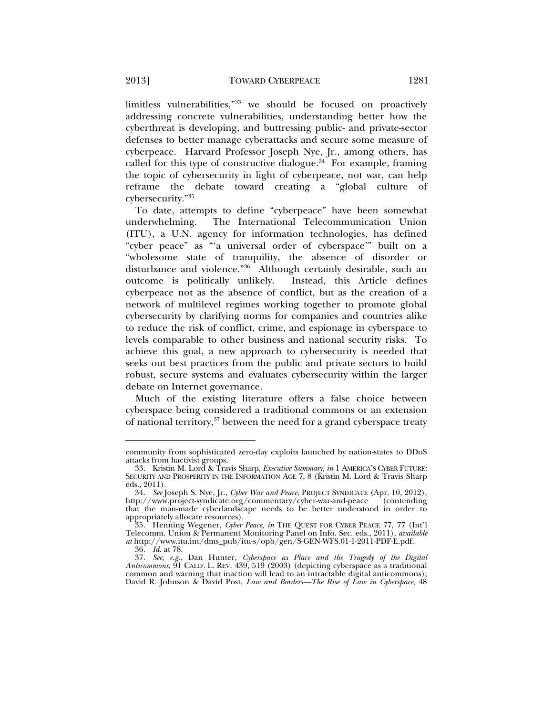limitless vulnerabilities,"33 we should be focused on proactively addressing concrete vulnerabilities, understanding better how the cyberthreat is developing, and buttressing public- and private-sector defenses to better manage cyberattacks and secure some measure of cyberpeace. Harvard Professor Joseph Nye, Jr., among others, has called for this type of constructive dialogue.<sup>34</sup> For example, framing the topic of cybersecurity in light of cyberpeace, not war, can help reframe the debate toward creating a "global culture of cybersecurity."35

To date, attempts to define "cyberpeace" have been somewhat underwhelming. The International Telecommunication Union (ITU), a U.N. agency for information technologies, has defined "cyber peace" as "'a universal order of cyberspace'" built on a "wholesome state of tranquility, the absence of disorder or disturbance and violence."36 Although certainly desirable, such an outcome is politically unlikely. Instead, this Article defines cyberpeace not as the absence of conflict, but as the creation of a network of multilevel regimes working together to promote global cybersecurity by clarifying norms for companies and countries alike to reduce the risk of conflict, crime, and espionage in cyberspace to levels comparable to other business and national security risks. To achieve this goal, a new approach to cybersecurity is needed that seeks out best practices from the public and private sectors to build robust, secure systems and evaluates cybersecurity within the larger debate on Internet governance.

Much of the existing literature offers a false choice between cyberspace being considered a traditional commons or an extension of national territory, $37$  between the need for a grand cyberspace treaty

community from sophisticated zero-day exploits launched by nation-states to DDoS attacks from hactivist groups.

 <sup>33.</sup> Kristin M. Lord & Travis Sharp, *Executive Summary*, *in* 1 AMERICA'S CYBER FUTURE: SECURITY AND PROSPERITY IN THE INFORMATION AGE 7, 8 (Kristin M. Lord & Travis Sharp eds., 2011).

 <sup>34.</sup> *See* Joseph S. Nye, Jr., *Cyber War and Peace*, PROJECT SYNDICATE (Apr. 10, 2012), http://www.project-syndicate.org/commentary/cyber-war-and-peace that the man-made cyberlandscape needs to be better understood in order to appropriately allocate resources).

 <sup>35.</sup> Henning Wegener, *Cyber Peace*, *in* THE QUEST FOR CYBER PEACE 77, 77 (Int'l Telecomm. Union & Permanent Monitoring Panel on Info. Sec. eds., 2011), *available at* http://www.itu.int/dms\_pub/itu-s/opb/gen/S-GEN-WFS.01-1-2011-PDF-E.pdf.

 <sup>36.</sup> *Id.* at 78.

 <sup>37.</sup> *See, e.g.*, Dan Hunter, *Cyberspace as Place and the Tragedy of the Digital Anticommons*, 91 CALIF. L. REV. 439, 519 (2003) (depicting cyberspace as a traditional common and warning that inaction will lead to an intractable digital anticommons); David R. Johnson & David Post, *Law and Borders—The Rise of Law in Cyberspace*, 48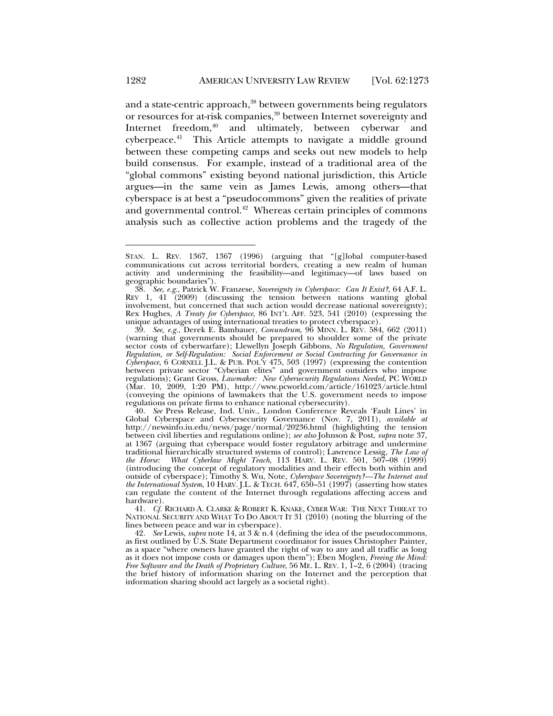and a state-centric approach,<sup>38</sup> between governments being regulators or resources for at-risk companies,<sup>39</sup> between Internet sovereignty and Internet freedom,<sup>40</sup> and ultimately, between cyberwar and cyberpeace.41 This Article attempts to navigate a middle ground between these competing camps and seeks out new models to help build consensus. For example, instead of a traditional area of the "global commons" existing beyond national jurisdiction, this Article argues—in the same vein as James Lewis, among others—that cyberspace is at best a "pseudocommons" given the realities of private and governmental control.<sup>42</sup> Whereas certain principles of commons analysis such as collective action problems and the tragedy of the

STAN. L. REV. 1367, 1367 (1996) (arguing that "[g]lobal computer-based communications cut across territorial borders, creating a new realm of human activity and undermining the feasibility—and legitimacy—of laws based on geographic boundaries").

 <sup>38.</sup> *See, e.g.*, Patrick W. Franzese, *Sovereignty in Cyberspace: Can It Exist?*, 64 A.F. L. REV 1, 41 (2009) (discussing the tension between nations wanting global involvement, but concerned that such action would decrease national sovereignty); Rex Hughes, *A Treaty for Cyberspace*, 86 INT'L AFF. 523, 541 (2010) (expressing the unique advantages of using international treaties to protect cyberspace).

 <sup>39.</sup> *See, e.g.*, Derek E. Bambauer, *Conundrum*, 96 MINN. L. REV. 584, 662 (2011) (warning that governments should be prepared to shoulder some of the private sector costs of cyberwarfare); Llewellyn Joseph Gibbons, *No Regulation, Government Regulation, or Self-Regulation: Social Enforcement or Social Contracting for Governance in Cyberspace*, 6 CORNELL J.L. & PUB. POL'Y 475, 503 (1997) (expressing the contention between private sector "Cyberian elites" and government outsiders who impose regulations); Grant Gross, *Lawmaker: New Cybersecurity Regulations Needed*, PC WORLD (Mar. 10, 2009, 1:20 PM), http://www.pcworld.com/article/161023/article.html (conveying the opinions of lawmakers that the U.S. government needs to impose regulations on private firms to enhance national cybersecurity).

 <sup>40.</sup> *See* Press Release, Ind. Univ., London Conference Reveals 'Fault Lines' in Global Cyberspace and Cybersecurity Governance (Nov. 7, 2011), *available at* http://newsinfo.iu.edu/news/page/normal/20236.html (highlighting the tension between civil liberties and regulations online); *see also* Johnson & Post, *supra* note 37, at 1367 (arguing that cyberspace would foster regulatory arbitrage and undermine traditional hierarchically structured systems of control); Lawrence Lessig, *The Law of the Horse: What Cyberlaw Might Teach*, 113 HARV. L. REV. 501, 507–08 (1999) (introducing the concept of regulatory modalities and their effects both within and outside of cyberspace); Timothy S. Wu, Note, *Cyberspace Sovereignty?—The Internet and the International System*, 10 HARV. J.L. & TECH. 647, 650–51 (1997) (asserting how states can regulate the content of the Internet through regulations affecting access and hardware).

 <sup>41.</sup> *Cf.* RICHARD A. CLARKE & ROBERT K. KNAKE, CYBER WAR: THE NEXT THREAT TO NATIONAL SECURITY AND WHAT TO DO ABOUT IT 31 (2010) (noting the blurring of the lines between peace and war in cyberspace).

 <sup>42.</sup> *See* Lewis, *supra* note 14, at 3 & n.4 (defining the idea of the pseudocommons, as first outlined by  $\dot{U}$ .S. State Department coordinator for issues Christopher Painter, as a space "where owners have granted the right of way to any and all traffic as long as it does not impose costs or damages upon them"); Eben Moglen, *Freeing the Mind: Free Software and the Death of Proprietary Culture*, 56 ME. L. REV. 1, 1–2, 6 (2004) (tracing the brief history of information sharing on the Internet and the perception that information sharing should act largely as a societal right).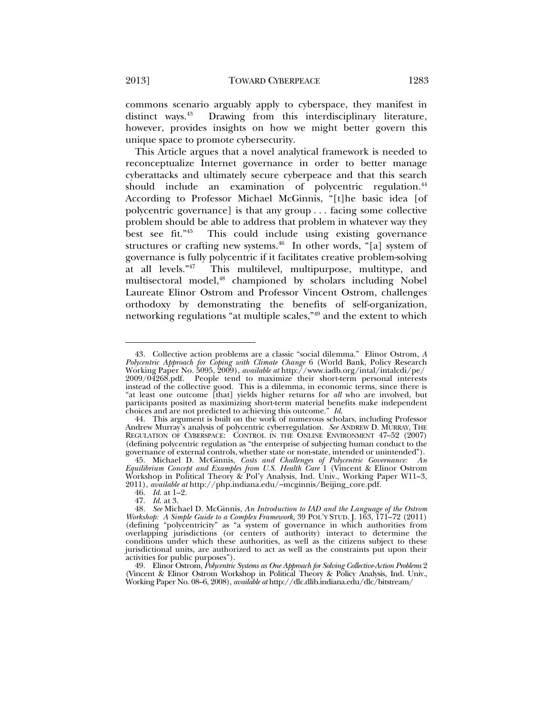commons scenario arguably apply to cyberspace, they manifest in distinct ways.<sup>43</sup> Drawing from this interdisciplinary literature, however, provides insights on how we might better govern this unique space to promote cybersecurity.

This Article argues that a novel analytical framework is needed to reconceptualize Internet governance in order to better manage cyberattacks and ultimately secure cyberpeace and that this search should include an examination of polycentric regulation.<sup>44</sup> According to Professor Michael McGinnis, "[t]he basic idea [of polycentric governance] is that any group . . . facing some collective problem should be able to address that problem in whatever way they<br>best see fit."<sup>45</sup> This could include using existing governance This could include using existing governance structures or crafting new systems.<sup>46</sup> In other words, "[a] system of governance is fully polycentric if it facilitates creative problem-solving at all levels."<sup>47</sup> This multilevel, multipurpose, multitype, and multisectoral model,<sup>48</sup> championed by scholars including Nobel Laureate Elinor Ostrom and Professor Vincent Ostrom, challenges orthodoxy by demonstrating the benefits of self-organization, networking regulations "at multiple scales,"49 and the extent to which

 <sup>43.</sup> Collective action problems are a classic "social dilemma." Elinor Ostrom, *A Polycentric Approach for Coping with Climate Change* 6 (World Bank, Policy Research Working Paper No. 5095, 2009), *available at* http://www.iadb.org/intal/intalcdi/pe/ 2009/04268.pdf. People tend to maximize their short-term personal interests instead of the collective good. This is a dilemma, in economic terms, since there is "at least one outcome [that] yields higher returns for *all* who are involved, but participants posited as maximizing short-term material benefits make independent choices and are not predicted to achieving this outcome." *Id*.

 <sup>44.</sup> This argument is built on the work of numerous scholars, including Professor Andrew Murray's analysis of polycentric cyberregulation. *See* ANDREW D. MURRAY, THE REGULATION OF CYBERSPACE: CONTROL IN THE ONLINE ENVIRONMENT 47-52 (2007) (defining polycentric regulation as "the enterprise of subjecting human conduct to the governance of external controls, whether state or non-state, intended or unintended").

 <sup>45.</sup> Michael D. McGinnis, *Costs and Challenges of Polycentric Governance: An Equilibrium Concept and Examples from U.S. Health Care* 1 (Vincent & Elinor Ostrom Workshop in Political Theory & Pol'y Analysis, Ind. Univ., Working Paper W11–3, 2011), *available at* http://php.indiana.edu/~mcginnis/Beijing\_core.pdf.

 <sup>46.</sup> *Id.* at 1–2.

 <sup>47.</sup> *Id.* at 3.

 <sup>48.</sup> *See* Michael D. McGinnis, *An Introduction to IAD and the Language of the Ostrom Workshop: A Simple Guide to a Complex Framework*, 39 POL'Y STUD. J. 163, 171-72 (2011) (defining "polycentricity" as "a system of governance in which authorities from overlapping jurisdictions (or centers of authority) interact to determine the conditions under which these authorities, as well as the citizens subject to these jurisdictional units, are authorized to act as well as the constraints put upon their activities for public purposes").

 <sup>49.</sup> Elinor Ostrom, *Polycentric Systems as One Approach for Solving Collective-Action Problems* 2 (Vincent & Elinor Ostrom Workshop in Political Theory & Policy Analysis, Ind. Univ., Working Paper No. 08–6, 2008), *available at* http://dlc.dlib.indiana.edu/dlc/bitstream/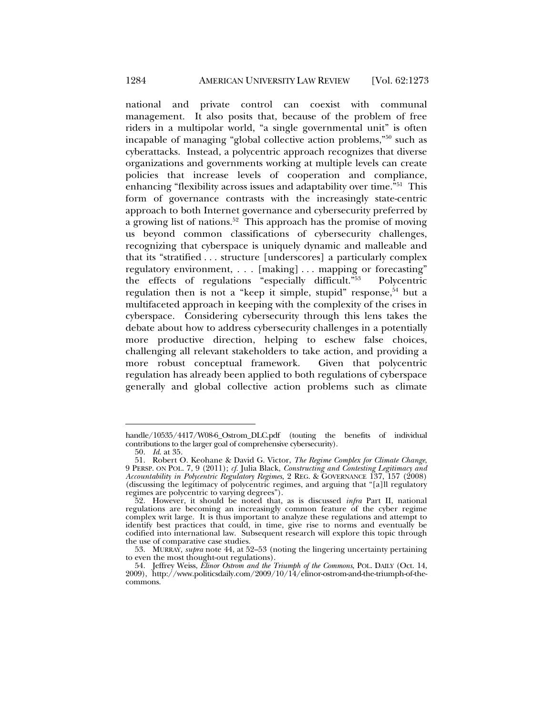national and private control can coexist with communal management. It also posits that, because of the problem of free riders in a multipolar world, "a single governmental unit" is often incapable of managing "global collective action problems,"50 such as cyberattacks. Instead, a polycentric approach recognizes that diverse organizations and governments working at multiple levels can create policies that increase levels of cooperation and compliance, enhancing "flexibility across issues and adaptability over time."51 This form of governance contrasts with the increasingly state-centric approach to both Internet governance and cybersecurity preferred by a growing list of nations.<sup>52</sup> This approach has the promise of moving us beyond common classifications of cybersecurity challenges, recognizing that cyberspace is uniquely dynamic and malleable and that its "stratified . . . structure [underscores] a particularly complex regulatory environment, . . . [making] . . . mapping or forecasting" the effects of regulations "especially difficult."53 Polycentric regulation then is not a "keep it simple, stupid" response,  $54$  but a multifaceted approach in keeping with the complexity of the crises in cyberspace. Considering cybersecurity through this lens takes the debate about how to address cybersecurity challenges in a potentially more productive direction, helping to eschew false choices, challenging all relevant stakeholders to take action, and providing a more robust conceptual framework. Given that polycentric regulation has already been applied to both regulations of cyberspace generally and global collective action problems such as climate

handle/10535/4417/W08-6\_Ostrom\_DLC.pdf (touting the benefits of individual contributions to the larger goal of comprehensive cybersecurity).

 <sup>50.</sup> *Id*. at 35.

 <sup>51.</sup> Robert O. Keohane & David G. Victor, *The Regime Complex for Climate Change*, 9 PERSP. ON POL. 7, 9 (2011); *cf.* Julia Black, *Constructing and Contesting Legitimacy and Accountability in Polycentric Regulatory Regimes*, 2 REG. & GOVERNANCE 137, 157 (2008) (discussing the legitimacy of polycentric regimes, and arguing that "[a]ll regulatory regimes are polycentric to varying degrees").

 <sup>52.</sup> However, it should be noted that, as is discussed *infra* Part II, national regulations are becoming an increasingly common feature of the cyber regime complex writ large. It is thus important to analyze these regulations and attempt to identify best practices that could, in time, give rise to norms and eventually be codified into international law. Subsequent research will explore this topic through the use of comparative case studies.

 <sup>53.</sup> MURRAY, *supra* note 44, at 52–53 (noting the lingering uncertainty pertaining to even the most thought-out regulations).

 <sup>54.</sup> Jeffrey Weiss, *Elinor Ostrom and the Triumph of the Commons*, POL. DAILY (Oct. 14, 2009), http://www.politicsdaily.com/2009/10/14/elinor-ostrom-and-the-triumph-of-thecommons.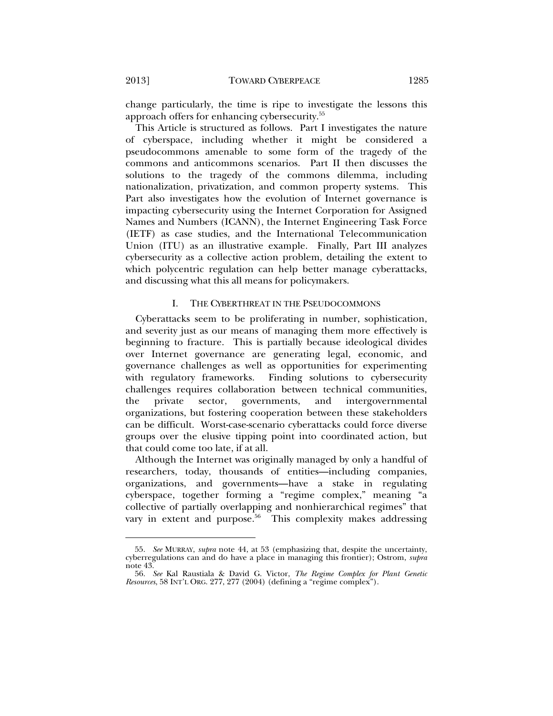change particularly, the time is ripe to investigate the lessons this approach offers for enhancing cybersecurity.55

This Article is structured as follows. Part I investigates the nature of cyberspace, including whether it might be considered a pseudocommons amenable to some form of the tragedy of the commons and anticommons scenarios. Part II then discusses the solutions to the tragedy of the commons dilemma, including nationalization, privatization, and common property systems. This Part also investigates how the evolution of Internet governance is impacting cybersecurity using the Internet Corporation for Assigned Names and Numbers (ICANN), the Internet Engineering Task Force (IETF) as case studies, and the International Telecommunication Union (ITU) as an illustrative example. Finally, Part III analyzes cybersecurity as a collective action problem, detailing the extent to which polycentric regulation can help better manage cyberattacks, and discussing what this all means for policymakers.

#### I. THE CYBERTHREAT IN THE PSEUDOCOMMONS

Cyberattacks seem to be proliferating in number, sophistication, and severity just as our means of managing them more effectively is beginning to fracture. This is partially because ideological divides over Internet governance are generating legal, economic, and governance challenges as well as opportunities for experimenting with regulatory frameworks. Finding solutions to cybersecurity challenges requires collaboration between technical communities, the private sector, governments, and intergovernmental organizations, but fostering cooperation between these stakeholders can be difficult. Worst-case-scenario cyberattacks could force diverse groups over the elusive tipping point into coordinated action, but that could come too late, if at all.

Although the Internet was originally managed by only a handful of researchers, today, thousands of entities—including companies, organizations, and governments—have a stake in regulating cyberspace, together forming a "regime complex," meaning "a collective of partially overlapping and nonhierarchical regimes" that vary in extent and purpose. $56$  This complexity makes addressing

 <sup>55.</sup> *See* MURRAY, *supra* note 44, at 53 (emphasizing that, despite the uncertainty, cyberregulations can and do have a place in managing this frontier); Ostrom, *supra*  note 43.

 <sup>56.</sup> *See* Kal Raustiala & David G. Victor, *The Regime Complex for Plant Genetic Resources*, 58 INT'L ORG. 277, 277 (2004) (defining a "regime complex").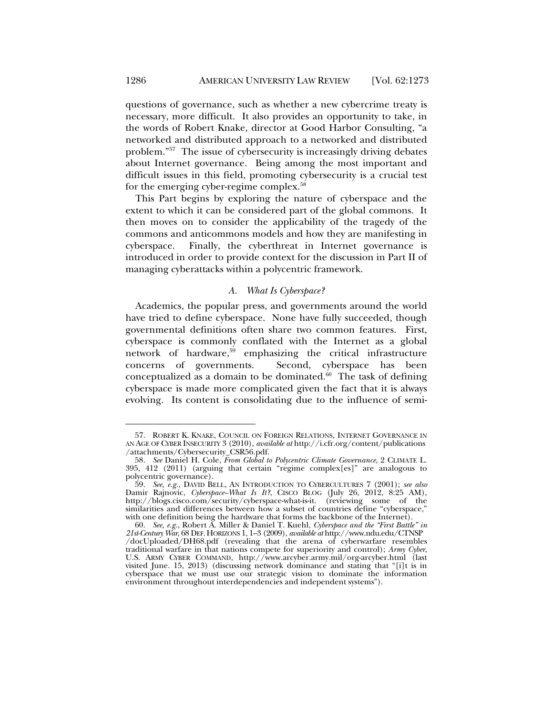questions of governance, such as whether a new cybercrime treaty is necessary, more difficult. It also provides an opportunity to take, in the words of Robert Knake, director at Good Harbor Consulting, "a networked and distributed approach to a networked and distributed problem."57 The issue of cybersecurity is increasingly driving debates about Internet governance. Being among the most important and difficult issues in this field, promoting cybersecurity is a crucial test for the emerging cyber-regime complex.<sup>58</sup>

This Part begins by exploring the nature of cyberspace and the extent to which it can be considered part of the global commons. It then moves on to consider the applicability of the tragedy of the commons and anticommons models and how they are manifesting in cyberspace. Finally, the cyberthreat in Internet governance is introduced in order to provide context for the discussion in Part II of managing cyberattacks within a polycentric framework.

#### *A. What Is Cyberspace?*

Academics, the popular press, and governments around the world have tried to define cyberspace. None have fully succeeded, though governmental definitions often share two common features. First, cyberspace is commonly conflated with the Internet as a global network of hardware,<sup>59</sup> emphasizing the critical infrastructure concerns of governments. Second, cyberspace has been conceptualized as a domain to be dominated. $60$  The task of defining cyberspace is made more complicated given the fact that it is always evolving. Its content is consolidating due to the influence of semi-

 <sup>57.</sup> ROBERT K. KNAKE, COUNCIL ON FOREIGN RELATIONS, INTERNET GOVERNANCE IN AN AGE OF CYBER INSECURITY 3 (2010), *available at* http://i.cfr.org/content/publications /attachments/Cybersecurity\_CSR56.pdf.

 <sup>58.</sup> *See* Daniel H. Cole, *From Global to Polycentric Climate Governance*, 2 CLIMATE L. 395, 412 (2011) (arguing that certain "regime complex[es]" are analogous to polycentric governance).

 <sup>59.</sup> *See, e.g.*, DAVID BELL, AN INTRODUCTION TO CYBERCULTURES 7 (2001); *see also* Damir Rajnovic, *Cyberspace–What Is It?*, CISCO BLOG (July 26, 2012, 8:25 AM), http://blogs.cisco.com/security/cyberspace-what-is-it. (reviewing some of the similarities and differences between how a subset of countries define "cyberspace," with one definition being the hardware that forms the backbone of the Internet).

 <sup>60.</sup> *See, e.g.*, Robert A. Miller & Daniel T. Kuehl, *Cyberspace and the "First Battle" in 21st-Century War*, 68 DEF.HORIZONS 1, 1–3 (2009), *available at* http://www.ndu.edu/CTNSP /docUploaded/DH68.pdf (revealing that the arena of cyberwarfare resembles traditional warfare in that nations compete for superiority and control); *Army Cyber*, U.S. ARMY CYBER COMMAND, http://www.arcyber.army.mil/org-arcyber.html (last visited June. 15, 2013) (discussing network dominance and stating that "[i]t is in cyberspace that we must use our strategic vision to dominate the information environment throughout interdependencies and independent systems").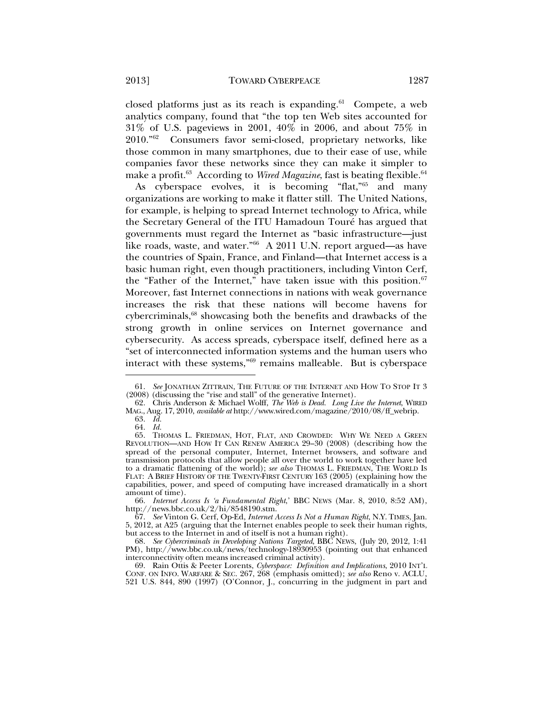closed platforms just as its reach is expanding. $61$  Compete, a web analytics company, found that "the top ten Web sites accounted for 31% of U.S. pageviews in 2001, 40% in 2006, and about 75% in 2010."62 Consumers favor semi-closed, proprietary networks, like those common in many smartphones, due to their ease of use, while companies favor these networks since they can make it simpler to make a profit.<sup>63</sup> According to *Wired Magazine*, fast is beating flexible.<sup>64</sup>

As cyberspace evolves, it is becoming "flat,"65 and many organizations are working to make it flatter still. The United Nations, for example, is helping to spread Internet technology to Africa, while the Secretary General of the ITU Hamadoun Touré has argued that governments must regard the Internet as "basic infrastructure—just like roads, waste, and water."66 A 2011 U.N. report argued—as have the countries of Spain, France, and Finland—that Internet access is a basic human right, even though practitioners, including Vinton Cerf, the "Father of the Internet," have taken issue with this position. $67$ Moreover, fast Internet connections in nations with weak governance increases the risk that these nations will become havens for cybercriminals,<sup>68</sup> showcasing both the benefits and drawbacks of the strong growth in online services on Internet governance and cybersecurity. As access spreads, cyberspace itself, defined here as a "set of interconnected information systems and the human users who interact with these systems,"69 remains malleable. But is cyberspace

 <sup>61.</sup> *See* JONATHAN ZITTRAIN, THE FUTURE OF THE INTERNET AND HOW TO STOP IT 3 (2008) (discussing the "rise and stall" of the generative Internet).

 <sup>62.</sup> Chris Anderson & Michael Wolff, *The Web is Dead. Long Live the Internet*, WIRED MAG., Aug. 17, 2010, *available at* http://www.wired.com/magazine/2010/08/ff\_webrip.

 <sup>63.</sup> *Id.*

 <sup>64.</sup> *Id.*

 <sup>65.</sup> THOMAS L. FRIEDMAN, HOT, FLAT, AND CROWDED: WHY WE NEED A GREEN REVOLUTION—AND HOW IT CAN RENEW AMERICA 29–30 (2008) (describing how the spread of the personal computer, Internet, Internet browsers, and software and transmission protocols that allow people all over the world to work together have led to a dramatic flattening of the world); see also THOMAS L. FRIEDMAN, THE WORLD IS FLAT: A BRIEF HISTORY OF THE TWENTY-FIRST CENTURY 163 (2005) (explaining how the capabilities, power, and speed of computing have increased dramatically in a short amount of time).

 <sup>66.</sup> *Internet Access Is 'a Fundamental Right*,' BBC NEWS (Mar. 8, 2010, 8:52 AM), http://news.bbc.co.uk/2/hi/8548190.stm.

 <sup>67.</sup> *See* Vinton G. Cerf, Op-Ed, *Internet Access Is Not a Human Right*, N.Y. TIMES, Jan. 5, 2012, at A25 (arguing that the Internet enables people to seek their human rights, but access to the Internet in and of itself is not a human right).

 <sup>68.</sup> *See Cybercriminals in Developing Nations Targeted*, BBC NEWS, (July 20, 2012, 1:41 PM), http://www.bbc.co.uk/news/technology-18930953 (pointing out that enhanced interconnectivity often means increased criminal activity).

 <sup>69.</sup> Rain Ottis & Peeter Lorents, *Cyberspace: Definition and Implications*, 2010 INT'L CONF. ON INFO. WARFARE & SEC. 267, 268 (emphasis omitted); *see also* Reno v. ACLU, 521 U.S. 844, 890 (1997) (O'Connor, J., concurring in the judgment in part and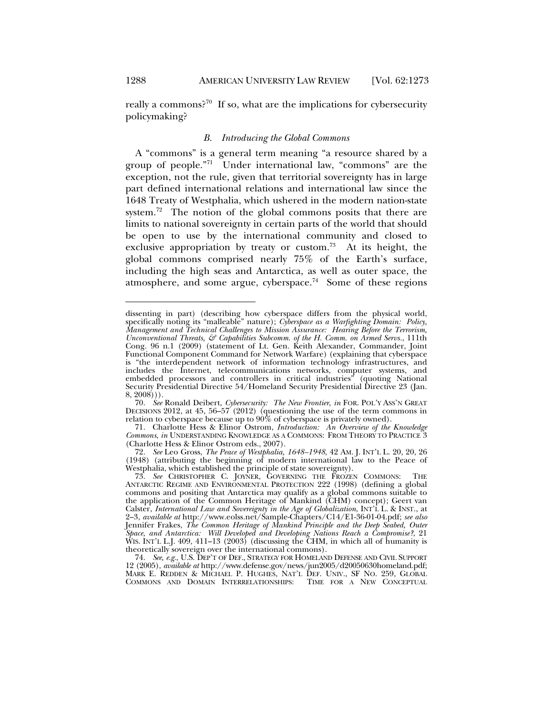l

really a commons?<sup>70</sup> If so, what are the implications for cybersecurity policymaking?

#### *B. Introducing the Global Commons*

A "commons" is a general term meaning "a resource shared by a group of people."71 Under international law, "commons" are the exception, not the rule, given that territorial sovereignty has in large part defined international relations and international law since the 1648 Treaty of Westphalia, which ushered in the modern nation-state system.<sup>72</sup> The notion of the global commons posits that there are limits to national sovereignty in certain parts of the world that should be open to use by the international community and closed to exclusive appropriation by treaty or custom.<sup>73</sup> At its height, the global commons comprised nearly 75% of the Earth's surface, including the high seas and Antarctica, as well as outer space, the atmosphere, and some argue, cyberspace.<sup>74</sup> Some of these regions

dissenting in part) (describing how cyberspace differs from the physical world, specifically noting its "malleable" nature); *Cyberspace as a Warfighting Domain: Policy, Management and Technical Challenges to Mission Assurance: Hearing Before the Terrorism, Unconventional Threats, & Capabilities Subcomm. of the H. Comm. on Armed Servs.*, 111th Cong. 96 n.1 (2009) (statement of Lt. Gen. Keith Alexander, Commander, Joint Functional Component Command for Network Warfare) (explaining that cyberspace is "the interdependent network of information technology infrastructures, and includes the Internet, telecommunications networks, computer systems, and embedded processors and controllers in critical industries" (quoting National Security Presidential Directive 54/Homeland Security Presidential Directive 23 (Jan.  $(8, 2008))$ .

 <sup>70.</sup> *See* Ronald Deibert, *Cybersecurity: The New Frontier*, *in* FOR. POL'Y ASS'N GREAT DECISIONS 2012, at 45, 56–57 (2012) (questioning the use of the term commons in relation to cyberspace because up to 90% of cyberspace is privately owned).

 <sup>71.</sup> Charlotte Hess & Elinor Ostrom, *Introduction: An Overview of the Knowledge Commons*, *in* UNDERSTANDING KNOWLEDGE AS A COMMONS: FROM THEORY TO PRACTICE 3 (Charlotte Hess & Elinor Ostrom eds., 2007).

 <sup>72.</sup> *See* Leo Gross, *The Peace of Westphalia, 1648–1948*, 42 AM. J. INT'L L. 20, 20, 26 (1948) (attributing the beginning of modern international law to the Peace of Westphalia, which established the principle of state sovereignty).

 <sup>73.</sup> *See* CHRISTOPHER C. JOYNER, GOVERNING THE FROZEN COMMONS: THE ANTARCTIC REGIME AND ENVIRONMENTAL PROTECTION 222 (1998) (defining a global commons and positing that Antarctica may qualify as a global commons suitable to the application of the Common Heritage of Mankind (CHM) concept); Geert van Calster, *International Law and Sovereignty in the Age of Globalization*, INT'L L. & INST., at 2–3, *available at* http://www.eolss.net/Sample-Chapters/C14/E1-36-01-04.pdf; *see also* Jennifer Frakes, *The Common Heritage of Mankind Principle and the Deep Seabed, Outer Space, and Antarctica: Will Developed and Developing Nations Reach a Compromise?*, 21 WIS. INT'L L.J. 409, 411–13 (2003) (discussing the CHM, in which all of humanity is theoretically sovereign over the international commons).

 <sup>74.</sup> *See, e.g.*, U.S. DEP'T OF DEF., STRATEGY FOR HOMELAND DEFENSE AND CIVIL SUPPORT 12 (2005), *available at* http://www.defense.gov/news/jun2005/d20050630homeland.pdf; MARK E. REDDEN & MICHAEL P. HUGHES, NAT'L DEF. UNIV., SF NO. 259, GLOBAL COMMONS AND DOMAIN INTERRELATIONSHIPS: TIME FOR A NEW CONCEPTUAL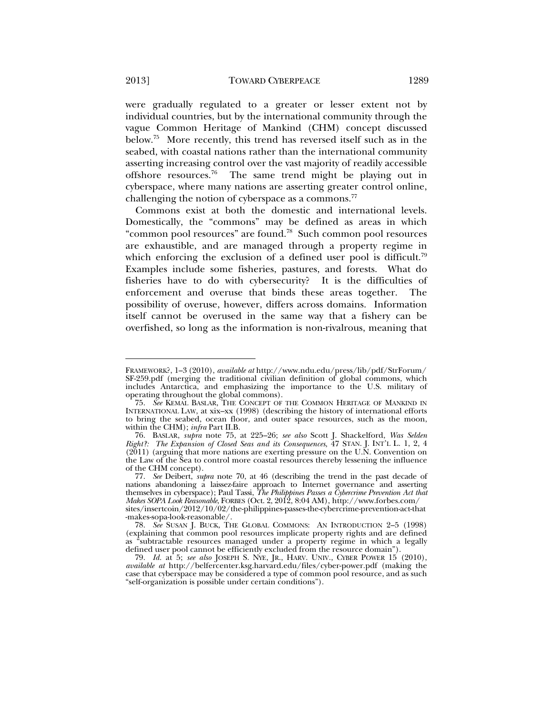were gradually regulated to a greater or lesser extent not by individual countries, but by the international community through the vague Common Heritage of Mankind (CHM) concept discussed below.75 More recently, this trend has reversed itself such as in the seabed, with coastal nations rather than the international community asserting increasing control over the vast majority of readily accessible offshore resources.<sup>76</sup> The same trend might be playing out in cyberspace, where many nations are asserting greater control online, challenging the notion of cyberspace as a commons.<sup>77</sup>

Commons exist at both the domestic and international levels. Domestically, the "commons" may be defined as areas in which "common pool resources" are found.78 Such common pool resources are exhaustible, and are managed through a property regime in which enforcing the exclusion of a defined user pool is difficult.<sup>79</sup> Examples include some fisheries, pastures, and forests. What do fisheries have to do with cybersecurity? It is the difficulties of enforcement and overuse that binds these areas together. The possibility of overuse, however, differs across domains. Information itself cannot be overused in the same way that a fishery can be overfished, so long as the information is non-rivalrous, meaning that

FRAMEWORK?, 1–3 (2010), *available at* http://www.ndu.edu/press/lib/pdf/StrForum/ SF-259.pdf (merging the traditional civilian definition of global commons, which includes Antarctica, and emphasizing the importance to the U.S. military of operating throughout the global commons).

 <sup>75.</sup> *See* KEMAL BASLAR, THE CONCEPT OF THE COMMON HERITAGE OF MANKIND IN INTERNATIONAL LAW, at xix–xx (1998) (describing the history of international efforts to bring the seabed, ocean floor, and outer space resources, such as the moon, within the CHM); *infra* Part II.B.

 <sup>76.</sup> BASLAR, *supra* note 75, at 225–26; *see also* Scott J. Shackelford, *Was Selden Right?: The Expansion of Closed Seas and its Consequences*, 47 STAN. J. INT'L L. 1, 2, 4 (2011) (arguing that more nations are exerting pressure on the U.N. Convention on the Law of the Sea to control more coastal resources thereby lessening the influence of the CHM concept).

 <sup>77.</sup> *See* Deibert, *supra* note 70, at 46 (describing the trend in the past decade of nations abandoning a laissez-faire approach to Internet governance and asserting themselves in cyberspace); Paul Tassi, *The Philippines Passes a Cybercrime Prevention Act that Makes SOPA Look Reasonable*, FORBES (Oct. 2, 2012, 8:04 AM), http://www.forbes.com/ sites/insertcoin/2012/10/02/the-philippines-passes-the-cybercrime-prevention-act-that -makes-sopa-look-reasonable/.

 <sup>78.</sup> *See* SUSAN J. BUCK, THE GLOBAL COMMONS: AN INTRODUCTION 2–5 (1998) (explaining that common pool resources implicate property rights and are defined as "subtractable resources managed under a property regime in which a legally defined user pool cannot be efficiently excluded from the resource domain").

 <sup>79.</sup> *Id.* at 5; *see also* JOSEPH S. NYE, JR., HARV. UNIV., CYBER POWER 15 (2010), *available at* http://belfercenter.ksg.harvard.edu/files/cyber-power.pdf (making the case that cyberspace may be considered a type of common pool resource, and as such "self-organization is possible under certain conditions").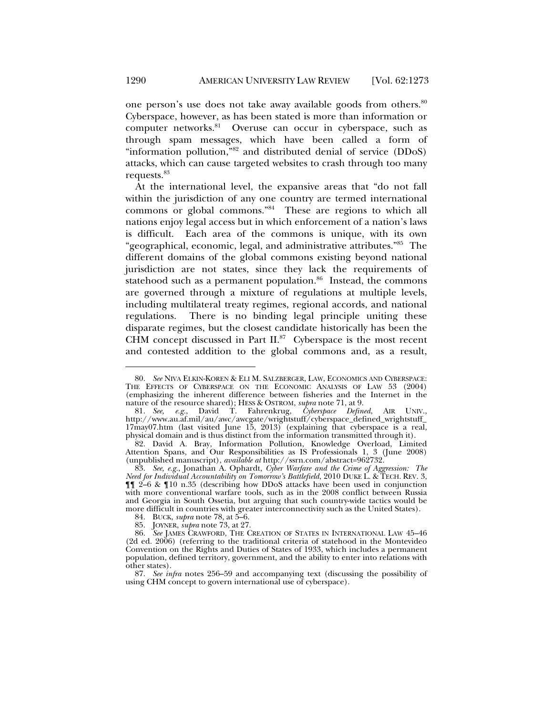one person's use does not take away available goods from others.<sup>80</sup> Cyberspace, however, as has been stated is more than information or computer networks.<sup>81</sup> Overuse can occur in cyberspace, such as through spam messages, which have been called a form of "information pollution,"82 and distributed denial of service (DDoS) attacks, which can cause targeted websites to crash through too many requests.83

At the international level, the expansive areas that "do not fall within the jurisdiction of any one country are termed international commons or global commons."84 These are regions to which all nations enjoy legal access but in which enforcement of a nation's laws is difficult. Each area of the commons is unique, with its own "geographical, economic, legal, and administrative attributes."85 The different domains of the global commons existing beyond national jurisdiction are not states, since they lack the requirements of statehood such as a permanent population. $86$  Instead, the commons are governed through a mixture of regulations at multiple levels, including multilateral treaty regimes, regional accords, and national regulations. There is no binding legal principle uniting these disparate regimes, but the closest candidate historically has been the CHM concept discussed in Part  $II.^{87}$  Cyberspace is the most recent and contested addition to the global commons and, as a result,

 <sup>80.</sup> *See* NIVA ELKIN-KOREN & ELI M. SALZBERGER, LAW, ECONOMICS AND CYBERSPACE: THE EFFECTS OF CYBERSPACE ON THE ECONOMIC ANALYSIS OF LAW 53 (2004) (emphasizing the inherent difference between fisheries and the Internet in the nature of the resource shared); HESS & OSTROM, *supra* note 71, at 9.

 <sup>81.</sup> *See, e.g.*, David T. Fahrenkrug, *Cyberspace Defined*, AIR UNIV., http://www.au.af.mil/au/awc/awcgate/wrightstuff/cyberspace\_defined\_wrightstuff\_ 17may07.htm (last visited June 15, 2013) (explaining that cyberspace is a real, physical domain and is thus distinct from the information transmitted through it).

 <sup>82.</sup> David A. Bray, Information Pollution, Knowledge Overload, Limited Attention Spans, and Our Responsibilities as IS Professionals 1, 3 (June 2008) (unpublished manuscript), *available at* http://ssrn.com/abstract=962732.

 <sup>83.</sup> *See, e.g.*, Jonathan A. Ophardt, *Cyber Warfare and the Crime of Aggression: The Need for Individual Accountability on Tomorrow's Battlefield*, 2010 DUKE L. & TECH. REV. 3,  $\P$ [[ 2–6 & [[10 n.35 (describing how DDoS attacks have been used in conjunction with more conventional warfare tools, such as in the 2008 conflict between Russia and Georgia in South Ossetia, but arguing that such country-wide tactics would be more difficult in countries with greater interconnectivity such as the United States).

 <sup>84.</sup> BUCK, *supra* note 78, at 5–6.

 <sup>85.</sup> JOYNER, *supra* note 73, at 27.

 <sup>86.</sup> *See* JAMES CRAWFORD, THE CREATION OF STATES IN INTERNATIONAL LAW 45–46 (2d ed. 2006) (referring to the traditional criteria of statehood in the Montevideo Convention on the Rights and Duties of States of 1933, which includes a permanent population, defined territory, government, and the ability to enter into relations with other states).

 <sup>87.</sup> *See infra* notes 256–59 and accompanying text (discussing the possibility of using CHM concept to govern international use of cyberspace).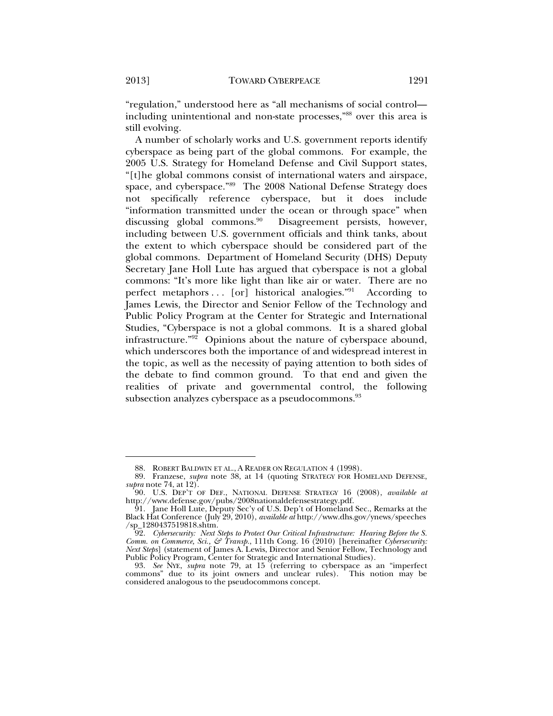"regulation," understood here as "all mechanisms of social control including unintentional and non-state processes,"88 over this area is still evolving.

A number of scholarly works and U.S. government reports identify cyberspace as being part of the global commons. For example, the 2005 U.S. Strategy for Homeland Defense and Civil Support states, "[t]he global commons consist of international waters and airspace, space, and cyberspace."89 The 2008 National Defense Strategy does not specifically reference cyberspace, but it does include "information transmitted under the ocean or through space" when discussing global commons.<sup>90</sup> Disagreement persists, however, including between U.S. government officials and think tanks, about the extent to which cyberspace should be considered part of the global commons. Department of Homeland Security (DHS) Deputy Secretary Jane Holl Lute has argued that cyberspace is not a global commons: "It's more like light than like air or water. There are no perfect metaphors ... [or] historical analogies."<sup>91</sup> According to James Lewis, the Director and Senior Fellow of the Technology and Public Policy Program at the Center for Strategic and International Studies, "Cyberspace is not a global commons. It is a shared global infrastructure."92 Opinions about the nature of cyberspace abound, which underscores both the importance of and widespread interest in the topic, as well as the necessity of paying attention to both sides of the debate to find common ground. To that end and given the realities of private and governmental control, the following subsection analyzes cyberspace as a pseudocommons.<sup>93</sup>

 <sup>88.</sup> ROBERT BALDWIN ET AL., A READER ON REGULATION 4 (1998).

 <sup>89.</sup> Franzese, *supra* note 38, at 14 (quoting STRATEGY FOR HOMELAND DEFENSE, *supra* note 74, at 12).

 <sup>90.</sup> U.S. DEP'T OF DEF., NATIONAL DEFENSE STRATEGY 16 (2008), *available at* http://www.defense.gov/pubs/2008nationaldefensestrategy.pdf.

 <sup>91.</sup> Jane Holl Lute, Deputy Sec'y of U.S. Dep't of Homeland Sec., Remarks at the Black Hat Conference (July 29, 2010), *available at* http://www.dhs.gov/ynews/speeches /sp\_1280437519818.shtm.

 <sup>92.</sup> *Cybersecurity: Next Steps to Protect Our Critical Infrastructure: Hearing Before the S. Comm. on Commerce, Sci., & Transp.*, 111th Cong. 16 (2010) [hereinafter *Cybersecurity: Next Steps*] (statement of James A. Lewis, Director and Senior Fellow, Technology and Public Policy Program, Center for Strategic and International Studies).

 <sup>93.</sup> *See* NYE, *supra* note 79, at 15 (referring to cyberspace as an "imperfect commons" due to its joint owners and unclear rules). This notion may be considered analogous to the pseudocommons concept.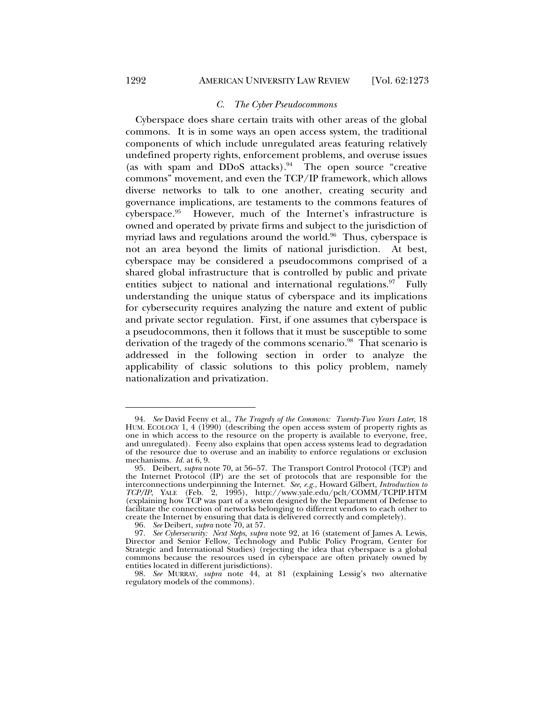Cyberspace does share certain traits with other areas of the global commons. It is in some ways an open access system, the traditional components of which include unregulated areas featuring relatively undefined property rights, enforcement problems, and overuse issues (as with spam and DDoS attacks). $94$  The open source "creative" commons" movement, and even the TCP/IP framework, which allows diverse networks to talk to one another, creating security and governance implications, are testaments to the commons features of cyberspace.95 However, much of the Internet's infrastructure is owned and operated by private firms and subject to the jurisdiction of myriad laws and regulations around the world. $96$  Thus, cyberspace is not an area beyond the limits of national jurisdiction. At best, cyberspace may be considered a pseudocommons comprised of a shared global infrastructure that is controlled by public and private entities subject to national and international regulations.<sup>97</sup> Fully understanding the unique status of cyberspace and its implications for cybersecurity requires analyzing the nature and extent of public and private sector regulation. First, if one assumes that cyberspace is a pseudocommons, then it follows that it must be susceptible to some derivation of the tragedy of the commons scenario.<sup>98</sup> That scenario is addressed in the following section in order to analyze the applicability of classic solutions to this policy problem, namely nationalization and privatization.

 98. *See* MURRAY, *supra* note 44, at 81 (explaining Lessig's two alternative regulatory models of the commons).

 <sup>94.</sup> *See* David Feeny et al., *The Tragedy of the Commons: Twenty-Two Years Later*, 18 HUM. ECOLOGY 1, 4 (1990) (describing the open access system of property rights as one in which access to the resource on the property is available to everyone, free, and unregulated). Feeny also explains that open access systems lead to degradation of the resource due to overuse and an inability to enforce regulations or exclusion mechanisms. *Id.* at 6, 9.

 <sup>95.</sup> Deibert, *supra* note 70, at 56–57. The Transport Control Protocol (TCP) and the Internet Protocol (IP) are the set of protocols that are responsible for the interconnections underpinning the Internet. *See, e.g.*, Howard Gilbert, *Introduction to TCP/IP*, YALE (Feb. 2, 1995), http://www.yale.edu/pclt/COMM/TCPIP.HTM (explaining how TCP was part of a system designed by the Department of Defense to facilitate the connection of networks belonging to different vendors to each other to create the Internet by ensuring that data is delivered correctly and completely).

 <sup>96.</sup> *See* Deibert, *supra* note 70, at 57.

 <sup>97.</sup> *See Cybersecurity: Next Steps*, *supra* note 92, at 16 (statement of James A. Lewis, Director and Senior Fellow, Technology and Public Policy Program, Center for Strategic and International Studies) (rejecting the idea that cyberspace is a global commons because the resources used in cyberspace are often privately owned by entities located in different jurisdictions).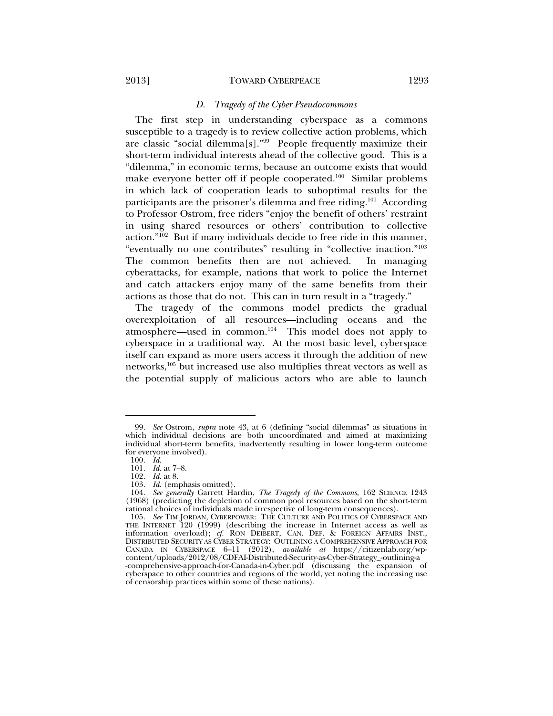#### *D. Tragedy of the Cyber Pseudocommons*

The first step in understanding cyberspace as a commons susceptible to a tragedy is to review collective action problems, which are classic "social dilemma[s]."99 People frequently maximize their short-term individual interests ahead of the collective good. This is a "dilemma," in economic terms, because an outcome exists that would make everyone better off if people cooperated.<sup>100</sup> Similar problems in which lack of cooperation leads to suboptimal results for the participants are the prisoner's dilemma and free riding.<sup>101</sup> According to Professor Ostrom, free riders "enjoy the benefit of others' restraint in using shared resources or others' contribution to collective action."102 But if many individuals decide to free ride in this manner, "eventually no one contributes" resulting in "collective inaction."103 The common benefits then are not achieved. In managing cyberattacks, for example, nations that work to police the Internet and catch attackers enjoy many of the same benefits from their actions as those that do not. This can in turn result in a "tragedy."

The tragedy of the commons model predicts the gradual overexploitation of all resources—including oceans and the atmosphere—used in common. $104$  This model does not apply to cyberspace in a traditional way. At the most basic level, cyberspace itself can expand as more users access it through the addition of new networks,105 but increased use also multiplies threat vectors as well as the potential supply of malicious actors who are able to launch

 <sup>99.</sup> *See* Ostrom, *supra* note 43, at 6 (defining "social dilemmas" as situations in which individual decisions are both uncoordinated and aimed at maximizing individual short-term benefits, inadvertently resulting in lower long-term outcome for everyone involved).

 <sup>100.</sup> *Id.*

 <sup>101.</sup> *Id.* at 7–8.

 <sup>102.</sup> *Id.* at 8.

 <sup>103.</sup> *Id.* (emphasis omitted).

 <sup>104.</sup> *See generally* Garrett Hardin, *The Tragedy of the Commons*, 162 SCIENCE 1243 (1968) (predicting the depletion of common pool resources based on the short-term rational choices of individuals made irrespective of long-term consequences).

 <sup>105.</sup> *See* TIM JORDAN, CYBERPOWER: THE CULTURE AND POLITICS OF CYBERSPACE AND THE INTERNET 120 (1999) (describing the increase in Internet access as well as information overload); *cf.* RON DEIBERT, CAN. DEF. & FOREIGN AFFAIRS INST., DISTRIBUTED SECURITY AS CYBER STRATEGY: OUTLINING A COMPREHENSIVE APPROACH FOR CANADA IN CYBERSPACE 6–11 (2012), *available at* https://citizenlab.org/wpcontent/uploads/2012/08/CDFAI-Distributed-Security-as-Cyber-Strategy\_-outlining-a

<sup>-</sup>comprehensive-approach-for-Canada-in-Cyber.pdf (discussing the expansion of cyberspace to other countries and regions of the world, yet noting the increasing use of censorship practices within some of these nations).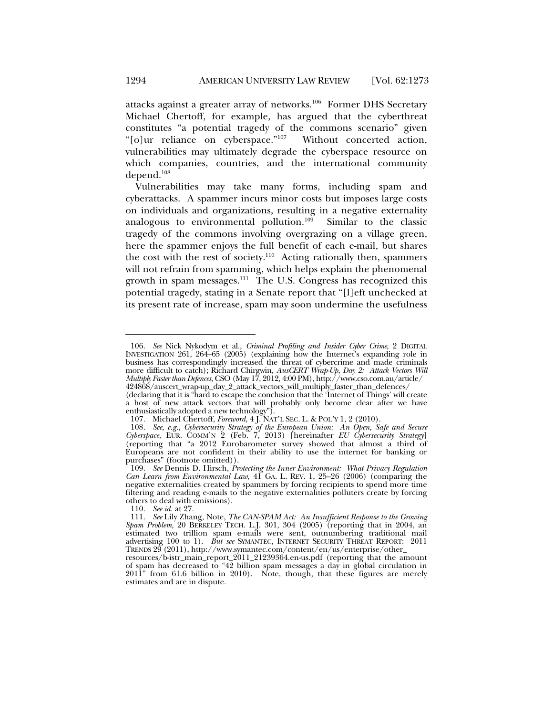attacks against a greater array of networks.106 Former DHS Secretary Michael Chertoff, for example, has argued that the cyberthreat constitutes "a potential tragedy of the commons scenario" given "[o]ur reliance on cyberspace."107 Without concerted action, vulnerabilities may ultimately degrade the cyberspace resource on which companies, countries, and the international community depend.108

Vulnerabilities may take many forms, including spam and cyberattacks. A spammer incurs minor costs but imposes large costs on individuals and organizations, resulting in a negative externality analogous to environmental pollution.109 Similar to the classic tragedy of the commons involving overgrazing on a village green, here the spammer enjoys the full benefit of each e-mail, but shares the cost with the rest of society.<sup>110</sup> Acting rationally then, spammers will not refrain from spamming, which helps explain the phenomenal growth in spam messages.111 The U.S. Congress has recognized this potential tragedy, stating in a Senate report that "[l]eft unchecked at its present rate of increase, spam may soon undermine the usefulness

 <sup>106.</sup> *See* Nick Nykodym et al., *Criminal Profiling and Insider Cyber Crime*, 2 DIGITAL INVESTIGATION 261, 264–65 (2005) (explaining how the Internet's expanding role in business has correspondingly increased the threat of cybercrime and made criminals more difficult to catch); Richard Chirgwin, *AusCERT Wrap-Up, Day 2: Attack Vectors Will Multiply Faster than Defences*, CSO (May 17, 2012, 4:00 PM), http://www.cso.com.au/article/

<sup>424868/</sup>auscert\_wrap-up\_day\_2\_attack\_vectors\_will\_multiply\_faster\_than\_defences/

<sup>(</sup>declaring that it is "hard to escape the conclusion that the 'Internet of Things' will create a host of new attack vectors that will probably only become clear after we have enthusiastically adopted a new technology").

 <sup>107.</sup> Michael Chertoff, *Foreword*, 4 J. NAT'L SEC. L. & POL'Y 1, 2 (2010).

 <sup>108.</sup> *See, e.g.*, *Cybersecurity Strategy of the European Union: An Open, Safe and Secure Cyberspace*, EUR. COMM'N 2 (Feb. 7, 2013) [hereinafter *EU Cybersecurity Strategy*] (reporting that "a 2012 Eurobarometer survey showed that almost a third of Europeans are not confident in their ability to use the internet for banking or purchases" (footnote omitted)).

 <sup>109.</sup> *See* Dennis D. Hirsch, *Protecting the Inner Environment: What Privacy Regulation Can Learn from Environmental Law*, 41 GA. L. REV. 1, 25–26 (2006) (comparing the negative externalities created by spammers by forcing recipients to spend more time filtering and reading e-mails to the negative externalities polluters create by forcing others to deal with emissions).

 <sup>110.</sup> *See id.* at 27.

 <sup>111.</sup> *See* Lily Zhang, Note, *The CAN-SPAM Act: An Insufficient Response to the Growing Spam Problem*, 20 BERKELEY TECH. L.J. 301, 304 (2005) (reporting that in 2004, an estimated two trillion spam e-mails were sent, outnumbering traditional mail advertising 100 to 1). *But see* SYMANTEC, INTERNET SECURITY THREAT REPORT: 2011 TRENDS 29 (2011), http://www.symantec.com/content/en/us/enterprise/other\_

resources/b-istr\_main\_report\_2011\_21239364.en-us.pdf (reporting that the amount of spam has decreased to "42 billion spam messages a day in global circulation in 2011" from 61.6 billion in 2010). Note, though, that these figures are merely estimates and are in dispute.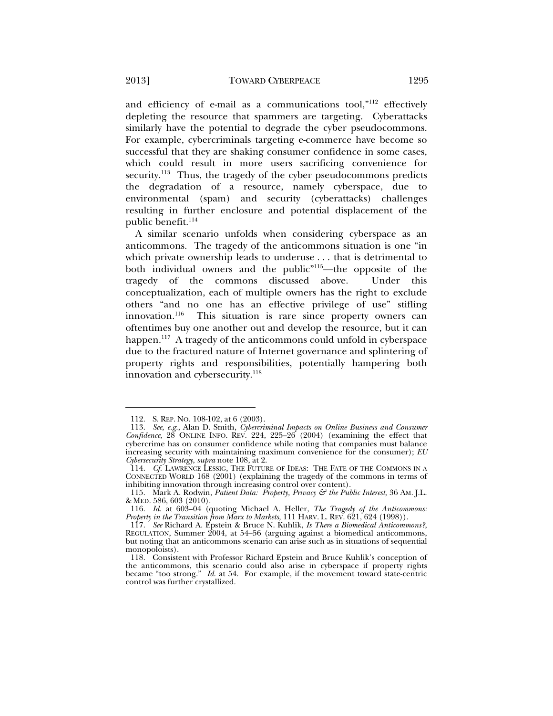and efficiency of e-mail as a communications tool,"112 effectively depleting the resource that spammers are targeting. Cyberattacks similarly have the potential to degrade the cyber pseudocommons. For example, cybercriminals targeting e-commerce have become so successful that they are shaking consumer confidence in some cases, which could result in more users sacrificing convenience for security.<sup>113</sup> Thus, the tragedy of the cyber pseudocommons predicts the degradation of a resource, namely cyberspace, due to environmental (spam) and security (cyberattacks) challenges resulting in further enclosure and potential displacement of the public benefit.<sup>114</sup>

A similar scenario unfolds when considering cyberspace as an anticommons. The tragedy of the anticommons situation is one "in which private ownership leads to underuse . . . that is detrimental to both individual owners and the public"115—the opposite of the tragedy of the commons discussed above. Under this conceptualization, each of multiple owners has the right to exclude others "and no one has an effective privilege of use" stifling innovation.<sup>116</sup> This situation is rare since property owners can oftentimes buy one another out and develop the resource, but it can happen.<sup>117</sup> A tragedy of the anticommons could unfold in cyberspace due to the fractured nature of Internet governance and splintering of property rights and responsibilities, potentially hampering both innovation and cybersecurity.<sup>118</sup>

 <sup>112.</sup> S. REP. NO. 108-102, at 6 (2003).

 <sup>113.</sup> *See, e.g.*, Alan D. Smith, *Cybercriminal Impacts on Online Business and Consumer Confidence*, 28 ONLINE INFO. REV. 224, 225–26 (2004) (examining the effect that cybercrime has on consumer confidence while noting that companies must balance increasing security with maintaining maximum convenience for the consumer); *EU Cybersecurity Strategy*, *supra* note 108, at 2.

 <sup>114.</sup> *Cf.* LAWRENCE LESSIG, THE FUTURE OF IDEAS: THE FATE OF THE COMMONS IN A CONNECTED WORLD 168 (2001) (explaining the tragedy of the commons in terms of inhibiting innovation through increasing control over content).

 <sup>115.</sup> Mark A. Rodwin, *Patient Data: Property, Privacy & the Public Interest*, 36 AM. J.L. & MED. 586, 603 (2010).

 <sup>116.</sup> *Id.* at 603–04 (quoting Michael A. Heller, *The Tragedy of the Anticommons: Property in the Transition from Marx to Markets*, 111 HARV. L. REV. 621, 624 (1998)).

 <sup>117.</sup> *See* Richard A. Epstein & Bruce N. Kuhlik, *Is There a Biomedical Anticommons?*, REGULATION, Summer 2004, at 54–56 (arguing against a biomedical anticommons, but noting that an anticommons scenario can arise such as in situations of sequential monopoloists).

 <sup>118.</sup> Consistent with Professor Richard Epstein and Bruce Kuhlik's conception of the anticommons, this scenario could also arise in cyberspace if property rights became "too strong." *Id*. at 54. For example, if the movement toward state-centric control was further crystallized.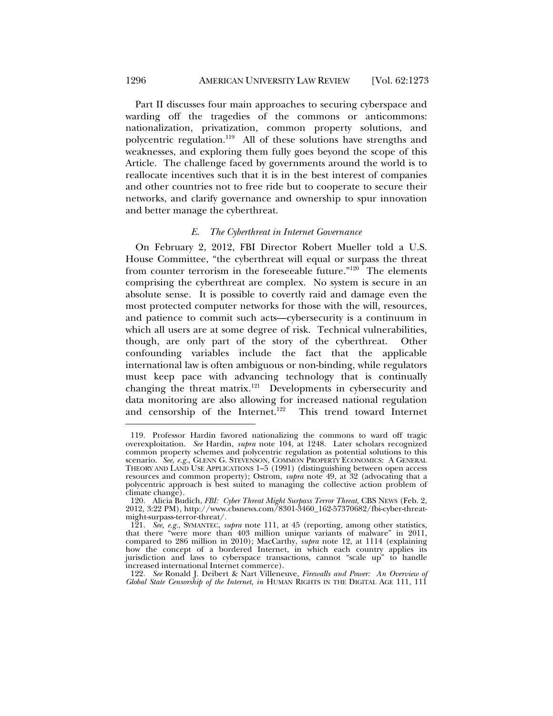Part II discusses four main approaches to securing cyberspace and warding off the tragedies of the commons or anticommons: nationalization, privatization, common property solutions, and polycentric regulation.119 All of these solutions have strengths and weaknesses, and exploring them fully goes beyond the scope of this Article. The challenge faced by governments around the world is to reallocate incentives such that it is in the best interest of companies and other countries not to free ride but to cooperate to secure their networks, and clarify governance and ownership to spur innovation and better manage the cyberthreat.

#### *E. The Cyberthreat in Internet Governance*

On February 2, 2012, FBI Director Robert Mueller told a U.S. House Committee, "the cyberthreat will equal or surpass the threat from counter terrorism in the foreseeable future."120 The elements comprising the cyberthreat are complex. No system is secure in an absolute sense. It is possible to covertly raid and damage even the most protected computer networks for those with the will, resources, and patience to commit such acts—cybersecurity is a continuum in which all users are at some degree of risk. Technical vulnerabilities, though, are only part of the story of the cyberthreat. Other confounding variables include the fact that the applicable international law is often ambiguous or non-binding, while regulators must keep pace with advancing technology that is continually changing the threat matrix.<sup>121</sup> Developments in cybersecurity and data monitoring are also allowing for increased national regulation and censorship of the Internet.<sup>122</sup> This trend toward Internet

 122. *See* Ronald J. Deibert & Nart Villeneuve, *Firewalls and Power: An Overview of Global State Censorship of the Internet*, *in* HUMAN RIGHTS IN THE DIGITAL AGE 111, 111

 <sup>119.</sup> Professor Hardin favored nationalizing the commons to ward off tragic overexploitation. *See* Hardin, *supra* note 104, at 1248. Later scholars recognized common property schemes and polycentric regulation as potential solutions to this scenario. *See, e.g.*, GLENN G. STEVENSON, COMMON PROPERTY ECONOMICS: A GENERAL THEORY AND LAND USE APPLICATIONS 1–5 (1991) (distinguishing between open access resources and common property); Ostrom, *supra* note 49, at 32 (advocating that a polycentric approach is best suited to managing the collective action problem of climate change).

 <sup>120.</sup> Alicia Budich, *FBI: Cyber Threat Might Surpass Terror Threat*, CBS NEWS (Feb. 2, 2012, 3:22 PM), http://www.cbsnews.com/8301-3460\_162-57370682/fbi-cyber-threatmight-surpass-terror-threat/.

 <sup>121.</sup> *See, e.g.*, SYMANTEC, *supra* note 111, at 45 (reporting, among other statistics, that there "were more than 403 million unique variants of malware" in 2011, compared to 286 million in 2010); MacCarthy, *supra* note 12, at 1114 (explaining how the concept of a bordered Internet, in which each country applies its jurisdiction and laws to cyberspace transactions, cannot "scale up" to handle increased international Internet commerce).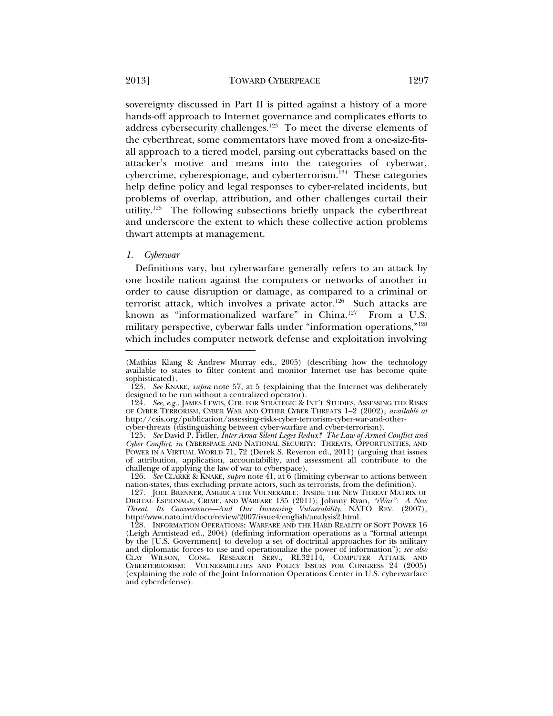sovereignty discussed in Part II is pitted against a history of a more hands-off approach to Internet governance and complicates efforts to address cybersecurity challenges.<sup>123</sup> To meet the diverse elements of the cyberthreat, some commentators have moved from a one-size-fitsall approach to a tiered model, parsing out cyberattacks based on the attacker's motive and means into the categories of cyberwar, cybercrime, cyberespionage, and cyberterrorism.124 These categories help define policy and legal responses to cyber-related incidents, but problems of overlap, attribution, and other challenges curtail their utility.<sup>125</sup> The following subsections briefly unpack the cyberthreat and underscore the extent to which these collective action problems thwart attempts at management.

#### *1. Cyberwar*

l

Definitions vary, but cyberwarfare generally refers to an attack by one hostile nation against the computers or networks of another in order to cause disruption or damage, as compared to a criminal or terrorist attack, which involves a private actor.<sup>126</sup> Such attacks are known as "informationalized warfare" in China.<sup>127</sup> From a U.S. military perspective, cyberwar falls under "information operations,"128 which includes computer network defense and exploitation involving

<sup>(</sup>Mathias Klang & Andrew Murray eds., 2005) (describing how the technology available to states to filter content and monitor Internet use has become quite sophisticated).

 <sup>123.</sup> *See* KNAKE, *supra* note 57, at 5 (explaining that the Internet was deliberately designed to be run without a centralized operator).

 <sup>124.</sup> *See, e.g.*, JAMES LEWIS, CTR. FOR STRATEGIC & INT'L STUDIES, ASSESSING THE RISKS OF CYBER TERRORISM, CYBER WAR AND OTHER CYBER THREATS 1–2 (2002), *available at* http://csis.org/publication/assessing-risks-cyber-terrorism-cyber-war-and-othercyber-threats (distinguishing between cyber-warfare and cyber-terrorism).

 <sup>125.</sup> *See* David P. Fidler, *Inter Arma Silent Leges Redux? The Law of Armed Conflict and Cyber Conflict*, *in* CYBERSPACE AND NATIONAL SECURITY: THREATS, OPPORTUNITIES, AND POWER IN A VIRTUAL WORLD 71, 72 (Derek S. Reveron ed., 2011) (arguing that issues of attribution, application, accountability, and assessment all contribute to the challenge of applying the law of war to cyberspace).

 <sup>126.</sup> *See* CLARKE & KNAKE, *supra* note 41, at 6 (limiting cyberwar to actions between nation-states, thus excluding private actors, such as terrorists, from the definition).

 <sup>127.</sup> JOEL BRENNER, AMERICA THE VULNERABLE: INSIDE THE NEW THREAT MATRIX OF DIGITAL ESPIONAGE, CRIME, AND WARFARE 135 (2011); Johnny Ryan, *"iWar": A New Threat, Its Convenience—And Our Increasing Vulnerability*, NATO REV. (2007), http://www.nato.int/docu/review/2007/issue4/english/analysis2.html.

 <sup>128.</sup> INFORMATION OPERATIONS: WARFARE AND THE HARD REALITY OF SOFT POWER 16 (Leigh Armistead ed., 2004) (defining information operations as a "formal attempt by the [U.S. Government] to develop a set of doctrinal approaches for its military and diplomatic forces to use and operationalize the power of information"); *see also* CLAY WILSON, CONG. RESEARCH SERV., RL32114, COMPUTER ATTACK AND CYBERTERRORISM: VULNERABILITIES AND POLICY ISSUES FOR CONGRESS 24 (2005) (explaining the role of the Joint Information Operations Center in U.S. cyberwarfare and cyberdefense).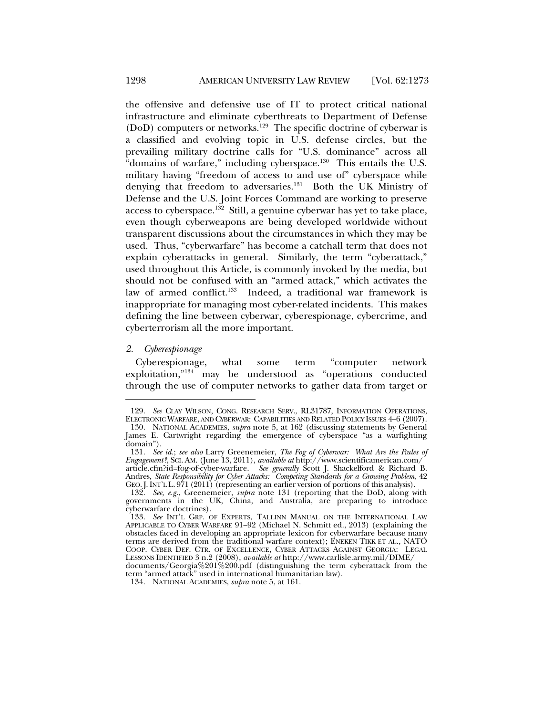the offensive and defensive use of IT to protect critical national infrastructure and eliminate cyberthreats to Department of Defense  $(DoD)$  computers or networks.<sup>129</sup> The specific doctrine of cyberwar is a classified and evolving topic in U.S. defense circles, but the prevailing military doctrine calls for "U.S. dominance" across all "domains of warfare," including cyberspace.<sup>130</sup> This entails the U.S. military having "freedom of access to and use of" cyberspace while denying that freedom to adversaries.<sup>131</sup> Both the UK Ministry of Defense and the U.S. Joint Forces Command are working to preserve access to cyberspace.<sup>132</sup> Still, a genuine cyberwar has yet to take place, even though cyberweapons are being developed worldwide without transparent discussions about the circumstances in which they may be used. Thus, "cyberwarfare" has become a catchall term that does not explain cyberattacks in general. Similarly, the term "cyberattack," used throughout this Article, is commonly invoked by the media, but should not be confused with an "armed attack," which activates the law of armed conflict.<sup>133</sup> Indeed, a traditional war framework is inappropriate for managing most cyber-related incidents. This makes defining the line between cyberwar, cyberespionage, cybercrime, and cyberterrorism all the more important.

#### *2. Cyberespionage*

l

Cyberespionage, what some term "computer network exploitation,"134 may be understood as "operations conducted through the use of computer networks to gather data from target or

134. NATIONAL ACADEMIES, *supra* note 5, at 161.

 <sup>129.</sup> *See* CLAY WILSON, CONG. RESEARCH SERV., RL31787, INFORMATION OPERATIONS, ELECTRONIC WARFARE, AND CYBERWAR: CAPABILITIES AND RELATED POLICY ISSUES 4–6 (2007). 130. NATIONAL ACADEMIES, *supra* note 5, at 162 (discussing statements by General James E. Cartwright regarding the emergence of cyberspace "as a warfighting

domain"). 131. *See id.*; *see also* Larry Greenemeier, *The Fog of Cyberwar: What Are the Rules of Engagement?*, SCI. AM. (June 13, 2011), *available at* http://www.scientificamerican.com/

article.cfm?id=fog-of-cyber-warfare. *See generally* Scott J. Shackelford & Richard B. Andres, *State Responsibility for Cyber Attacks: Competing Standards for a Growing Problem*, 42 GEO.J.INT'L L. 971 (2011) (representing an earlier version of portions of this analysis).

<sup>132.</sup> See, e.g., Greenemeier, *supra* note 131 (reporting that the DoD, along with governments in the UK, China, and Australia, are preparing to introduce cyberwarfare doctrines).

 <sup>133.</sup> *See* INT'L GRP. OF EXPERTS, TALLINN MANUAL ON THE INTERNATIONAL LAW APPLICABLE TO CYBER WARFARE 91–92 (Michael N. Schmitt ed., 2013) (explaining the obstacles faced in developing an appropriate lexicon for cyberwarfare because many terms are derived from the traditional warfare context); ENEKEN TIKK ET AL., NATO COOP. CYBER DEF. CTR. OF EXCELLENCE, CYBER ATTACKS AGAINST GEORGIA: LEGAL LESSONS IDENTIFIED 3 n.2 (2008), *available at* http://www.carlisle.army.mil/DIME/

documents/Georgia%201%200.pdf (distinguishing the term cyberattack from the term "armed attack" used in international humanitarian law).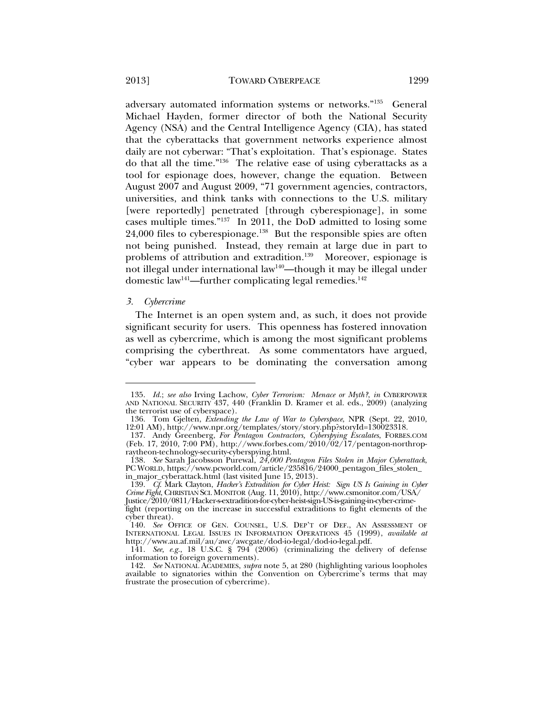adversary automated information systems or networks."135 General Michael Hayden, former director of both the National Security Agency (NSA) and the Central Intelligence Agency (CIA), has stated that the cyberattacks that government networks experience almost daily are not cyberwar: "That's exploitation. That's espionage. States do that all the time."136 The relative ease of using cyberattacks as a tool for espionage does, however, change the equation. Between August 2007 and August 2009, "71 government agencies, contractors, universities, and think tanks with connections to the U.S. military [were reportedly] penetrated [through cyberespionage], in some cases multiple times."137 In 2011, the DoD admitted to losing some 24,000 files to cyberespionage.<sup>138</sup> But the responsible spies are often not being punished. Instead, they remain at large due in part to problems of attribution and extradition.<sup>139</sup> Moreover, espionage is not illegal under international law<sup>140</sup>—though it may be illegal under domestic law<sup>141</sup>—further complicating legal remedies.<sup>142</sup>

#### *3. Cybercrime*

l

The Internet is an open system and, as such, it does not provide significant security for users. This openness has fostered innovation as well as cybercrime, which is among the most significant problems comprising the cyberthreat. As some commentators have argued, "cyber war appears to be dominating the conversation among

 <sup>135.</sup> *Id.*; *see also* Irving Lachow, *Cyber Terrorism: Menace or Myth?*, *in* CYBERPOWER AND NATIONAL SECURITY 437, 440 (Franklin D. Kramer et al. eds., 2009) (analyzing the terrorist use of cyberspace).

 <sup>136.</sup> Tom Gjelten, *Extending the Law of War to Cyberspace*, NPR (Sept. 22, 2010, 12:01 AM), http://www.npr.org/templates/story/story.php?storyId=130023318.

 <sup>137.</sup> Andy Greenberg, *For Pentagon Contractors, Cyberspying Escalates*, FORBES.COM (Feb. 17, 2010, 7:00 PM), http://www.forbes.com/2010/02/17/pentagon-northropraytheon-technology-security-cyberspying.html.

 <sup>138.</sup> *See* Sarah Jacobsson Purewal, *24,000 Pentagon Files Stolen in Major Cyberattack*, PC WORLD, https://www.pcworld.com/article/235816/24000\_pentagon\_files\_stolen\_ in\_major\_cyberattack.html (last visited June 15, 2013).

 <sup>139.</sup> *Cf*. Mark Clayton, *Hacker's Extradition for Cyber Heist: Sign US Is Gaining in Cyber Crime Fight*, CHRISTIAN SCI. MONITOR (Aug. 11, 2010), http://www.csmonitor.com/USA/ Justice/2010/0811/Hacker-s-extradition-for-cyber-heist-sign-US-is-gaining-in-cyber-crime-

fight (reporting on the increase in successful extraditions to fight elements of the cyber threat).

 <sup>140.</sup> *See* OFFICE OF GEN. COUNSEL, U.S. DEP'T OF DEF., AN ASSESSMENT OF INTERNATIONAL LEGAL ISSUES IN INFORMATION OPERATIONS 45 (1999), *available at* http://www.au.af.mil/au/awc/awcgate/dod-io-legal/dod-io-legal.pdf.

 <sup>141.</sup> *See, e.g.*, 18 U.S.C. § 794 (2006) (criminalizing the delivery of defense information to foreign governments).

 <sup>142.</sup> *See* NATIONAL ACADEMIES, *supra* note 5, at 280 (highlighting various loopholes available to signatories within the Convention on Cybercrime's terms that may frustrate the prosecution of cybercrime).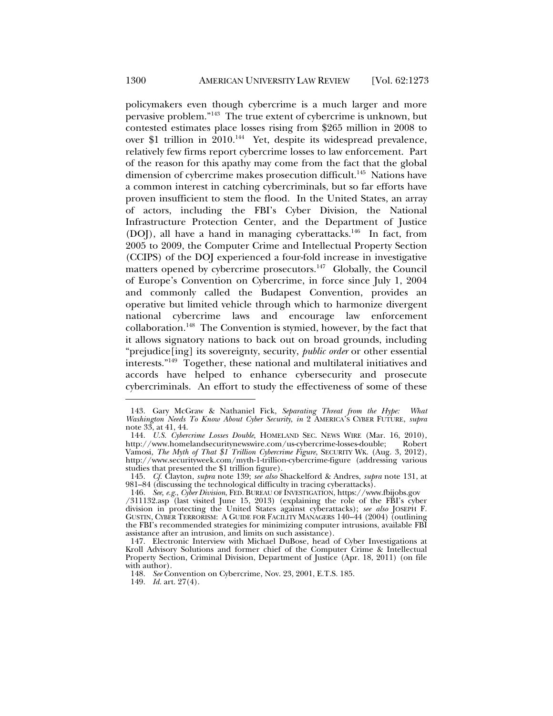policymakers even though cybercrime is a much larger and more pervasive problem."143 The true extent of cybercrime is unknown, but contested estimates place losses rising from \$265 million in 2008 to over \$1 trillion in 2010.<sup>144</sup> Yet, despite its widespread prevalence, relatively few firms report cybercrime losses to law enforcement. Part of the reason for this apathy may come from the fact that the global dimension of cybercrime makes prosecution difficult.<sup>145</sup> Nations have a common interest in catching cybercriminals, but so far efforts have proven insufficient to stem the flood. In the United States, an array of actors, including the FBI's Cyber Division, the National Infrastructure Protection Center, and the Department of Justice (DOJ), all have a hand in managing cyberattacks.<sup>146</sup> In fact, from 2005 to 2009, the Computer Crime and Intellectual Property Section (CCIPS) of the DOJ experienced a four-fold increase in investigative matters opened by cybercrime prosecutors.<sup>147</sup> Globally, the Council of Europe's Convention on Cybercrime, in force since July 1, 2004 and commonly called the Budapest Convention, provides an operative but limited vehicle through which to harmonize divergent national cybercrime laws and encourage law enforcement collaboration.148 The Convention is stymied, however, by the fact that it allows signatory nations to back out on broad grounds, including "prejudice[ing] its sovereignty, security, *public order* or other essential interests."149 Together, these national and multilateral initiatives and accords have helped to enhance cybersecurity and prosecute cybercriminals. An effort to study the effectiveness of some of these

 <sup>143.</sup> Gary McGraw & Nathaniel Fick, *Separating Threat from the Hype: What Washington Needs To Know About Cyber Security*, *in* 2 AMERICA'S CYBER FUTURE, *supra* note 33, at 41, 44.

 <sup>144.</sup> *U.S. Cybercrime Losses Double*, HOMELAND SEC. NEWS WIRE (Mar. 16, 2010), http://www.homelandsecuritynewswire.com/us-cybercrime-losses-double; Vamosi, *The Myth of That \$1 Trillion Cybercrime Figure*, SECURITY WK. (Aug. 3, 2012), http://www.securityweek.com/myth-1-trillion-cybercrime-figure (addressing various studies that presented the \$1 trillion figure).

 <sup>145.</sup> *Cf.* Clayton, *supra* note 139; *see also* Shackelford & Andres, *supra* note 131, at 981–84 (discussing the technological difficulty in tracing cyberattacks).

 <sup>146.</sup> *See, e.g.*, *Cyber Division*, FED. BUREAU OF INVESTIGATION, https://www.fbijobs.gov

<sup>/311132.</sup>asp (last visited June 15, 2013) (explaining the role of the FBI's cyber division in protecting the United States against cyberattacks); *see also* JOSEPH F. GUSTIN, CYBER TERRORISM: A GUIDE FOR FACILITY MANAGERS 140–44 (2004) (outlining the FBI's recommended strategies for minimizing computer intrusions, available FBI assistance after an intrusion, and limits on such assistance).

 <sup>147.</sup> Electronic Interview with Michael DuBose, head of Cyber Investigations at Kroll Advisory Solutions and former chief of the Computer Crime & Intellectual Property Section, Criminal Division, Department of Justice (Apr. 18, 2011) (on file with author).

 <sup>148.</sup> *See* Convention on Cybercrime, Nov. 23, 2001, E.T.S. 185.

 <sup>149.</sup> *Id.* art. 27(4).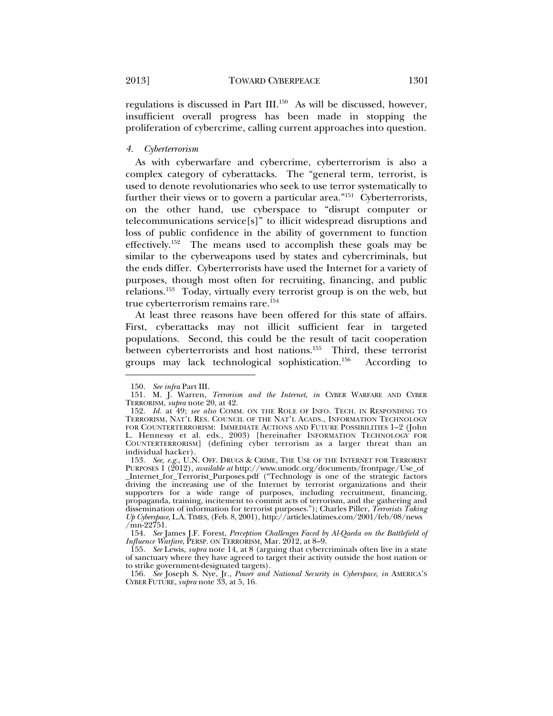regulations is discussed in Part III.150 As will be discussed, however, insufficient overall progress has been made in stopping the proliferation of cybercrime, calling current approaches into question.

#### *4. Cyberterrorism*

As with cyberwarfare and cybercrime, cyberterrorism is also a complex category of cyberattacks. The "general term, terrorist, is used to denote revolutionaries who seek to use terror systematically to further their views or to govern a particular area."<sup>151</sup> Cyberterrorists, on the other hand, use cyberspace to "disrupt computer or telecommunications service[s]" to illicit widespread disruptions and loss of public confidence in the ability of government to function effectively.<sup>152</sup> The means used to accomplish these goals may be similar to the cyberweapons used by states and cybercriminals, but the ends differ. Cyberterrorists have used the Internet for a variety of purposes, though most often for recruiting, financing, and public relations.153 Today, virtually every terrorist group is on the web, but true cyberterrorism remains rare.154

At least three reasons have been offered for this state of affairs. First, cyberattacks may not illicit sufficient fear in targeted populations. Second, this could be the result of tacit cooperation between cyberterrorists and host nations.<sup>155</sup> Third, these terrorist groups may lack technological sophistication.156 According to

 <sup>150.</sup> *See infra* Part III.

 <sup>151.</sup> M. J. Warren, *Terrorism and the Internet*, *in* CYBER WARFARE AND CYBER TERRORISM, *supra* note 20, at 42.

 <sup>152.</sup> *Id.* at 49; *see also* COMM. ON THE ROLE OF INFO. TECH. IN RESPONDING TO TERRORISM, NAT'L RES. COUNCIL OF THE NAT'L ACADS., INFORMATION TECHNOLOGY FOR COUNTERTERRORISM: IMMEDIATE ACTIONS AND FUTURE POSSIBILITIES 1–2 (John L. Hennessy et al. eds., 2003) [hereinafter INFORMATION TECHNOLOGY FOR COUNTERTERRORISM] (defining cyber terrorism as a larger threat than an individual hacker).

<sup>153.</sup> See, e.g., U.N. OFF. DRUGS & CRIME, THE USE OF THE INTERNET FOR TERRORIST PURPOSES 1 (2012), *available at* http://www.unodc.org/documents/frontpage/Use\_of \_Internet\_for\_Terrorist\_Purposes.pdf ("Technology is one of the strategic factors driving the increasing use of the Internet by terrorist organizations and their supporters for a wide range of purposes, including recruitment, financing, propaganda, training, incitement to commit acts of terrorism, and the gathering and dissemination of information for terrorist purposes."); Charles Piller, *Terrorists Taking Up Cyberspace*, L.A.TIMES, (Feb. 8, 2001), http://articles.latimes.com/2001/feb/08/news  $\sqrt{mn}$ -22751.

 <sup>154.</sup> *See* James J.F. Forest, *Perception Challenges Faced by Al-Qaeda on the Battlefield of Influence Warfare*, PERSP. ON TERRORISM, Mar. 2012, at 8–9.

 <sup>155.</sup> *See* Lewis, *supra* note 14, at 8 (arguing that cybercriminals often live in a state of sanctuary where they have agreed to target their activity outside the host nation or to strike government-designated targets).

 <sup>156.</sup> *See* Joseph S. Nye, Jr., *Power and National Security in Cyberspace*, *in* AMERICA'S CYBER FUTURE, *supra* note 33, at 5, 16.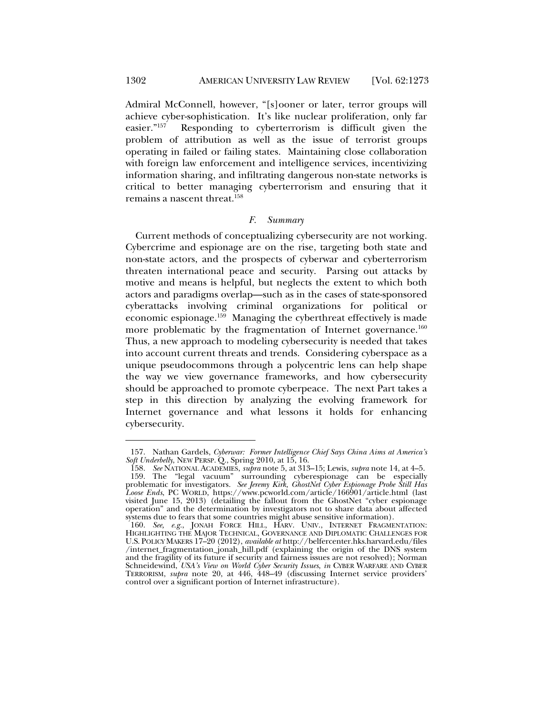Admiral McConnell, however, "[s]ooner or later, terror groups will achieve cyber-sophistication. It's like nuclear proliferation, only far easier."157 Responding to cyberterrorism is difficult given the problem of attribution as well as the issue of terrorist groups operating in failed or failing states. Maintaining close collaboration with foreign law enforcement and intelligence services, incentivizing information sharing, and infiltrating dangerous non-state networks is critical to better managing cyberterrorism and ensuring that it remains a nascent threat.<sup>158</sup>

#### *F. Summary*

Current methods of conceptualizing cybersecurity are not working. Cybercrime and espionage are on the rise, targeting both state and non-state actors, and the prospects of cyberwar and cyberterrorism threaten international peace and security. Parsing out attacks by motive and means is helpful, but neglects the extent to which both actors and paradigms overlap—such as in the cases of state-sponsored cyberattacks involving criminal organizations for political or economic espionage.159 Managing the cyberthreat effectively is made more problematic by the fragmentation of Internet governance.<sup>160</sup> Thus, a new approach to modeling cybersecurity is needed that takes into account current threats and trends. Considering cyberspace as a unique pseudocommons through a polycentric lens can help shape the way we view governance frameworks, and how cybersecurity should be approached to promote cyberpeace. The next Part takes a step in this direction by analyzing the evolving framework for Internet governance and what lessons it holds for enhancing cybersecurity.

 <sup>157.</sup> Nathan Gardels, *Cyberwar: Former Intelligence Chief Says China Aims at America's Soft Underbelly*, NEW PERSP. Q., Spring 2010, at 15, 16.

 <sup>158.</sup> *See* NATIONAL ACADEMIES, *supra* note 5, at 313–15; Lewis, *supra* note 14, at 4–5. 159. The "legal vacuum" surrounding cyberespionage can be especially problematic for investigators. *See Jeremy Kirk, GhostNet Cyber Espionage Probe Still Has Loose Ends*, PC WORLD, https://www.pcworld.com/article/166901/article.html (last visited June 15, 2013) (detailing the fallout from the GhostNet "cyber espionage operation" and the determination by investigators not to share data about affected systems due to fears that some countries might abuse sensitive information).

 <sup>160.</sup> *See, e.g.*, JONAH FORCE HILL, HARV. UNIV., INTERNET FRAGMENTATION: HIGHLIGHTING THE MAJOR TECHNICAL, GOVERNANCE AND DIPLOMATIC CHALLENGES FOR U.S. POLICY MAKERS 17–20 (2012), *available at* http://belfercenter.hks.harvard.edu/files /internet\_fragmentation\_jonah\_hill.pdf (explaining the origin of the DNS system and the fragility of its future if security and fairness issues are not resolved); Norman Schneidewind, *USA's View on World Cyber Security Issues*, *in* CYBER WARFARE AND CYBER TERRORISM, *supra* note 20, at 446, 448–49 (discussing Internet service providers' control over a significant portion of Internet infrastructure).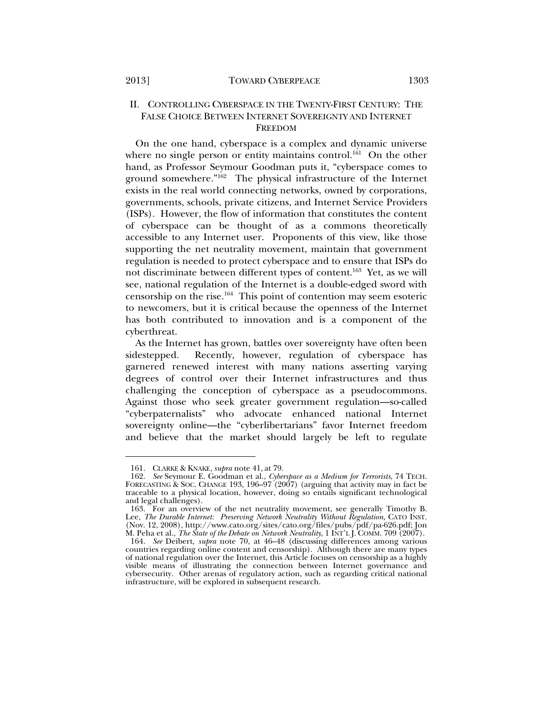#### II. CONTROLLING CYBERSPACE IN THE TWENTY-FIRST CENTURY: THE FALSE CHOICE BETWEEN INTERNET SOVEREIGNTY AND INTERNET FREEDOM

On the one hand, cyberspace is a complex and dynamic universe where no single person or entity maintains control.<sup>161</sup> On the other hand, as Professor Seymour Goodman puts it, "cyberspace comes to ground somewhere."162 The physical infrastructure of the Internet exists in the real world connecting networks, owned by corporations, governments, schools, private citizens, and Internet Service Providers (ISPs). However, the flow of information that constitutes the content of cyberspace can be thought of as a commons theoretically accessible to any Internet user. Proponents of this view, like those supporting the net neutrality movement, maintain that government regulation is needed to protect cyberspace and to ensure that ISPs do not discriminate between different types of content.<sup>163</sup> Yet, as we will see, national regulation of the Internet is a double-edged sword with censorship on the rise.164 This point of contention may seem esoteric to newcomers, but it is critical because the openness of the Internet has both contributed to innovation and is a component of the cyberthreat.

As the Internet has grown, battles over sovereignty have often been sidestepped. Recently, however, regulation of cyberspace has garnered renewed interest with many nations asserting varying degrees of control over their Internet infrastructures and thus challenging the conception of cyberspace as a pseudocommons. Against those who seek greater government regulation—so-called "cyberpaternalists" who advocate enhanced national Internet sovereignty online—the "cyberlibertarians" favor Internet freedom and believe that the market should largely be left to regulate

 <sup>161.</sup> CLARKE & KNAKE, *supra* note 41, at 79. FORECASTING & SOC. CHANGE 193, 196-97 (2007) (arguing that activity may in fact be traceable to a physical location, however, doing so entails significant technological and legal challenges).

 <sup>163.</sup> For an overview of the net neutrality movement, see generally Timothy B. Lee, *The Durable Internet: Preserving Network Neutrality Without Regulation*, CATO INST. (Nov. 12, 2008), http://www.cato.org/sites/cato.org/files/pubs/pdf/pa-626.pdf; Jon M. Peha et al., *The State of the Debate on Network Neutrality*, 1 INT'L J. COMM. 709 (2007).

 <sup>164.</sup> *See* Deibert, *supra* note 70, at 46–48 (discussing differences among various countries regarding online content and censorship). Although there are many types of national regulation over the Internet, this Article focuses on censorship as a highly visible means of illustrating the connection between Internet governance and cybersecurity. Other arenas of regulatory action, such as regarding critical national infrastructure, will be explored in subsequent research.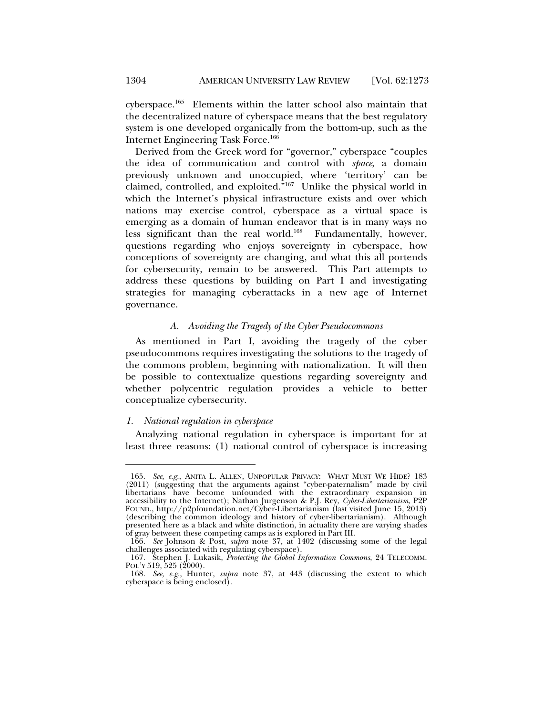cyberspace.165 Elements within the latter school also maintain that the decentralized nature of cyberspace means that the best regulatory system is one developed organically from the bottom-up, such as the Internet Engineering Task Force.166

Derived from the Greek word for "governor," cyberspace "couples the idea of communication and control with *space*, a domain previously unknown and unoccupied, where 'territory' can be claimed, controlled, and exploited."167 Unlike the physical world in which the Internet's physical infrastructure exists and over which nations may exercise control, cyberspace as a virtual space is emerging as a domain of human endeavor that is in many ways no less significant than the real world.<sup>168</sup> Fundamentally, however, questions regarding who enjoys sovereignty in cyberspace, how conceptions of sovereignty are changing, and what this all portends for cybersecurity, remain to be answered. This Part attempts to address these questions by building on Part I and investigating strategies for managing cyberattacks in a new age of Internet governance.

#### *A. Avoiding the Tragedy of the Cyber Pseudocommons*

As mentioned in Part I, avoiding the tragedy of the cyber pseudocommons requires investigating the solutions to the tragedy of the commons problem, beginning with nationalization. It will then be possible to contextualize questions regarding sovereignty and whether polycentric regulation provides a vehicle to better conceptualize cybersecurity.

#### *1. National regulation in cyberspace*

l

Analyzing national regulation in cyberspace is important for at least three reasons: (1) national control of cyberspace is increasing

 <sup>165.</sup> *See, e.g.*, ANITA L. ALLEN, UNPOPULAR PRIVACY: WHAT MUST WE HIDE? 183 (2011) (suggesting that the arguments against "cyber-paternalism" made by civil libertarians have become unfounded with the extraordinary expansion in accessibility to the Internet); Nathan Jurgenson & P.J. Rey, *Cyber-Libertarianism*, P2P FOUND., http://p2pfoundation.net/Cyber-Libertarianism (last visited June 15, 2013) (describing the common ideology and history of cyber-libertarianism). Although presented here as a black and white distinction, in actuality there are varying shades of gray between these competing camps as is explored in Part III.

 <sup>166.</sup> *See* Johnson & Post, *supra* note 37, at 1402 (discussing some of the legal challenges associated with regulating cyberspace).

 <sup>167.</sup> Stephen J. Lukasik, *Protecting the Global Information Commons*, 24 TELECOMM. POL'Y 519, 525 (2000).

 <sup>168.</sup> *See, e.g.*, Hunter, *supra* note 37, at 443 (discussing the extent to which cyberspace is being enclosed).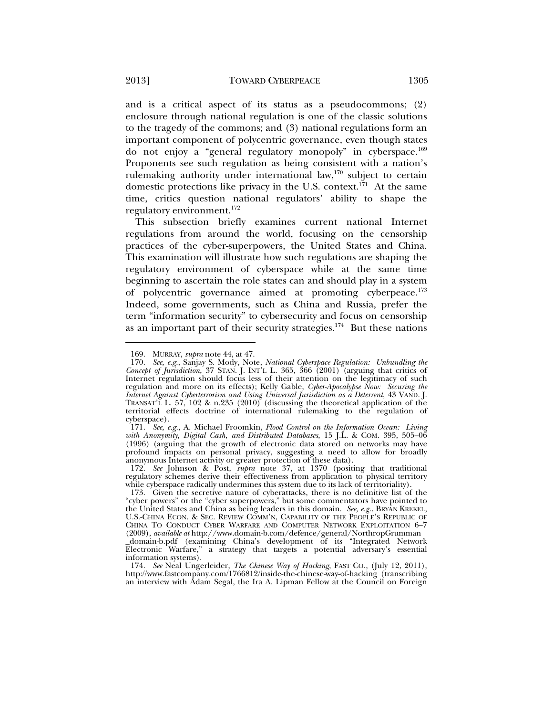and is a critical aspect of its status as a pseudocommons; (2) enclosure through national regulation is one of the classic solutions to the tragedy of the commons; and (3) national regulations form an important component of polycentric governance, even though states do not enjoy a "general regulatory monopoly" in cyberspace.169 Proponents see such regulation as being consistent with a nation's rulemaking authority under international law,<sup>170</sup> subject to certain domestic protections like privacy in the U.S. context.<sup>171</sup> At the same time, critics question national regulators' ability to shape the regulatory environment.172

This subsection briefly examines current national Internet regulations from around the world, focusing on the censorship practices of the cyber-superpowers, the United States and China. This examination will illustrate how such regulations are shaping the regulatory environment of cyberspace while at the same time beginning to ascertain the role states can and should play in a system of polycentric governance aimed at promoting cyberpeace.173 Indeed, some governments, such as China and Russia, prefer the term "information security" to cybersecurity and focus on censorship as an important part of their security strategies.174 But these nations

 172. *See* Johnson & Post, *supra* note 37, at 1370 (positing that traditional regulatory schemes derive their effectiveness from application to physical territory while cyberspace radically undermines this system due to its lack of territoriality).

information systems).

 174. *See* Neal Ungerleider, *The Chinese Way of Hacking*, FAST CO., (July 12, 2011), http://www.fastcompany.com/1766812/inside-the-chinese-way-of-hacking (transcribing an interview with Adam Segal, the Ira A. Lipman Fellow at the Council on Foreign

 <sup>169.</sup> MURRAY, *supra* note 44, at 47.

 <sup>170.</sup> *See, e.g.*, Sanjay S. Mody, Note, *National Cyberspace Regulation: Unbundling the Concept of Jurisdiction*, 37 STAN. J. INT'L L. 365, 366 (2001) (arguing that critics of Internet regulation should focus less of their attention on the legitimacy of such regulation and more on its effects); Kelly Gable, *Cyber-Apocalypse Now: Securing the Internet Against Cyberterrorism and Using Universal Jurisdiction as a Deterrent*, 43 VAND. J. TRANSAT'L L. 57, 102 & n.235  $(2010)$ <sup>o</sup> (discussing the theoretical application of the territorial effects doctrine of international rulemaking to the regulation of cyberspace).

 <sup>171.</sup> *See, e.g.*, A. Michael Froomkin, *Flood Control on the Information Ocean: Living with Anonymity, Digital Cash, and Distributed Databases*, 15 J.L. & COM. 395, 505–06 (1996) (arguing that the growth of electronic data stored on networks may have profound impacts on personal privacy, suggesting a need to allow for broadly anonymous Internet activity or greater protection of these data).

 <sup>173.</sup> Given the secretive nature of cyberattacks, there is no definitive list of the "cyber powers" or the "cyber superpowers," but some commentators have pointed to the United States and China as being leaders in this domain. *See, e.g.*, BRYAN KREKEL, U.S.-CHINA ECON. & SEC. REVIEW COMM'N, CAPABILITY OF THE PEOPLE'S REPUBLIC OF CHINA TO CONDUCT CYBER WARFARE AND COMPUTER NETWORK EXPLOITATION 6–7 (2009), *available at* http://www.domain-b.com/defence/general/NorthropGrumman \_domain-b.pdf (examining China's development of its "Integrated Network Electronic Warfare," a strategy that targets a potential adversary's essential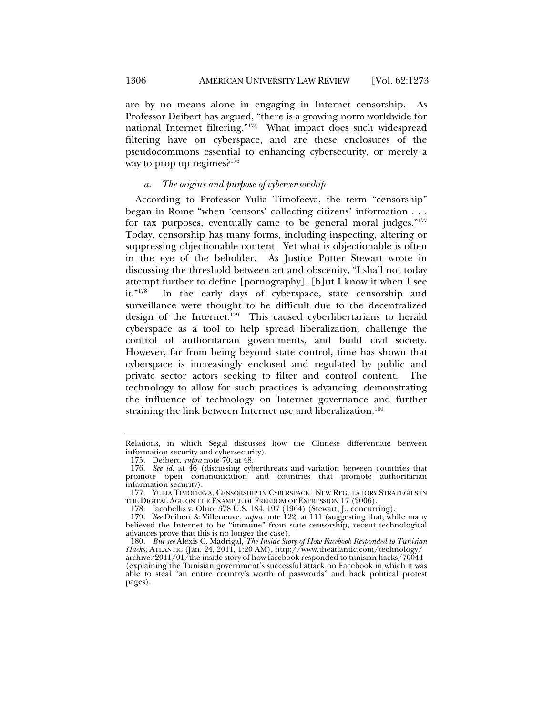are by no means alone in engaging in Internet censorship. As Professor Deibert has argued, "there is a growing norm worldwide for national Internet filtering."175 What impact does such widespread filtering have on cyberspace, and are these enclosures of the pseudocommons essential to enhancing cybersecurity, or merely a way to prop up regimes? $176$ 

#### *a. The origins and purpose of cybercensorship*

According to Professor Yulia Timofeeva, the term "censorship" began in Rome "when 'censors' collecting citizens' information . . . for tax purposes, eventually came to be general moral judges."177 Today, censorship has many forms, including inspecting, altering or suppressing objectionable content. Yet what is objectionable is often in the eye of the beholder. As Justice Potter Stewart wrote in discussing the threshold between art and obscenity, "I shall not today attempt further to define [pornography], [b]ut I know it when I see<br>it."<sup>178</sup> In the early days of cyberspace, state censorship and In the early days of cyberspace, state censorship and surveillance were thought to be difficult due to the decentralized design of the Internet.<sup>179</sup> This caused cyberlibertarians to herald cyberspace as a tool to help spread liberalization, challenge the control of authoritarian governments, and build civil society. However, far from being beyond state control, time has shown that cyberspace is increasingly enclosed and regulated by public and private sector actors seeking to filter and control content. The technology to allow for such practices is advancing, demonstrating the influence of technology on Internet governance and further straining the link between Internet use and liberalization.<sup>180</sup>

Relations, in which Segal discusses how the Chinese differentiate between information security and cybersecurity).

 <sup>175.</sup> Deibert, *supra* note 70, at 48.

 <sup>176.</sup> *See id.* at 46 (discussing cyberthreats and variation between countries that promote open communication and countries that promote authoritarian information security).

 <sup>177.</sup> YULIA TIMOFEEVA, CENSORSHIP IN CYBERSPACE: NEW REGULATORY STRATEGIES IN THE DIGITAL AGE ON THE EXAMPLE OF FREEDOM OF EXPRESSION 17 (2006).

 <sup>178.</sup> Jacobellis v. Ohio, 378 U.S. 184, 197 (1964) (Stewart, J., concurring).

 <sup>179.</sup> *See* Deibert & Villeneuve, *supra* note 122, at 111 (suggesting that, while many believed the Internet to be "immune" from state censorship, recent technological advances prove that this is no longer the case).

 <sup>180.</sup> *But see* Alexis C. Madrigal, *The Inside Story of How Facebook Responded to Tunisian Hacks*, ATLANTIC (Jan. 24, 2011, 1:20 AM), http://www.theatlantic.com/technology/ archive/2011/01/the-inside-story-of-how-facebook-responded-to-tunisian-hacks/70044

<sup>(</sup>explaining the Tunisian government's successful attack on Facebook in which it was able to steal "an entire country's worth of passwords" and hack political protest pages).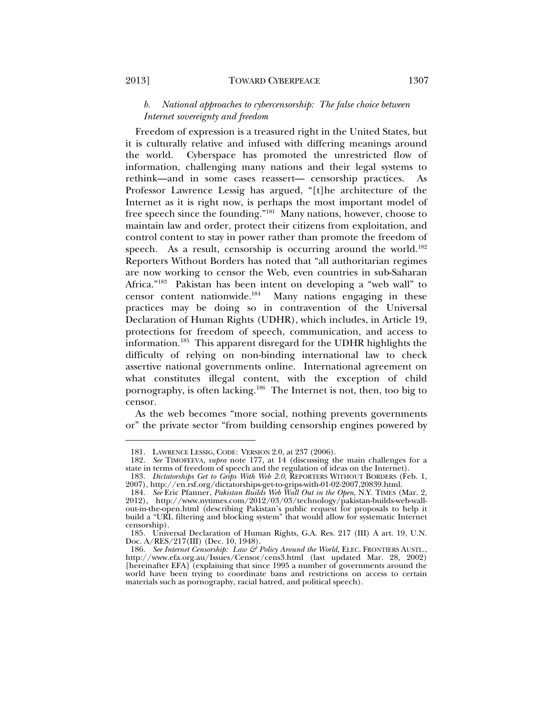l

# *b. National approaches to cybercensorship: The false choice between Internet sovereignty and freedom*

Freedom of expression is a treasured right in the United States, but it is culturally relative and infused with differing meanings around the world. Cyberspace has promoted the unrestricted flow of information, challenging many nations and their legal systems to rethink—and in some cases reassert— censorship practices. As Professor Lawrence Lessig has argued, "[t]he architecture of the Internet as it is right now, is perhaps the most important model of free speech since the founding."181 Many nations, however, choose to maintain law and order, protect their citizens from exploitation, and control content to stay in power rather than promote the freedom of speech. As a result, censorship is occurring around the world.<sup>182</sup> Reporters Without Borders has noted that "all authoritarian regimes are now working to censor the Web, even countries in sub-Saharan Africa."183 Pakistan has been intent on developing a "web wall" to censor content nationwide.184 Many nations engaging in these practices may be doing so in contravention of the Universal Declaration of Human Rights (UDHR), which includes, in Article 19, protections for freedom of speech, communication, and access to information.185 This apparent disregard for the UDHR highlights the difficulty of relying on non-binding international law to check assertive national governments online. International agreement on what constitutes illegal content, with the exception of child pornography, is often lacking.186 The Internet is not, then, too big to censor.

As the web becomes "more social, nothing prevents governments or" the private sector "from building censorship engines powered by

 <sup>181.</sup> LAWRENCE LESSIG, CODE: VERSION 2.0, at 237 (2006).

 <sup>182.</sup> *See* TIMOFEEVA, *supra* note 177, at 14 (discussing the main challenges for a state in terms of freedom of speech and the regulation of ideas on the Internet).

 <sup>183.</sup> *Dictatorships Get to Grips With Web 2.0*, REPORTERS WITHOUT BORDERS (Feb. 1, 2007), http://en.rsf.org/dictatorships-get-to-grips-with-01-02-2007,20839.html.

 <sup>184.</sup> *See* Eric Pfanner, *Pakistan Builds Web Wall Out in the Open*, N.Y. TIMES (Mar. 2, 2012), http://www.nytimes.com/2012/03/03/technology/pakistan-builds-web-wallout-in-the-open.html (describing Pakistan's public request for proposals to help it build a "URL filtering and blocking system" that would allow for systematic Internet censorship).

 <sup>185.</sup> Universal Declaration of Human Rights, G.A. Res. 217 (III) A art. 19, U.N. Doc. A/RES/217(III) (Dec. 10, 1948).

 <sup>186.</sup> *See Internet Censorship: Law & Policy Around the World*, ELEC. FRONTIERS AUSTL., http://www.efa.org.au/Issues/Censor/cens3.html (last updated Mar. 28, 2002) [hereinafter EFA] (explaining that since 1995 a number of governments around the world have been trying to coordinate bans and restrictions on access to certain materials such as pornography, racial hatred, and political speech).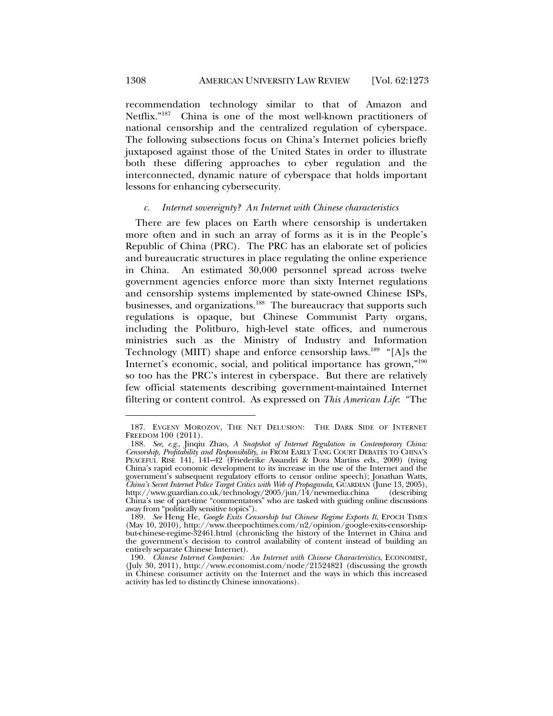recommendation technology similar to that of Amazon and Netflix."187 China is one of the most well-known practitioners of national censorship and the centralized regulation of cyberspace. The following subsections focus on China's Internet policies briefly juxtaposed against those of the United States in order to illustrate both these differing approaches to cyber regulation and the interconnected, dynamic nature of cyberspace that holds important lessons for enhancing cybersecurity.

#### *c. Internet sovereignty? An Internet with Chinese characteristics*

There are few places on Earth where censorship is undertaken more often and in such an array of forms as it is in the People's Republic of China (PRC). The PRC has an elaborate set of policies and bureaucratic structures in place regulating the online experience in China. An estimated 30,000 personnel spread across twelve government agencies enforce more than sixty Internet regulations and censorship systems implemented by state-owned Chinese ISPs, businesses, and organizations.<sup>188</sup> The bureaucracy that supports such regulations is opaque, but Chinese Communist Party organs, including the Politburo, high-level state offices, and numerous ministries such as the Ministry of Industry and Information Technology (MIIT) shape and enforce censorship laws.<sup>189</sup> "[A]s the Internet's economic, social, and political importance has grown,"<sup>190</sup> so too has the PRC's interest in cyberspace. But there are relatively few official statements describing government-maintained Internet filtering or content control. As expressed on *This American Life*: "The

 <sup>187.</sup> EVGENY MOROZOV, THE NET DELUSION: THE DARK SIDE OF INTERNET FREEDOM 100 (2011).

 <sup>188.</sup> *See, e.g.*, Jinqiu Zhao, *A Snapshot of Internet Regulation in Contemporary China: Censorship, Profitability and Responsibility*, *in* FROM EARLY TANG COURT DEBATES TO CHINA'S PEACEFUL RISE 141, 141–42 (Friederike Assandri & Dora Martins eds., 2009) (tying China's rapid economic development to its increase in the use of the Internet and the government's subsequent regulatory efforts to censor online speech); Jonathan Watts, *China's Secret Internet Police Target Critics with Web of Propaganda*, GÙARDIAN (June 13, 2005), http://www.guardian.co.uk/technology/2005/jun/14/newmedia.china (describing http://www.guardian.co.uk/technology/2005/jun/14/newmedia.china (describing China's use of part-time "commentators" who are tasked with guiding online discussions away from "politically sensitive topics").

 <sup>189.</sup> *See* Heng He, *Google Exits Censorship but Chinese Regime Exports It*, EPOCH TIMES (May 10, 2010), http://www.theepochtimes.com/n2/opinion/google-exits-censorshipbut-chinese-regime-32461.html (chronicling the history of the Internet in China and the government's decision to control availability of content instead of building an entirely separate Chinese Internet).

 <sup>190.</sup> *Chinese Internet Companies: An Internet with Chinese Characteristics*, ECONOMIST, (July 30, 2011), http://www.economist.com/node/21524821 (discussing the growth in Chinese consumer activity on the Internet and the ways in which this increased activity has led to distinctly Chinese innovations).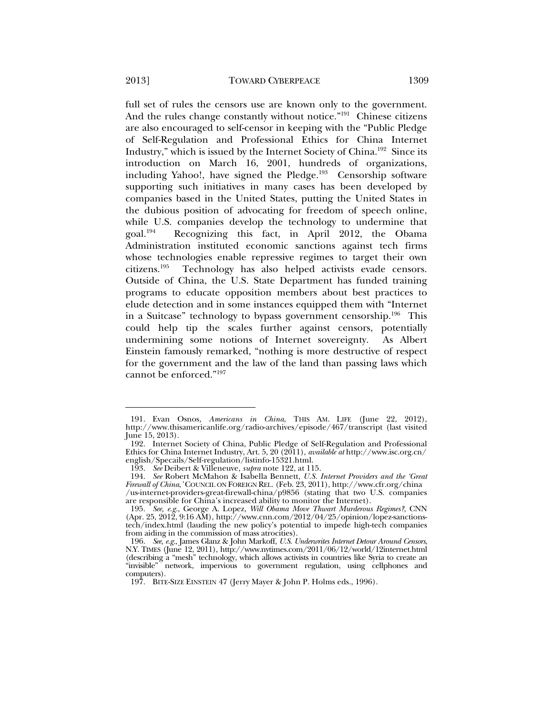full set of rules the censors use are known only to the government. And the rules change constantly without notice."<sup>191</sup> Chinese citizens are also encouraged to self-censor in keeping with the "Public Pledge of Self-Regulation and Professional Ethics for China Internet Industry," which is issued by the Internet Society of China.192 Since its introduction on March 16, 2001, hundreds of organizations, including Yahoo!, have signed the Pledge.<sup>193</sup> Censorship software supporting such initiatives in many cases has been developed by companies based in the United States, putting the United States in the dubious position of advocating for freedom of speech online, while U.S. companies develop the technology to undermine that goal. $^{194}$  Recognizing this fact, in April 2012, the Obama Recognizing this fact, in April 2012, the Obama Administration instituted economic sanctions against tech firms whose technologies enable repressive regimes to target their own citizens.<sup>195</sup> Technology has also helped activists evade censors. Technology has also helped activists evade censors. Outside of China, the U.S. State Department has funded training programs to educate opposition members about best practices to elude detection and in some instances equipped them with "Internet in a Suitcase" technology to bypass government censorship.196 This could help tip the scales further against censors, potentially undermining some notions of Internet sovereignty. As Albert Einstein famously remarked, "nothing is more destructive of respect for the government and the law of the land than passing laws which

cannot be enforced."197

 <sup>191.</sup> Evan Osnos, *Americans in China*, THIS AM. LIFE (June 22, 2012), http://www.thisamericanlife.org/radio-archives/episode/467/transcript (last visited June 15, 2013).

 <sup>192.</sup> Internet Society of China, Public Pledge of Self-Regulation and Professional Ethics for China Internet Industry, Art. 5, 20 (2011), *available at* http://www.isc.org.cn/ english/Specails/Self-regulation/listinfo-15321.html.

 <sup>193.</sup> *See* Deibert & Villeneuve, *supra* note 122, at 115.

 <sup>194.</sup> *See* Robert McMahon & Isabella Bennett, *U.S. Internet Providers and the 'Great Firewall of China*,*'* COUNCIL ON FOREIGN REL. (Feb. 23, 2011), http://www.cfr.org/china /us-internet-providers-great-firewall-china/p9856 (stating that two U.S. companies are responsible for China's increased ability to monitor the Internet).

 <sup>195.</sup> *See, e.g.*, George A. Lopez, *Will Obama Move Thwart Murderous Regimes?*, CNN (Apr. 25, 2012, 9:16 AM), http://www.cnn.com/2012/04/25/opinion/lopez-sanctionstech/index.html (lauding the new policy's potential to impede high-tech companies from aiding in the commission of mass atrocities).

 <sup>196.</sup> *See, e.g.*, James Glanz & John Markoff, *U.S. Underwrites Internet Detour Around Censors*, N.Y. TIMES (June 12, 2011), http://www.nytimes.com/2011/06/12/world/12internet.html (describing a "mesh" technology, which allows activists in countries like Syria to create an "invisible" network, impervious to government regulation, using cellphones and computers).

 <sup>197.</sup> BITE-SIZE EINSTEIN 47 (Jerry Mayer & John P. Holms eds., 1996).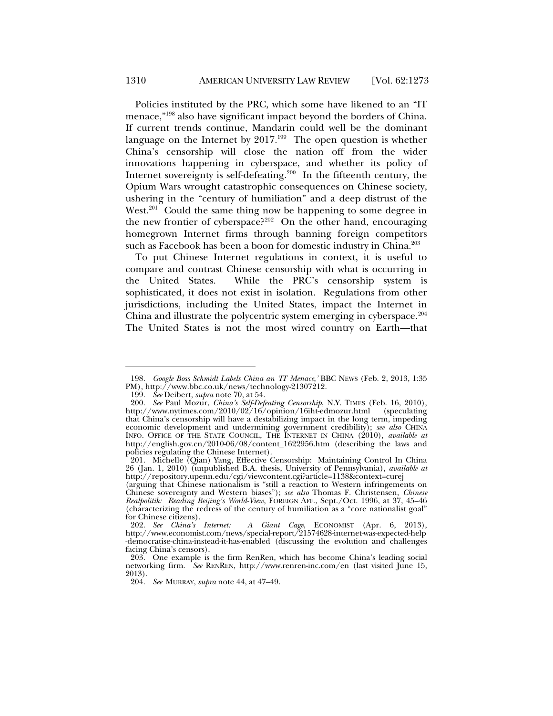Policies instituted by the PRC, which some have likened to an "IT menace,"198 also have significant impact beyond the borders of China. If current trends continue, Mandarin could well be the dominant language on the Internet by  $2017<sup>199</sup>$  The open question is whether China's censorship will close the nation off from the wider innovations happening in cyberspace, and whether its policy of Internet sovereignty is self-defeating.<sup>200</sup> In the fifteenth century, the Opium Wars wrought catastrophic consequences on Chinese society, ushering in the "century of humiliation" and a deep distrust of the West.<sup>201</sup> Could the same thing now be happening to some degree in the new frontier of cyberspace?<sup>202</sup> On the other hand, encouraging homegrown Internet firms through banning foreign competitors such as Facebook has been a boon for domestic industry in China.<sup>203</sup>

To put Chinese Internet regulations in context, it is useful to compare and contrast Chinese censorship with what is occurring in the United States. While the PRC's censorship system is sophisticated, it does not exist in isolation. Regulations from other jurisdictions, including the United States, impact the Internet in China and illustrate the polycentric system emerging in cyberspace.<sup>204</sup> The United States is not the most wired country on Earth—that

 <sup>198.</sup> *Google Boss Schmidt Labels China an 'IT Menace*,*'* BBC NEWS (Feb. 2, 2013, 1:35 PM), http://www.bbc.co.uk/news/technology-21307212.

 <sup>199.</sup> *See* Deibert, *supra* note 70, at 54.

 <sup>200.</sup> *See* Paul Mozur, *China's Self-Defeating Censorship*, N.Y. TIMES (Feb. 16, 2010), http://www.nytimes.com/2010/02/16/opinion/16iht-edmozur.html that China's censorship will have a destabilizing impact in the long term, impeding economic development and undermining government credibility); *see also* CHINA INFO. OFFICE OF THE STATE COUNCIL, THE INTERNET IN CHINA (2010), *available at* http://english.gov.cn/2010-06/08/content\_1622956.htm (describing the laws and policies regulating the Chinese Internet).

 <sup>201.</sup> Michelle (Qian) Yang, Effective Censorship: Maintaining Control In China 26 (Jan. 1, 2010) (unpublished B.A. thesis, University of Pennsylvania), *available at* http://repository.upenn.edu/cgi/viewcontent.cgi?article=1138&context=curej

<sup>(</sup>arguing that Chinese nationalism is "still a reaction to Western infringements on Chinese sovereignty and Western biases"); *see also* Thomas F. Christensen, *Chinese Realpolitik: Reading Beijing's World-View*, FOREIGN AFF., Sept./Oct. 1996, at 37, 45–46 (characterizing the redress of the century of humiliation as a "core nationalist goal" for Chinese citizens).

 <sup>202.</sup> *See China's Internet: A Giant Cage*, ECONOMIST (Apr. 6, 2013), http://www.economist.com/news/special-report/21574628-internet-was-expected-help -democratise-china-instead-it-has-enabled (discussing the evolution and challenges facing China's censors).

 <sup>203.</sup> One example is the firm RenRen, which has become China's leading social networking firm. *See* RENREN, http://www.renren-inc.com/en (last visited June 15, 2013).

 <sup>204.</sup> *See* MURRAY, *supra* note 44, at 47–49.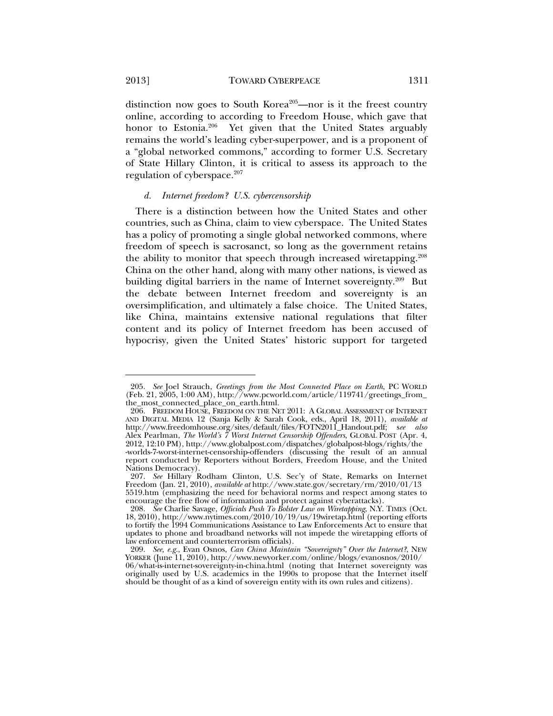l

distinction now goes to South Korea<sup>205</sup>—nor is it the freest country online, according to according to Freedom House, which gave that honor to Estonia.<sup>206</sup> Yet given that the United States arguably remains the world's leading cyber-superpower, and is a proponent of a "global networked commons," according to former U.S. Secretary of State Hillary Clinton, it is critical to assess its approach to the regulation of cyberspace. $207$ 

### *d. Internet freedom? U.S. cybercensorship*

There is a distinction between how the United States and other countries, such as China, claim to view cyberspace. The United States has a policy of promoting a single global networked commons, where freedom of speech is sacrosanct, so long as the government retains the ability to monitor that speech through increased wiretapping.<sup>208</sup> China on the other hand, along with many other nations, is viewed as building digital barriers in the name of Internet sovereignty.<sup>209</sup> But the debate between Internet freedom and sovereignty is an oversimplification, and ultimately a false choice. The United States, like China, maintains extensive national regulations that filter content and its policy of Internet freedom has been accused of hypocrisy, given the United States' historic support for targeted

 <sup>205.</sup> *See* Joel Strauch, *Greetings from the Most Connected Place on Earth*, PC WORLD (Feb. 21, 2005, 1:00 AM), http://www.pcworld.com/article/119741/greetings\_from\_ the\_most\_connected\_place\_on\_earth.html.

 <sup>206.</sup> FREEDOM HOUSE, FREEDOM ON THE NET 2011: A GLOBAL ASSESSMENT OF INTERNET AND DIGITAL MEDIA 12 (Sanja Kelly & Sarah Cook, eds., April 18, 2011), *available at* http://www.freedomhouse.org/sites/default/files/FOTN2011\_Handout.pdf; s*ee also* Alex Pearlman, *The World's 7 Worst Internet Censorship Offenders*, GLOBAL POST (Apr. 4, 2012, 12:10 PM), http://www.globalpost.com/dispatches/globalpost-blogs/rights/the -worlds-7-worst-internet-censorship-offenders (discussing the result of an annual report conducted by Reporters without Borders, Freedom House, and the United Nations Democracy).

<sup>207.</sup> See Hillary Rodham Clinton, U.S. Sec'y of State, Remarks on Internet Freedom (Jan. 21, 2010), *available at* http://www.state.gov/secretary/rm/2010/01/13 5519.htm (emphasizing the need for behavioral norms and respect among states to encourage the free flow of information and protect against cyberattacks).

 <sup>208.</sup> *See* Charlie Savage, *Officials Push To Bolster Law on Wiretapping*, N.Y. TIMES (Oct. 18, 2010), http://www.nytimes.com/2010/10/19/us/19wiretap.html (reporting efforts to fortify the 1994 Communications Assistance to Law Enforcements Act to ensure that updates to phone and broadband networks will not impede the wiretapping efforts of law enforcement and counterterrorism officials).

 <sup>209.</sup> *See, e.g.*, Evan Osnos, *Can China Maintain "Sovereignty" Over the Internet?*, NEW YORKER (June 11, 2010), http://www.newyorker.com/online/blogs/evanosnos/2010/ 06/what-is-internet-sovereignty-in-china.html (noting that Internet sovereignty was originally used by U.S. academics in the 1990s to propose that the Internet itself should be thought of as a kind of sovereign entity with its own rules and citizens).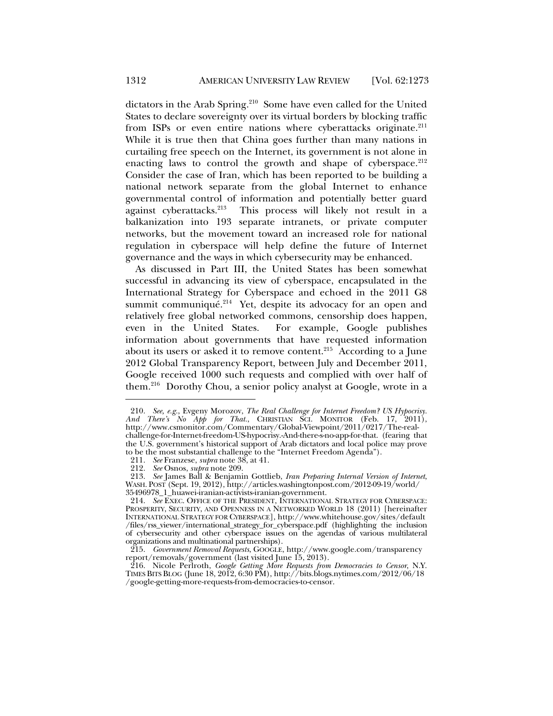dictators in the Arab Spring.<sup>210</sup> Some have even called for the United States to declare sovereignty over its virtual borders by blocking traffic from ISPs or even entire nations where cyberattacks originate.<sup>211</sup> While it is true then that China goes further than many nations in curtailing free speech on the Internet, its government is not alone in enacting laws to control the growth and shape of cyberspace.<sup>212</sup> Consider the case of Iran, which has been reported to be building a national network separate from the global Internet to enhance governmental control of information and potentially better guard against cyberattacks.<sup>213</sup> This process will likely not result in a balkanization into 193 separate intranets, or private computer networks, but the movement toward an increased role for national regulation in cyberspace will help define the future of Internet governance and the ways in which cybersecurity may be enhanced.

As discussed in Part III, the United States has been somewhat successful in advancing its view of cyberspace, encapsulated in the International Strategy for Cyberspace and echoed in the 2011 G8 summit communiqué.<sup>214</sup> Yet, despite its advocacy for an open and relatively free global networked commons, censorship does happen, even in the United States. For example, Google publishes information about governments that have requested information about its users or asked it to remove content.<sup>215</sup> According to a June 2012 Global Transparency Report, between July and December 2011, Google received 1000 such requests and complied with over half of them.<sup>216</sup> Dorothy Chou, a senior policy analyst at Google, wrote in a

 <sup>210.</sup> *See, e.g.*, Evgeny Morozov, *The Real Challenge for Internet Freedom? US Hypocrisy. And There's No App for That.*, CHRISTIAN SCI. MONITOR (Feb. 17, 2011), http://www.csmonitor.com/Commentary/Global-Viewpoint/2011/0217/The-realchallenge-for-Internet-freedom-US-hypocrisy.-And-there-s-no-app-for-that. (fearing that the U.S. government's historical support of Arab dictators and local police may prove to be the most substantial challenge to the "Internet Freedom Agenda").

 <sup>211.</sup> *See* Franzese, *supra* note 38, at 41.

 <sup>212.</sup> *See* Osnos, *supra* note 209.

 <sup>213.</sup> *See* James Ball & Benjamin Gottlieb, *Iran Preparing Internal Version of Internet*, WASH. POST (Sept. 19, 2012), http://articles.washingtonpost.com/2012-09-19/world/ 35496978\_1\_huawei-iranian-activists-iranian-government.

 <sup>214.</sup> *See* EXEC. OFFICE OF THE PRESIDENT, INTERNATIONAL STRATEGY FOR CYBERSPACE: PROSPERITY, SECURITY, AND OPENNESS IN A NETWORKED WORLD 18 (2011) [hereinafter INTERNATIONAL STRATEGY FOR CYBERSPACE], http://www.whitehouse.gov/sites/default /files/rss\_viewer/international\_strategy\_for\_cyberspace.pdf (highlighting the inclusion of cybersecurity and other cyberspace issues on the agendas of various multilateral organizations and multinational partnerships).

 <sup>215.</sup> *Government Removal Requests*, GOOGLE, http://www.google.com/transparency report/removals/government (last visited June 15, 2013).

 <sup>216.</sup> Nicole Perlroth, *Google Getting More Requests from Democracies to Censor*, N.Y. TIMES BITS BLOG (June 18, 2012, 6:30 PM), http://bits.blogs.nytimes.com/2012/06/18 /google-getting-more-requests-from-democracies-to-censor.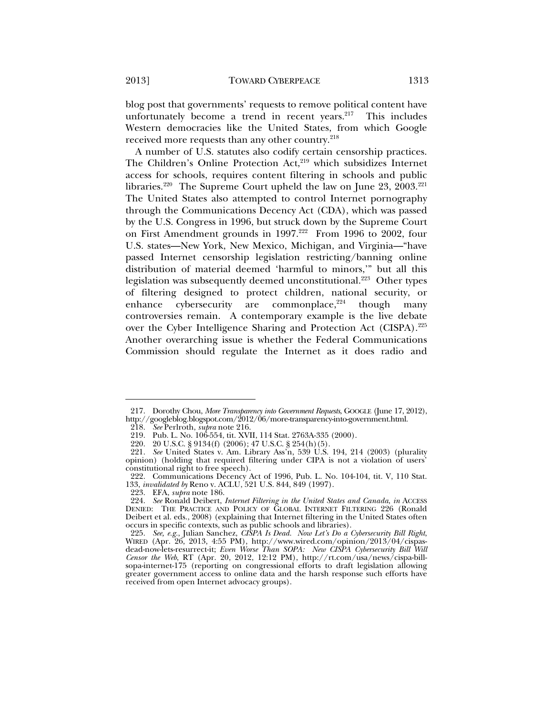blog post that governments' requests to remove political content have unfortunately become a trend in recent years.<sup>217</sup> This includes Western democracies like the United States, from which Google received more requests than any other country.<sup>218</sup>

A number of U.S. statutes also codify certain censorship practices. The Children's Online Protection Act,<sup>219</sup> which subsidizes Internet access for schools, requires content filtering in schools and public libraries.<sup>220</sup> The Supreme Court upheld the law on June 23, 2003.<sup>221</sup> The United States also attempted to control Internet pornography through the Communications Decency Act (CDA), which was passed by the U.S. Congress in 1996, but struck down by the Supreme Court on First Amendment grounds in 1997.<sup>222</sup> From 1996 to 2002, four U.S. states—New York, New Mexico, Michigan, and Virginia—"have passed Internet censorship legislation restricting/banning online distribution of material deemed 'harmful to minors,'" but all this legislation was subsequently deemed unconstitutional.<sup>223</sup> Other types of filtering designed to protect children, national security, or enhance cybersecurity are commonplace, $224$  though many controversies remain. A contemporary example is the live debate over the Cyber Intelligence Sharing and Protection Act (CISPA).225 Another overarching issue is whether the Federal Communications Commission should regulate the Internet as it does radio and

 <sup>217.</sup> Dorothy Chou, *More Transparency into Government Requests*, GOOGLE (June 17, 2012), http://googleblog.blogspot.com/2012/06/more-transparency-into-government.html.

 <sup>218.</sup> *See* Perlroth, *supra* note 216.

 <sup>219.</sup> Pub. L. No. 106-554, tit. XVII, 114 Stat. 2763A-335 (2000).

 <sup>220. 20</sup> U.S.C. § 9134(f) (2006); 47 U.S.C. § 254(h)(5).

 <sup>221.</sup> *See* United States v. Am. Library Ass'n, 539 U.S. 194, 214 (2003) (plurality opinion) (holding that required filtering under CIPA is not a violation of users' constitutional right to free speech).

 <sup>222.</sup> Communications Decency Act of 1996, Pub. L. No. 104-104, tit. V, 110 Stat. 133, *invalidated by* Reno v. ACLU, 521 U.S. 844, 849 (1997).

 <sup>223.</sup> EFA, *supra* note 186.

 <sup>224.</sup> *See* Ronald Deibert, *Internet Filtering in the United States and Canada*, *in* ACCESS DENIED: THE PRACTICE AND POLICY OF GLOBAL INTERNET FILTERING 226 (Ronald Deibert et al. eds., 2008) (explaining that Internet filtering in the United States often occurs in specific contexts, such as public schools and libraries).

 <sup>225.</sup> *See, e.g.*, Julian Sanchez, *CISPA Is Dead. Now Let's Do a Cybersecurity Bill Right*, WIRED (Apr. 26, 2013, 4:55 PM), http://www.wired.com/opinion/2013/04/cispasdead-now-lets-resurrect-it; *Even Worse Than SOPA: New CISPA Cybersecurity Bill Will Censor the Web*, RT (Apr. 20, 2012, 12:12 PM), http://rt.com/usa/news/cispa-billsopa-internet-175 (reporting on congressional efforts to draft legislation allowing greater government access to online data and the harsh response such efforts have received from open Internet advocacy groups).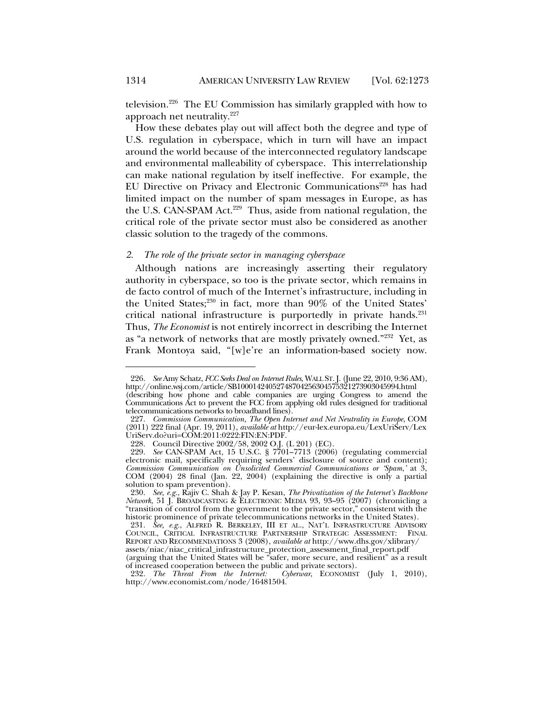television.226 The EU Commission has similarly grappled with how to approach net neutrality.227

How these debates play out will affect both the degree and type of U.S. regulation in cyberspace, which in turn will have an impact around the world because of the interconnected regulatory landscape and environmental malleability of cyberspace. This interrelationship can make national regulation by itself ineffective. For example, the EU Directive on Privacy and Electronic Communications<sup>228</sup> has had limited impact on the number of spam messages in Europe, as has the U.S. CAN-SPAM Act.<sup>229</sup> Thus, aside from national regulation, the critical role of the private sector must also be considered as another classic solution to the tragedy of the commons.

# *2. The role of the private sector in managing cyberspace*

Although nations are increasingly asserting their regulatory authority in cyberspace, so too is the private sector, which remains in de facto control of much of the Internet's infrastructure, including in the United States;<sup>230</sup> in fact, more than 90% of the United States' critical national infrastructure is purportedly in private hands. $231$ Thus, *The Economist* is not entirely incorrect in describing the Internet as "a network of networks that are mostly privately owned."232 Yet, as Frank Montoya said, "[w]e're an information-based society now.

 <sup>226.</sup> *See* Amy Schatz, *FCC Seeks Deal on Internet Rules*, WALL ST. J. (June 22, 2010, 9:36 AM), http://online.wsj.com/article/SB10001424052748704256304575321273903045994.html (describing how phone and cable companies are urging Congress to amend the Communications Act to prevent the FCC from applying old rules designed for traditional telecommunications networks to broadband lines).

 <sup>227.</sup> *Commission Communication, The Open Internet and Net Neutrality in Europe*, COM (2011) 222 final (Apr. 19, 2011), *available at* http://eur-lex.europa.eu/LexUriServ/Lex UriServ.do?uri=COM:2011:0222:FIN:EN:PDF.

 <sup>228.</sup> Council Directive 2002/58, 2002 O.J. (L 201) (EC).

 <sup>229.</sup> *See* CAN-SPAM Act, 15 U.S.C. § 7701–7713 (2006) (regulating commercial electronic mail, specifically requiring senders' disclosure of source and content); *Commission Communication on Unsolicited Commercial Communications or 'Spam*,*'* at 3, COM (2004) 28 final (Jan. 22, 2004) (explaining the directive is only a partial solution to spam prevention).

 <sup>230.</sup> *See, e.g.*, Rajiv C. Shah & Jay P. Kesan, *The Privatization of the Internet's Backbone Network*, 51 J. BROADCASTING & ELECTRONIC MEDIA 93, 93–95 (2007) (chronicling a "transition of control from the government to the private sector," consistent with the historic prominence of private telecommunications networks in the United States).

 <sup>231.</sup> *See, e.g.*, ALFRED R. BERKELEY, III ET AL., NAT'L INFRASTRUCTURE ADVISORY COUNCIL, CRITICAL INFRASTRUCTURE PARTNERSHIP STRATEGIC ASSESSMENT: FINAL REPORT AND RECOMMENDATIONS 3 (2008), *available at* http://www.dhs.gov/xlibrary/ assets/niac/niac\_critical\_infrastructure\_protection\_assessment\_final\_report.pdf

<sup>(</sup>arguing that the United States will be "safer, more secure, and resilient" as a result of increased cooperation between the public and private sectors).

 <sup>232.</sup> *The Threat From the Internet: Cyberwar*, ECONOMIST (July 1, 2010), http://www.economist.com/node/16481504.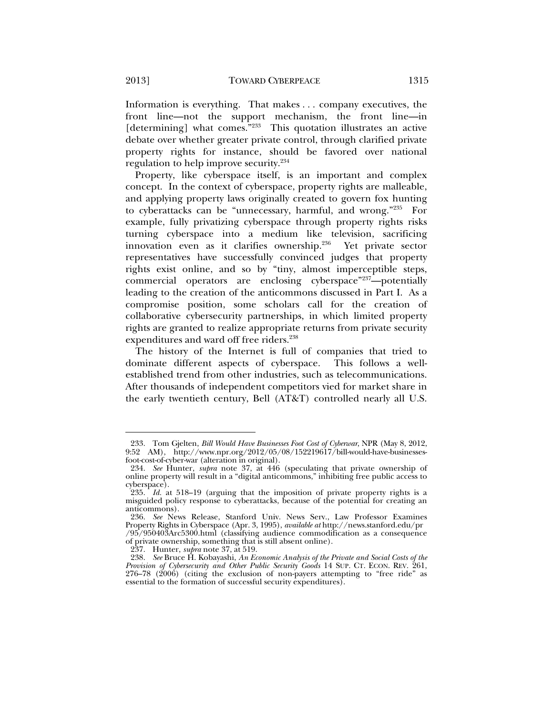Information is everything. That makes . . . company executives, the front line—not the support mechanism, the front line—in [determining] what comes."<sup>233</sup> This quotation illustrates an active debate over whether greater private control, through clarified private property rights for instance, should be favored over national regulation to help improve security.234

Property, like cyberspace itself, is an important and complex concept. In the context of cyberspace, property rights are malleable, and applying property laws originally created to govern fox hunting to cyberattacks can be "unnecessary, harmful, and wrong."235 For example, fully privatizing cyberspace through property rights risks turning cyberspace into a medium like television, sacrificing innovation even as it clarifies ownership.236 Yet private sector representatives have successfully convinced judges that property rights exist online, and so by "tiny, almost imperceptible steps, commercial operators are enclosing cyberspace"237-potentially leading to the creation of the anticommons discussed in Part I. As a compromise position, some scholars call for the creation of collaborative cybersecurity partnerships, in which limited property rights are granted to realize appropriate returns from private security expenditures and ward off free riders.<sup>238</sup>

The history of the Internet is full of companies that tried to dominate different aspects of cyberspace. This follows a wellestablished trend from other industries, such as telecommunications. After thousands of independent competitors vied for market share in the early twentieth century, Bell (AT&T) controlled nearly all U.S.

 <sup>233.</sup> Tom Gjelten, *Bill Would Have Businesses Foot Cost of Cyberwar*, NPR (May 8, 2012, 9:52 AM), http://www.npr.org/2012/05/08/152219617/bill-would-have-businessesfoot-cost-of-cyber-war (alteration in original).

 <sup>234.</sup> *See* Hunter, *supra* note 37, at 446 (speculating that private ownership of online property will result in a "digital anticommons," inhibiting free public access to cyberspace).

 <sup>235.</sup> *Id.* at 518–19 (arguing that the imposition of private property rights is a misguided policy response to cyberattacks, because of the potential for creating an anticommons).

 <sup>236.</sup> *See* News Release, Stanford Univ. News Serv., Law Professor Examines Property Rights in Cyberspace (Apr. 3, 1995), *available at* http://news.stanford.edu/pr /95/950403Arc5300.html (classifying audience commodification as a consequence of private ownership, something that is still absent online).

 <sup>237.</sup> Hunter, *supra* note 37, at 519.

 <sup>238.</sup> *See* Bruce H. Kobayashi, *An Economic Analysis of the Private and Social Costs of the Provision of Cybersecurity and Other Public Security Goods* 14 SUP. CT. ECON. REV. 261, 276–78 (2006) (citing the exclusion of non-payers attempting to "free ride" as essential to the formation of successful security expenditures).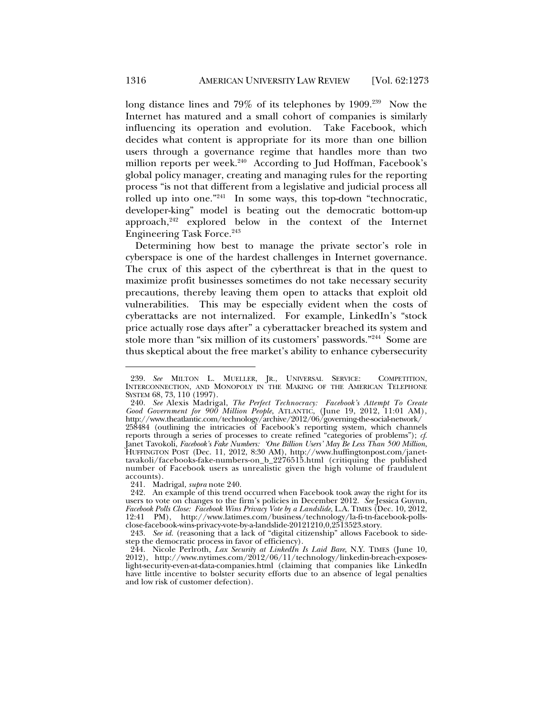long distance lines and 79% of its telephones by 1909.<sup>239</sup> Now the Internet has matured and a small cohort of companies is similarly influencing its operation and evolution. Take Facebook, which decides what content is appropriate for its more than one billion users through a governance regime that handles more than two million reports per week. $240$  According to Jud Hoffman, Facebook's global policy manager, creating and managing rules for the reporting process "is not that different from a legislative and judicial process all rolled up into one."241 In some ways, this top-down "technocratic, developer-king" model is beating out the democratic bottom-up approach, $242$  explored below in the context of the Internet Engineering Task Force.243

Determining how best to manage the private sector's role in cyberspace is one of the hardest challenges in Internet governance. The crux of this aspect of the cyberthreat is that in the quest to maximize profit businesses sometimes do not take necessary security precautions, thereby leaving them open to attacks that exploit old vulnerabilities. This may be especially evident when the costs of cyberattacks are not internalized. For example, LinkedIn's "stock price actually rose days after" a cyberattacker breached its system and stole more than "six million of its customers' passwords."244 Some are thus skeptical about the free market's ability to enhance cybersecurity

 <sup>239.</sup> *See* MILTON L. MUELLER, JR., UNIVERSAL SERVICE: COMPETITION, INTERCONNECTION, AND MONOPOLY IN THE MAKING OF THE AMERICAN TELEPHONE SYSTEM 68, 73, 110 (1997).

 <sup>240.</sup> *See* Alexis Madrigal, *The Perfect Technocracy: Facebook's Attempt To Create Good Government for 900 Million People*, ATLANTIC, (June 19, 2012, 11:01 AM), http://www.theatlantic.com/technology/archive/2012/06/governing-the-social-network/ 258484 (outlining the intricacies of Facebook's reporting system, which channels reports through a series of processes to create refined "categories of problems"); *cf*. Janet Tavokoli, *Facebook's Fake Numbers: 'One Billion Users' May Be Less Than 500 Million*, HUFFINGTON POST (Dec. 11, 2012, 8:30 AM), http://www.huffingtonpost.com/janettavakoli/facebooks-fake-numbers-on\_b\_2276515.html (critiquing the published number of Facebook users as unrealistic given the high volume of fraudulent accounts).

 <sup>241.</sup> Madrigal, *supra* note 240.

<sup>242.</sup> An example of this trend occurred when Facebook took away the right for its users to vote on changes to the firm's policies in December 2012. *See* Jessica Guynn, *Facebook Polls Close: Facebook Wins Privacy Vote by a Landslide*, L.A. TIMES (Dec. 10, 2012, 12:41 PM), http://www.latimes.com/business/technology/la-fi-tn-facebook-pollsclose-facebook-wins-privacy-vote-by-a-landslide-20121210,0,2513523.story.

 <sup>243.</sup> *See id.* (reasoning that a lack of "digital citizenship" allows Facebook to sidestep the democratic process in favor of efficiency).

 <sup>244.</sup> Nicole Perlroth, *Lax Security at LinkedIn Is Laid Bare*, N.Y. TIMES (June 10, 2012), http://www.nytimes.com/2012/06/11/technology/linkedin-breach-exposeslight-security-even-at-data-companies.html (claiming that companies like LinkedIn have little incentive to bolster security efforts due to an absence of legal penalties and low risk of customer defection).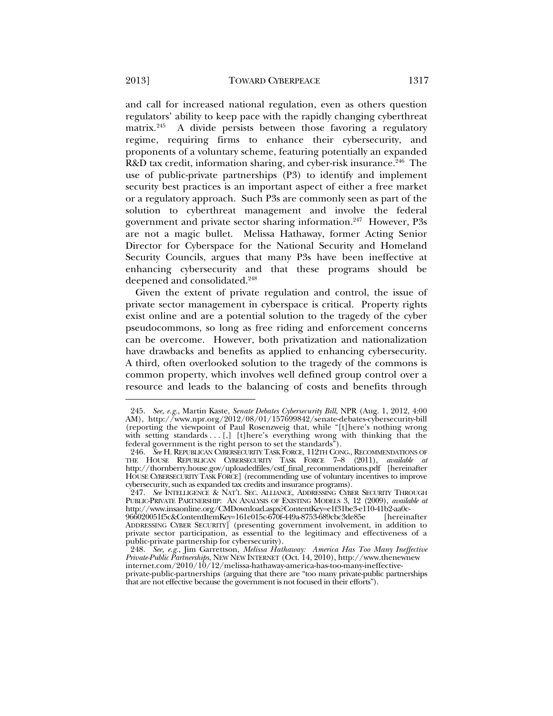and call for increased national regulation, even as others question regulators' ability to keep pace with the rapidly changing cyberthreat matrix.<sup>245</sup> A divide persists between those favoring a regulatory regime, requiring firms to enhance their cybersecurity, and proponents of a voluntary scheme, featuring potentially an expanded R&D tax credit, information sharing, and cyber-risk insurance.<sup>246</sup> The use of public-private partnerships (P3) to identify and implement security best practices is an important aspect of either a free market or a regulatory approach. Such P3s are commonly seen as part of the solution to cyberthreat management and involve the federal government and private sector sharing information.<sup>247</sup> However, P3s are not a magic bullet. Melissa Hathaway, former Acting Senior Director for Cyberspace for the National Security and Homeland Security Councils, argues that many P3s have been ineffective at enhancing cybersecurity and that these programs should be

deepened and consolidated.<sup>248</sup> Given the extent of private regulation and control, the issue of private sector management in cyberspace is critical. Property rights exist online and are a potential solution to the tragedy of the cyber pseudocommons, so long as free riding and enforcement concerns can be overcome. However, both privatization and nationalization have drawbacks and benefits as applied to enhancing cybersecurity. A third, often overlooked solution to the tragedy of the commons is common property, which involves well defined group control over a resource and leads to the balancing of costs and benefits through

 <sup>245.</sup> *See, e.g.*, Martin Kaste, *Senate Debates Cybersecurity Bill*, NPR (Aug. 1, 2012, 4:00 AM), http://www.npr.org/2012/08/01/157699842/senate-debates-cybersecurity-bill (reporting the viewpoint of Paul Rosenzweig that, while "[t]here's nothing wrong with setting standards . . [,] [t]here's everything wrong with thinking that the federal government is the right person to set the standards").

 <sup>246.</sup> *See* H. REPUBLICAN CYBERSECURITY TASK FORCE, 112TH CONG., RECOMMENDATIONS OF THE HOUSE REPUBLICAN CYBERSECURITY TASK FORCE 7–8 (2011), *available at* http://thornberry.house.gov/uploadedfiles/cstf\_final\_recommendations.pdf [hereinafter HOUSE CYBERSECURITY TASK FORCE] (recommending use of voluntary incentives to improve cybersecurity, such as expanded tax credits and insurance programs).

 <sup>247.</sup> *See* INTELLIGENCE & NAT'L SEC. ALLIANCE, ADDRESSING CYBER SECURITY THROUGH PUBLIC-PRIVATE PARTNERSHIP: AN ANALYSIS OF EXISTING MODELS 3, 12 (2009), *available at* http://www.insaonline.org/CMDownload.aspx?ContentKey=e1f31be3-e110-41b2-aa0c-966020051f5c&ContentItemKey=161e015c-670f-449a-8753-689cbc3de85e [hereinafter

ADDRESSING CYBER SECURITY] (presenting government involvement, in addition to private sector participation, as essential to the legitimacy and effectiveness of a public-private partnership for cybersecurity).

 <sup>248.</sup> *See, e.g.*, Jim Garrettson, *Melissa Hathaway: America Has Too Many Ineffective Private-Public Partnerships*, NEW NEW INTERNET (Oct. 14, 2010), http://www.thenewnew internet.com/2010/10/12/melissa-hathaway-america-has-too-many-ineffectiveprivate-public-partnerships (arguing that there are "too many private-public partnerships that are not effective because the government is not focused in their efforts").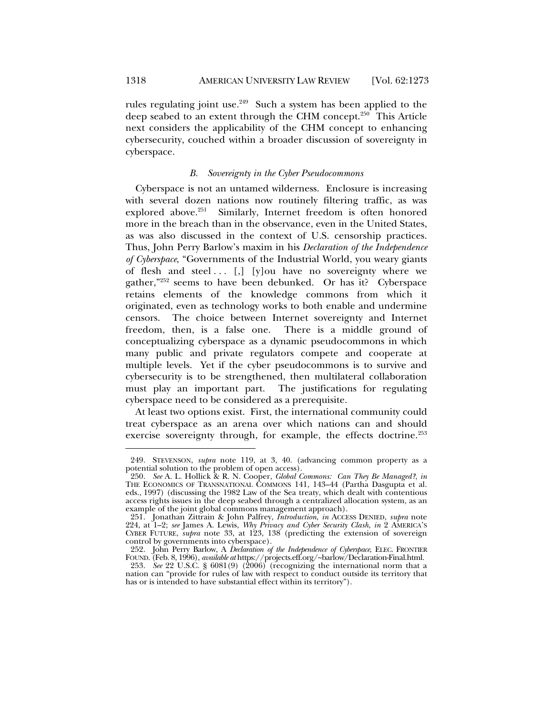l

rules regulating joint use. $249$  Such a system has been applied to the deep seabed to an extent through the CHM concept.250 This Article next considers the applicability of the CHM concept to enhancing cybersecurity, couched within a broader discussion of sovereignty in cyberspace.

### *B. Sovereignty in the Cyber Pseudocommons*

Cyberspace is not an untamed wilderness. Enclosure is increasing with several dozen nations now routinely filtering traffic, as was explored above.<sup>251</sup> Similarly, Internet freedom is often honored more in the breach than in the observance, even in the United States, as was also discussed in the context of U.S. censorship practices. Thus, John Perry Barlow's maxim in his *Declaration of the Independence of Cyberspace*, "Governments of the Industrial World, you weary giants of flesh and steel...  $\left[ , \right]$   $\left[$  y  $\right]$  ou have no sovereignty where we gather,"252 seems to have been debunked. Or has it? Cyberspace retains elements of the knowledge commons from which it originated, even as technology works to both enable and undermine censors. The choice between Internet sovereignty and Internet freedom, then, is a false one. There is a middle ground of conceptualizing cyberspace as a dynamic pseudocommons in which many public and private regulators compete and cooperate at multiple levels. Yet if the cyber pseudocommons is to survive and cybersecurity is to be strengthened, then multilateral collaboration must play an important part. The justifications for regulating cyberspace need to be considered as a prerequisite.

At least two options exist. First, the international community could treat cyberspace as an arena over which nations can and should exercise sovereignty through, for example, the effects doctrine.<sup>253</sup>

 <sup>249.</sup> STEVENSON, *supra* note 119, at 3, 40. (advancing common property as a potential solution to the problem of open access).

 <sup>250.</sup> *See* A. L. Hollick & R. N. Cooper, *Global Commons: Can They Be Managed?*, *in* THE ECONOMICS OF TRANSNATIONAL COMMONS 141, 143–44 (Partha Dasgupta et al. eds., 1997) (discussing the 1982 Law of the Sea treaty, which dealt with contentious access rights issues in the deep seabed through a centralized allocation system, as an example of the joint global commons management approach).

 <sup>251.</sup> Jonathan Zittrain & John Palfrey, *Introduction*, *in* ACCESS DENIED, *supra* note 224, at 1–2; *see* James A. Lewis, *Why Privacy and Cyber Security Clash*, *in* 2 AMERICA'S CYBER FUTURE, *supra* note 33, at 123, 138 (predicting the extension of sovereign control by governments into cyberspace).

 <sup>252.</sup> John Perry Barlow, A *Declaration of the Independence of Cyberspace*, ELEC. FRONTIER FOUND. (Feb. 8, 1996), *available at* https://projects.eff.org/~barlow/Declaration-Final.html.

 <sup>253.</sup> *See* 22 U.S.C. § 6081(9) (2006) (recognizing the international norm that a nation can "provide for rules of law with respect to conduct outside its territory that has or is intended to have substantial effect within its territory").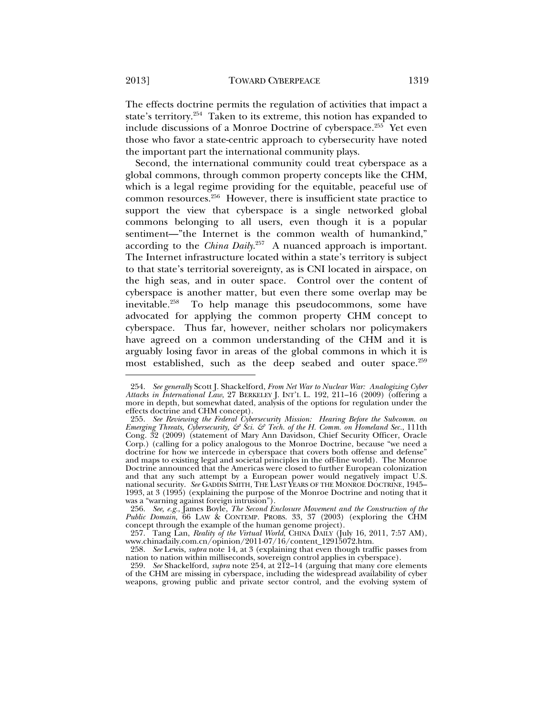The effects doctrine permits the regulation of activities that impact a state's territory.<sup>254</sup> Taken to its extreme, this notion has expanded to include discussions of a Monroe Doctrine of cyberspace.<sup>255</sup> Yet even those who favor a state-centric approach to cybersecurity have noted the important part the international community plays.

Second, the international community could treat cyberspace as a global commons, through common property concepts like the CHM, which is a legal regime providing for the equitable, peaceful use of common resources.256 However, there is insufficient state practice to support the view that cyberspace is a single networked global commons belonging to all users, even though it is a popular sentiment—"the Internet is the common wealth of humankind," according to the *China Daily*. 257 A nuanced approach is important. The Internet infrastructure located within a state's territory is subject to that state's territorial sovereignty, as is CNI located in airspace, on the high seas, and in outer space. Control over the content of cyberspace is another matter, but even there some overlap may be inevitable.258 To help manage this pseudocommons, some have advocated for applying the common property CHM concept to cyberspace. Thus far, however, neither scholars nor policymakers have agreed on a common understanding of the CHM and it is arguably losing favor in areas of the global commons in which it is most established, such as the deep seabed and outer space.<sup>259</sup>

 <sup>254.</sup> *See generally* Scott J. Shackelford, *From Net War to Nuclear War: Analogizing Cyber Attacks in International Law*, 27 BERKELEY J. INT'L L. 192, 211–16 (2009) (offering a more in depth, but somewhat dated, analysis of the options for regulation under the effects doctrine and CHM concept).

 <sup>255.</sup> *See Reviewing the Federal Cybersecurity Mission: Hearing Before the Subcomm. on Emerging Threats, Cybersecurity, & Sci. & Tech. of the H. Comm. on Homeland Sec.*, 111th Cong. 32 (2009) (statement of Mary Ann Davidson, Chief Security Officer, Oracle Corp.) (calling for a policy analogous to the Monroe Doctrine, because "we need a doctrine for how we intercede in cyberspace that covers both offense and defense" and maps to existing legal and societal principles in the off-line world). The Monroe Doctrine announced that the Americas were closed to further European colonization and that any such attempt by a European power would negatively impact U.S. national security. *See* GADDIS SMITH, THE LAST YEARS OF THE MONROE DOCTRINE, 1945– 1993, at 3 (1995) (explaining the purpose of the Monroe Doctrine and noting that it was a "warning against foreign intrusion").

 <sup>256.</sup> *See, e.g.*, James Boyle, *The Second Enclosure Movement and the Construction of the Public Domain*, 66 LAW & CONTEMP. PROBS. 33, 37 (2003) (exploring the CHM concept through the example of the human genome project).

 <sup>257.</sup> Tang Lan, *Reality of the Virtual World*, CHINA DAILY (July 16, 2011, 7:57 AM), www.chinadaily.com.cn/opinion/2011-07/16/content\_12915072.htm.

 <sup>258.</sup> *See* Lewis, *supra* note 14, at 3 (explaining that even though traffic passes from nation to nation within milliseconds, sovereign control applies in cyberspace).

 <sup>259.</sup> *See* Shackelford, *supra* note 254, at 212–14 (arguing that many core elements of the CHM are missing in cyberspace, including the widespread availability of cyber weapons, growing public and private sector control, and the evolving system of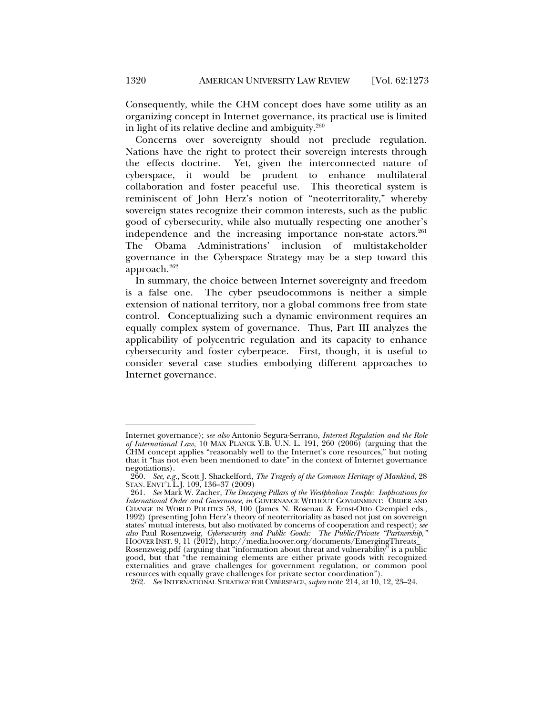Consequently, while the CHM concept does have some utility as an organizing concept in Internet governance, its practical use is limited in light of its relative decline and ambiguity.<sup>260</sup>

Concerns over sovereignty should not preclude regulation. Nations have the right to protect their sovereign interests through the effects doctrine. Yet, given the interconnected nature of cyberspace, it would be prudent to enhance multilateral collaboration and foster peaceful use. This theoretical system is reminiscent of John Herz's notion of "neoterritorality," whereby sovereign states recognize their common interests, such as the public good of cybersecurity, while also mutually respecting one another's independence and the increasing importance non-state actors.<sup>261</sup> The Obama Administrations' inclusion of multistakeholder governance in the Cyberspace Strategy may be a step toward this approach.262

In summary, the choice between Internet sovereignty and freedom is a false one. The cyber pseudocommons is neither a simple extension of national territory, nor a global commons free from state control. Conceptualizing such a dynamic environment requires an equally complex system of governance. Thus, Part III analyzes the applicability of polycentric regulation and its capacity to enhance cybersecurity and foster cyberpeace. First, though, it is useful to consider several case studies embodying different approaches to Internet governance.

Internet governance); *see also* Antonio Segura-Serrano, *Internet Regulation and the Role of International Law*, 10 MAX PLANCK Y.B. U.N. L. 191, 260 (2006) (arguing that the CHM concept applies "reasonably well to the Internet's core resources," but noting that it "has not even been mentioned to date" in the context of Internet governance negotiations).

 <sup>260.</sup> *See, e.g.*, Scott J. Shackelford, *The Tragedy of the Common Heritage of Mankind*, 28 STAN. ENVT'L L.J. 109, 136–37 (2009)

 <sup>261.</sup> *See* Mark W. Zacher, *The Decaying Pillars of the Westphalian Temple: Implications for International Order and Governance*, *in* GOVERNANCE WITHOUT GOVERNMENT: ORDER AND CHANGE IN WORLD POLITICS 58, 100 (James N. Rosenau & Ernst-Otto Czempiel eds., 1992) (presenting John Herz's theory of neoterritoriality as based not just on sovereign states' mutual interests, but also motivated by concerns of cooperation and respect); *see also* Paul Rosenzweig, *Cybersecurity and Public Goods: The Public/Private "Partnership*,*"* HOOVER INST. 9, 11 (2012), http://media.hoover.org/documents/EmergingThreats\_ Rosenzweig.pdf (arguing that "information about threat and vulnerability" is a public good, but that "the remaining elements are either private goods with recognized externalities and grave challenges for government regulation, or common pool

resources with equally grave challenges for private sector coordination").

 <sup>262.</sup> *See* INTERNATIONAL STRATEGY FOR CYBERSPACE, *supra* note 214, at 10, 12, 23–24.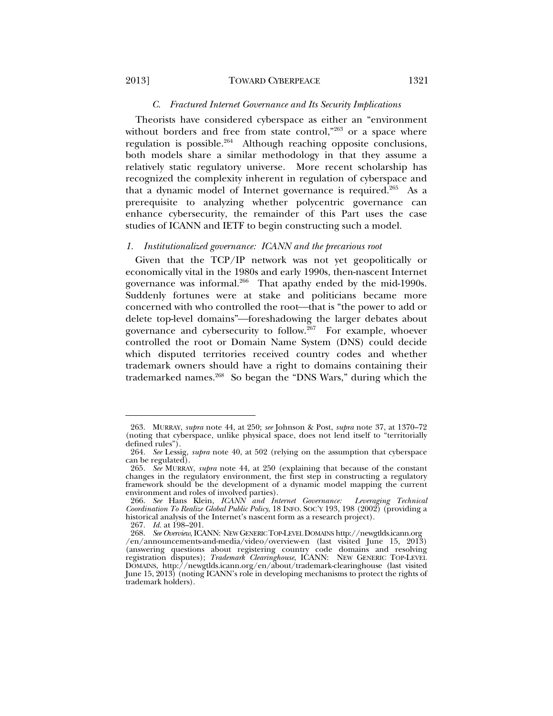### *C. Fractured Internet Governance and Its Security Implications*

Theorists have considered cyberspace as either an "environment without borders and free from state control,"263 or a space where regulation is possible.264 Although reaching opposite conclusions, both models share a similar methodology in that they assume a relatively static regulatory universe. More recent scholarship has recognized the complexity inherent in regulation of cyberspace and that a dynamic model of Internet governance is required.<sup>265</sup> As a prerequisite to analyzing whether polycentric governance can enhance cybersecurity, the remainder of this Part uses the case studies of ICANN and IETF to begin constructing such a model.

#### *1. Institutionalized governance: ICANN and the precarious root*

Given that the TCP/IP network was not yet geopolitically or economically vital in the 1980s and early 1990s, then-nascent Internet governance was informal.<sup>266</sup> That apathy ended by the mid-1990s. Suddenly fortunes were at stake and politicians became more concerned with who controlled the root—that is "the power to add or delete top-level domains"-foreshadowing the larger debates about governance and cybersecurity to follow.267 For example, whoever controlled the root or Domain Name System (DNS) could decide which disputed territories received country codes and whether trademark owners should have a right to domains containing their trademarked names.268 So began the "DNS Wars," during which the

 <sup>263.</sup> MURRAY, *supra* note 44, at 250; *see* Johnson & Post, *supra* note 37, at 1370–72 (noting that cyberspace, unlike physical space, does not lend itself to "territorially defined rules").

 <sup>264.</sup> *See* Lessig, *supra* note 40, at 502 (relying on the assumption that cyberspace can be regulated).

 <sup>265.</sup> *See* MURRAY, *supra* note 44, at 250 (explaining that because of the constant changes in the regulatory environment, the first step in constructing a regulatory framework should be the development of a dynamic model mapping the current environment and roles of involved parties).

 <sup>266.</sup> *See* Hans Klein, *ICANN and Internet Governance: Leveraging Technical Coordination To Realize Global Public Policy*, 18 INFO. SOC'Y 193, 198 (2002) (providing a historical analysis of the Internet's nascent form as a research project).

 <sup>267.</sup> *Id.* at 198–201.

 <sup>268.</sup> *See Overview*, ICANN: NEW GENERIC TOP-LEVEL DOMAINS http://newgtlds.icann.org /en/announcements-and-media/video/overview-en (last visited June 15, 2013) (answering questions about registering country code domains and resolving registration disputes); *Trademark Clearinghouse*, ICANN: NEW GENERIC TOP-LEVEL DOMAINS, http://newgtlds.icann.org/en/about/trademark-clearinghouse (last visited June 15, 2013) (noting ICANN's role in developing mechanisms to protect the rights of trademark holders).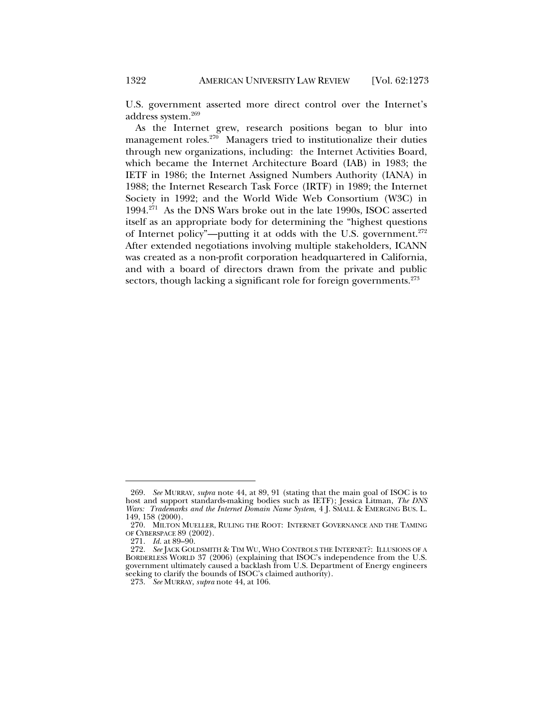U.S. government asserted more direct control over the Internet's address system.269

As the Internet grew, research positions began to blur into management roles. $270$  Managers tried to institutionalize their duties through new organizations, including: the Internet Activities Board, which became the Internet Architecture Board (IAB) in 1983; the IETF in 1986; the Internet Assigned Numbers Authority (IANA) in 1988; the Internet Research Task Force (IRTF) in 1989; the Internet Society in 1992; and the World Wide Web Consortium (W3C) in 1994.271 As the DNS Wars broke out in the late 1990s, ISOC asserted itself as an appropriate body for determining the "highest questions of Internet policy"—putting it at odds with the U.S. government.<sup>272</sup> After extended negotiations involving multiple stakeholders, ICANN was created as a non-profit corporation headquartered in California, and with a board of directors drawn from the private and public sectors, though lacking a significant role for foreign governments.<sup>273</sup>

 <sup>269.</sup> *See* MURRAY, *supra* note 44, at 89, 91 (stating that the main goal of ISOC is to host and support standards-making bodies such as IETF); Jessica Litman, *The DNS Wars: Trademarks and the Internet Domain Name System*, 4 J. SMALL & EMERGING BUS. L. 149, 158 (2000).

 <sup>270.</sup> MILTON MUELLER, RULING THE ROOT: INTERNET GOVERNANCE AND THE TAMING OF CYBERSPACE 89 (2002).

 <sup>271.</sup> *Id.* at 89–90.

 <sup>272.</sup> *See* JACK GOLDSMITH & TIM WU, WHO CONTROLS THE INTERNET?: ILLUSIONS OF A BORDERLESS WORLD 37 (2006) (explaining that ISOC's independence from the U.S. government ultimately caused a backlash from U.S. Department of Energy engineers seeking to clarify the bounds of ISOC's claimed authority).

 <sup>273.</sup> *See* MURRAY, *supra* note 44, at 106.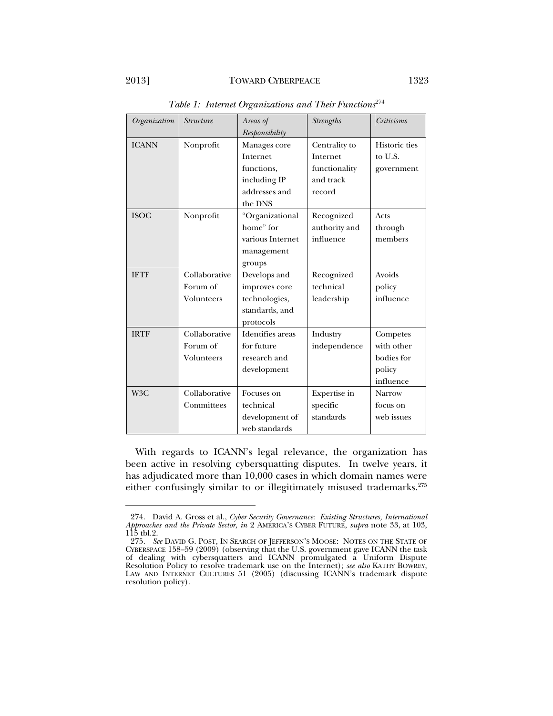### 2013] TOWARD CYBERPEACE 1323

| Organization     | <b>Structure</b> | Areas of         | <b>Strengths</b> | <b>Criticisms</b> |
|------------------|------------------|------------------|------------------|-------------------|
|                  |                  | Responsibility   |                  |                   |
| <b>ICANN</b>     | Nonprofit        | Manages core     | Centrality to    | Historic ties     |
|                  |                  | Internet         | Internet         | to U.S.           |
|                  |                  | functions,       | functionality    | government        |
|                  |                  | including IP     | and track        |                   |
|                  |                  | addresses and    | record           |                   |
|                  |                  | the DNS          |                  |                   |
| <b>ISOC</b>      | Nonprofit        | "Organizational  | Recognized       | Acts              |
|                  |                  | home" for        | authority and    | through           |
|                  |                  | various Internet | influence        | members           |
|                  |                  | management       |                  |                   |
|                  |                  | groups           |                  |                   |
| <b>IETF</b>      | Collaborative    | Develops and     | Recognized       | Avoids            |
|                  | Forum of         | improves core    | technical        | policy            |
|                  | Volunteers       | technologies,    | leadership       | influence         |
|                  |                  | standards, and   |                  |                   |
|                  |                  | protocols        |                  |                   |
| <b>IRTF</b>      | Collaborative    | Identifies areas | Industry         | Competes          |
|                  | Forum of         | for future       | independence     | with other        |
|                  | Volunteers       | research and     |                  | bodies for        |
|                  |                  | development      |                  | policy            |
|                  |                  |                  |                  | influence         |
| W <sub>3</sub> C | Collaborative    | Focuses on       | Expertise in     | <b>Narrow</b>     |
|                  | Committees       | technical        | specific         | focus on          |
|                  |                  | development of   | standards        | web issues        |
|                  |                  | web standards    |                  |                   |

*Table 1: Internet Organizations and Their Functions*<sup>274</sup>

With regards to ICANN's legal relevance, the organization has been active in resolving cybersquatting disputes. In twelve years, it has adjudicated more than 10,000 cases in which domain names were either confusingly similar to or illegitimately misused trademarks.<sup>275</sup>

 <sup>274.</sup> David A. Gross et al., *Cyber Security Governance: Existing Structures, International Approaches and the Private Sector*, *in* 2 AMERICA'S CYBER FUTURE, *supra* note 33, at 103, 115 tbl.2.

 <sup>275.</sup> *See* DAVID G. POST, IN SEARCH OF JEFFERSON'S MOOSE: NOTES ON THE STATE OF CYBERSPACE 158–59 (2009) (observing that the U.S. government gave ICANN the task of dealing with cybersquatters and ICANN promulgated a Uniform Dispute Resolution Policy to resolve trademark use on the Internet); *see also* KATHY BOWREY, LAW AND INTERNET CULTURES 51 (2005) (discussing ICANN's trademark dispute resolution policy).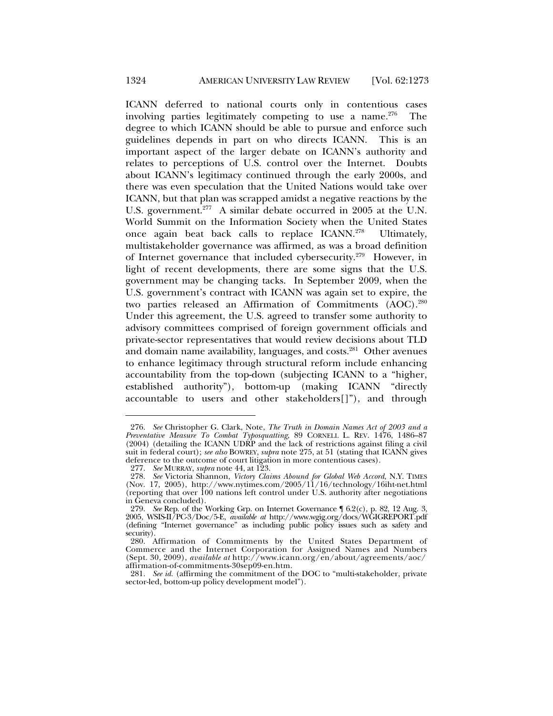ICANN deferred to national courts only in contentious cases involving parties legitimately competing to use a name.<sup>276</sup> The degree to which ICANN should be able to pursue and enforce such guidelines depends in part on who directs ICANN. This is an important aspect of the larger debate on ICANN's authority and relates to perceptions of U.S. control over the Internet. Doubts about ICANN's legitimacy continued through the early 2000s, and there was even speculation that the United Nations would take over ICANN, but that plan was scrapped amidst a negative reactions by the U.S. government.<sup>277</sup> A similar debate occurred in 2005 at the U.N. World Summit on the Information Society when the United States once again beat back calls to replace ICANN.278 Ultimately, multistakeholder governance was affirmed, as was a broad definition of Internet governance that included cybersecurity.<sup>279</sup> However, in light of recent developments, there are some signs that the U.S. government may be changing tacks. In September 2009, when the U.S. government's contract with ICANN was again set to expire, the two parties released an Affirmation of Commitments (AOC).<sup>280</sup> Under this agreement, the U.S. agreed to transfer some authority to advisory committees comprised of foreign government officials and private-sector representatives that would review decisions about TLD and domain name availability, languages, and costs.<sup>281</sup> Other avenues to enhance legitimacy through structural reform include enhancing accountability from the top-down (subjecting ICANN to a "higher, established authority"), bottom-up (making ICANN "directly accountable to users and other stakeholders[]"), and through

 <sup>276.</sup> *See* Christopher G. Clark, Note, *The Truth in Domain Names Act of 2003 and a Preventative Measure To Combat Typosquatting*, 89 CORNELL L. REV. 1476, 1486–87  $(2004)$  (detailing the ICANN UDRP and the lack of restrictions against filing a civil suit in federal court); *see also* BOWREY, *supra* note 275, at 51 (stating that ICANN gives deference to the outcome of court litigation in more contentious cases).

 <sup>277.</sup> *See* MURRAY, *supra* note 44, at 123.

 <sup>278.</sup> *See* Victoria Shannon, *Victory Claims Abound for Global Web Accord*, N.Y. TIMES (Nov. 17, 2005), http://www.nytimes.com/2005/11/16/technology/16iht-net.html (reporting that over 100 nations left control under U.S. authority after negotiations in Geneva concluded).

 <sup>279.</sup> *See* Rep. of the Working Grp. on Internet Governance ¶ 6.2(c), p. 82, 12 Aug. 3, 2005, WSIS-II/PC-3/Doc/5-E, *available at* http://www.wgig.org/docs/WGIGREPORT.pdf (defining "Internet governance" as including public policy issues such as safety and security).

 <sup>280.</sup> Affirmation of Commitments by the United States Department of Commerce and the Internet Corporation for Assigned Names and Numbers (Sept. 30, 2009), *available at* http://www.icann.org/en/about/agreements/aoc/ affirmation-of-commitments-30sep09-en.htm.

 <sup>281.</sup> *See id.* (affirming the commitment of the DOC to "multi-stakeholder, private sector-led, bottom-up policy development model").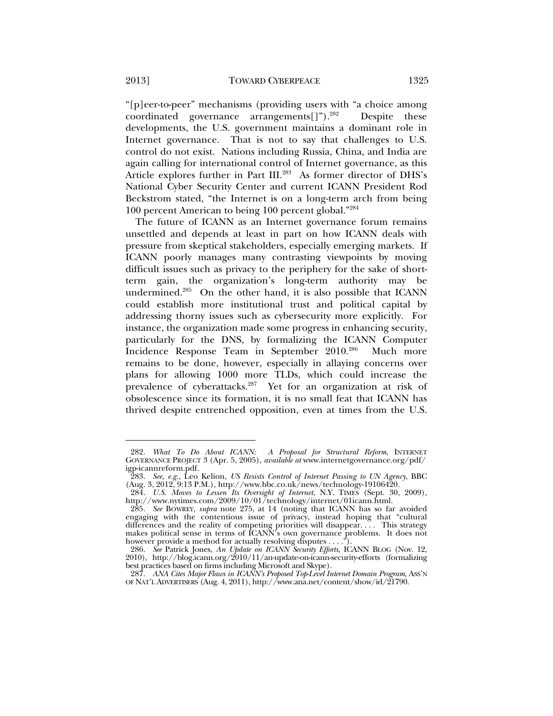"[p]eer-to-peer" mechanisms (providing users with "a choice among coordinated governance arrangements<sup>[1]</sup>" $)$ <sup>282</sup> Despite these developments, the U.S. government maintains a dominant role in Internet governance. That is not to say that challenges to U.S. control do not exist. Nations including Russia, China, and India are again calling for international control of Internet governance, as this Article explores further in Part III.<sup>283</sup> As former director of DHS's National Cyber Security Center and current ICANN President Rod Beckstrom stated, "the Internet is on a long-term arch from being 100 percent American to being 100 percent global."284

The future of ICANN as an Internet governance forum remains unsettled and depends at least in part on how ICANN deals with pressure from skeptical stakeholders, especially emerging markets. If ICANN poorly manages many contrasting viewpoints by moving difficult issues such as privacy to the periphery for the sake of shortterm gain, the organization's long-term authority may be undermined.285 On the other hand, it is also possible that ICANN could establish more institutional trust and political capital by addressing thorny issues such as cybersecurity more explicitly. For instance, the organization made some progress in enhancing security, particularly for the DNS, by formalizing the ICANN Computer Incidence Response Team in September 2010.286 Much more remains to be done, however, especially in allaying concerns over plans for allowing 1000 more TLDs, which could increase the prevalence of cyberattacks.287 Yet for an organization at risk of obsolescence since its formation, it is no small feat that ICANN has thrived despite entrenched opposition, even at times from the U.S.

 <sup>282.</sup> *What To Do About ICANN: A Proposal for Structural Reform*, INTERNET GOVERNANCE PROJECT 3 (Apr. 5, 2005), *available at* www.internetgovernance.org/pdf/ igp-icannreform.pdf.

 <sup>283.</sup> *See, e.g.*, Leo Kelion, *US Resists Control of Internet Passing to UN Agency*, BBC (Aug. 3, 2012, 9:13 P.M.), http://www.bbc.co.uk/news/technology-19106420.

 <sup>284.</sup> *U.S. Moves to Lessen Its Oversight of Internet*, N.Y. TIMES (Sept. 30, 2009), http://www.nytimes.com/2009/10/01/technology/internet/01icann.html.

 <sup>285.</sup> *See* BOWREY, *supra* note 275, at 14 (noting that ICANN has so far avoided engaging with the contentious issue of privacy, instead hoping that "cultural differences and the reality of competing priorities will disappear. . . . This strategy makes political sense in terms of ICANN's own governance problems. It does not however provide a method for actually resolving disputes . . . .").

 <sup>286.</sup> *See* Patrick Jones, *An Update on ICANN Security Efforts*, ICANN BLOG (Nov. 12, 2010), http://blog.icann.org/2010/11/an-update-on-icann-security-efforts (formalizing best practices based on firms including Microsoft and Skype).

 <sup>287.</sup> *ANA Cites Major Flaws in ICANN's Proposed Top-Level Internet Domain Program*, ASS'N OF NAT'L ADVERTISERS (Aug. 4, 2011), http://www.ana.net/content/show/id/21790.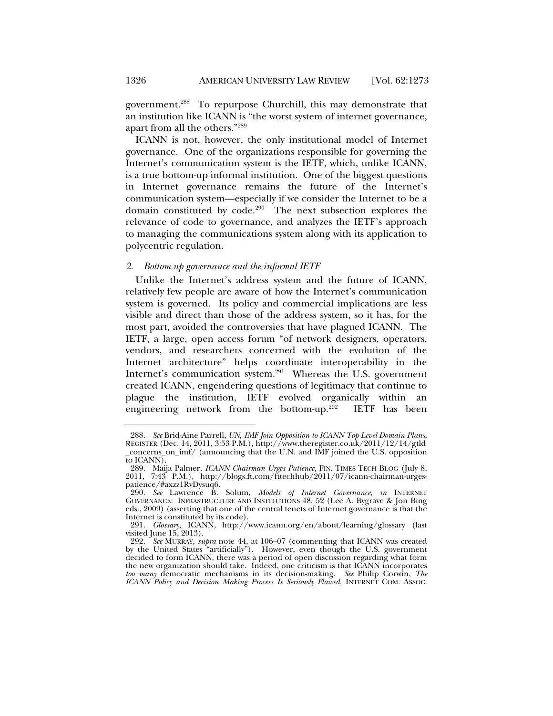government.288 To repurpose Churchill, this may demonstrate that an institution like ICANN is "the worst system of internet governance, apart from all the others."289

ICANN is not, however, the only institutional model of Internet governance. One of the organizations responsible for governing the Internet's communication system is the IETF, which, unlike ICANN, is a true bottom-up informal institution. One of the biggest questions in Internet governance remains the future of the Internet's communication system—especially if we consider the Internet to be a domain constituted by code.290 The next subsection explores the relevance of code to governance, and analyzes the IETF's approach to managing the communications system along with its application to polycentric regulation.

#### *2. Bottom-up governance and the informal IETF*

Unlike the Internet's address system and the future of ICANN, relatively few people are aware of how the Internet's communication system is governed. Its policy and commercial implications are less visible and direct than those of the address system, so it has, for the most part, avoided the controversies that have plagued ICANN. The IETF, a large, open access forum "of network designers, operators, vendors, and researchers concerned with the evolution of the Internet architecture" helps coordinate interoperability in the Internet's communication system.<sup>291</sup> Whereas the U.S. government created ICANN, engendering questions of legitimacy that continue to plague the institution, IETF evolved organically within an engineering network from the bottom-up.292 IETF has been

 <sup>288.</sup> *See* Brid-Aine Parrell, *UN, IMF Join Opposition to ICANN Top-Level Domain Plans*, REGISTER (Dec. 14, 2011, 3:53 P.M.), http://www.theregister.co.uk/2011/12/14/gtld \_concerns\_un\_imf/ (announcing that the U.N. and IMF joined the U.S. opposition to ICANN).

 <sup>289.</sup> Maija Palmer, *ICANN Chairman Urges Patience*, FIN. TIMES TECH BLOG (July 8, 2011, 7:43 P.M.), http://blogs.ft.com/fttechhub/2011/07/icann-chairman-urgespatience/#axzz1RvDysuq6.

 <sup>290.</sup> *See* Lawrence B. Solum, *Models of Internet Governance*, *in* INTERNET GOVERNANCE: INFRASTRUCTURE AND INSTITUTIONS 48, 52 (Lee A. Bygrave & Jon Bing eds., 2009) (asserting that one of the central tenets of Internet governance is that the Internet is constituted by its code).

 <sup>291.</sup> *Glossary*, ICANN, http://www.icann.org/en/about/learning/glossary (last visited June 15, 2013).

 <sup>292.</sup> *See* MURRAY, *supra* note 44, at 106–07 (commenting that ICANN was created by the United States "artificially"). However, even though the U.S. government decided to form ICANN, there was a period of open discussion regarding what form the new organization should take. Indeed, one criticism is that ICANN incorporates *too many* democratic mechanisms in its decision-making. *See* Philip Corwin, *The ICANN Policy and Decision Making Process Is Seriously Flawed*, INTERNET COM. ASSOC.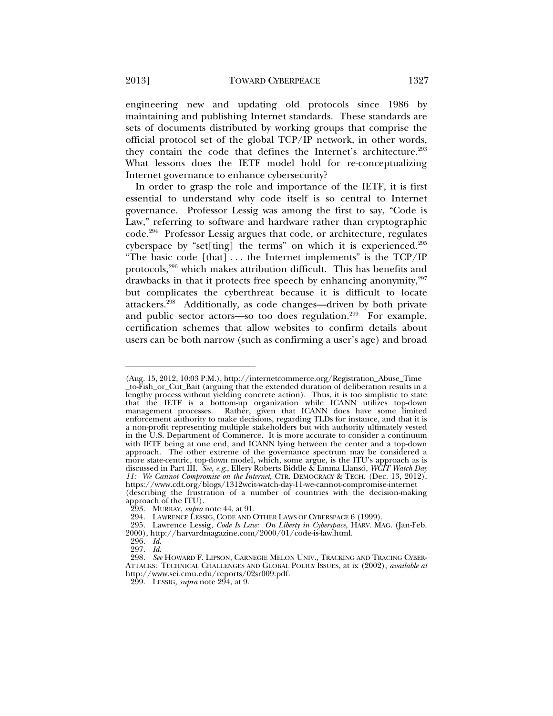engineering new and updating old protocols since 1986 by maintaining and publishing Internet standards. These standards are sets of documents distributed by working groups that comprise the official protocol set of the global TCP/IP network, in other words, they contain the code that defines the Internet's architecture.<sup>293</sup> What lessons does the IETF model hold for re-conceptualizing Internet governance to enhance cybersecurity?

In order to grasp the role and importance of the IETF, it is first essential to understand why code itself is so central to Internet governance. Professor Lessig was among the first to say, "Code is Law," referring to software and hardware rather than cryptographic code.294 Professor Lessig argues that code, or architecture, regulates cyberspace by "set[ting] the terms" on which it is experienced.<sup>295</sup> "The basic code [that]  $\dots$  the Internet implements" is the TCP/IP protocols,296 which makes attribution difficult. This has benefits and drawbacks in that it protects free speech by enhancing anonymity, $297$ but complicates the cyberthreat because it is difficult to locate attackers.298 Additionally, as code changes—driven by both private and public sector actors—so too does regulation.<sup>299</sup> For example, certification schemes that allow websites to confirm details about users can be both narrow (such as confirming a user's age) and broad

<sup>(</sup>Aug. 15, 2012, 10:03 P.M.), http://internetcommerce.org/Registration\_Abuse\_Time \_to-Fish\_or\_Cut\_Bait (arguing that the extended duration of deliberation results in a lengthy process without yielding concrete action). Thus, it is too simplistic to state that the IETF is a bottom-up organization while ICANN utilizes top-down management processes. Rather, given that ICANN does have some limited enforcement authority to make decisions, regarding TLDs for instance, and that it is a non-profit representing multiple stakeholders but with authority ultimately vested in the U.S. Department of Commerce. It is more accurate to consider a continuum with IETF being at one end, and ICANN lying between the center and a top-down approach. The other extreme of the governance spectrum may be considered a more state-centric, top-down model, which, some argue, is the ITU's approach as is discussed in Part III. *See, e.g.*, Ellery Roberts Biddle & Emma Llansó, *WCIT Watch Day 11: We Cannot Compromise on the Internet*, CTR. DEMOCRACY & TECH. (Dec. 13, 2012), https://www.cdt.org/blogs/1312wcit-watch-day-11-we-cannot-compromise-internet (describing the frustration of a number of countries with the decision-making approach of the ITU).

 <sup>293.</sup> MURRAY, *supra* note 44, at 91.

 <sup>294.</sup> LAWRENCE LESSIG, CODE AND OTHER LAWS OF CYBERSPACE 6 (1999).

 <sup>295.</sup> Lawrence Lessig, *Code Is Law: On Liberty in Cyberspace*, HARV. MAG. (Jan-Feb. 2000), http://harvardmagazine.com/2000/01/code-is-law.html.

 <sup>296.</sup> *Id.*

 <sup>297.</sup> *Id.*

 <sup>298.</sup> *See* HOWARD F. LIPSON, CARNEGIE MELON UNIV., TRACKING AND TRACING CYBER-ATTACKS: TECHNICAL CHALLENGES AND GLOBAL POLICY ISSUES, at ix (2002), *available at* http://www.sei.cmu.edu/reports/02sr009.pdf.

 <sup>299.</sup> LESSIG, *supra* note 294, at 9.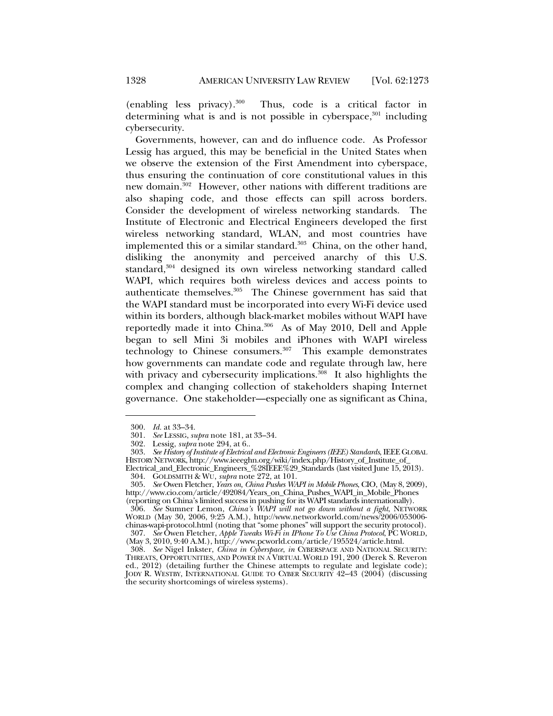(enabling less privacy).300 Thus, code is a critical factor in determining what is and is not possible in cyberspace, $301$  including cybersecurity.

Governments, however, can and do influence code. As Professor Lessig has argued, this may be beneficial in the United States when we observe the extension of the First Amendment into cyberspace, thus ensuring the continuation of core constitutional values in this new domain.<sup>302</sup> However, other nations with different traditions are also shaping code, and those effects can spill across borders. Consider the development of wireless networking standards. The Institute of Electronic and Electrical Engineers developed the first wireless networking standard, WLAN, and most countries have implemented this or a similar standard. $303$  China, on the other hand, disliking the anonymity and perceived anarchy of this U.S. standard,<sup>304</sup> designed its own wireless networking standard called WAPI, which requires both wireless devices and access points to authenticate themselves.305 The Chinese government has said that the WAPI standard must be incorporated into every Wi-Fi device used within its borders, although black-market mobiles without WAPI have reportedly made it into China.306 As of May 2010, Dell and Apple began to sell Mini 3i mobiles and iPhones with WAPI wireless technology to Chinese consumers.<sup>307</sup> This example demonstrates how governments can mandate code and regulate through law, here with privacy and cybersecurity implications. $308$  It also highlights the complex and changing collection of stakeholders shaping Internet governance. One stakeholder—especially one as significant as China,

 <sup>300.</sup> *Id.* at 33–34.

 <sup>301.</sup> *See* LESSIG, *supra* note 181, at 33–34.

 <sup>302.</sup> Lessig, *supra* note 294, at 6..

 <sup>303.</sup> *See History of Institute of Electrical and Electronic Engineers (IEEE) Standards*, IEEEGLOBAL HISTORY NETWORK, http://www.ieeeghn.org/wiki/index.php/History\_of\_Institute\_of\_

Electrical\_and\_Electronic\_Engineers\_%28IEEE%29\_Standards (last visited June 15, 2013). 304. GOLDSMITH & WU, *supra* note 272, at 101.

 <sup>305.</sup> *See* Owen Fletcher, *Years on, China Pushes WAPI in Mobile Phones*, CIO, (May 8, 2009), http://www.cio.com/article/492084/Years\_on\_China\_Pushes\_WAPI\_in\_Mobile\_Phones (reporting on China's limited success in pushing for its WAPI standards internationally).

 <sup>306.</sup> *See* Sumner Lemon, *China's WAPI will not go down without a fight*, NETWORK WORLD (May 30, 2006, 9:25 A.M.), http://www.networkworld.com/news/2006/053006 chinas-wapi-protocol.html (noting that "some phones" will support the security protocol).

 <sup>307.</sup> *See* Owen Fletcher, *Apple Tweaks Wi-Fi in IPhone To Use China Protocol*, PC WORLD, (May 3, 2010, 9:40 A.M.), http://www.pcworld.com/article/195524/article.html.

 <sup>308.</sup> *See* Nigel Inkster, *China in Cyberspace*, *in* CYBERSPACE AND NATIONAL SECURITY: THREATS, OPPORTUNITIES, AND POWER IN A VIRTUAL WORLD 191, 200 (Derek S. Reveron ed., 2012) (detailing further the Chinese attempts to regulate and legislate code); JODY R. WESTBY, INTERNATIONAL GUIDE TO CYBER SECURITY 42–43 (2004) (discussing the security shortcomings of wireless systems).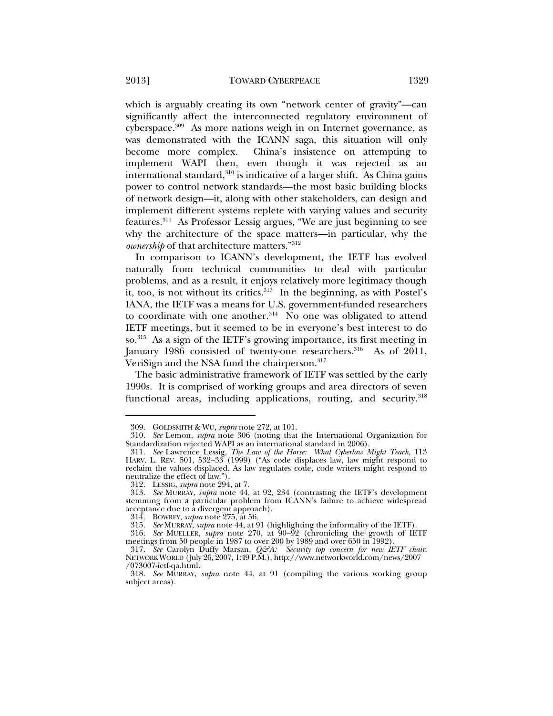which is arguably creating its own "network center of gravity"—can significantly affect the interconnected regulatory environment of cyberspace.<sup>309</sup> As more nations weigh in on Internet governance, as was demonstrated with the ICANN saga, this situation will only become more complex. China's insistence on attempting to implement WAPI then, even though it was rejected as an international standard, $310$  is indicative of a larger shift. As China gains power to control network standards—the most basic building blocks of network design—it, along with other stakeholders, can design and implement different systems replete with varying values and security features.311 As Professor Lessig argues, "We are just beginning to see why the architecture of the space matters—in particular, why the *ownership* of that architecture matters."312

In comparison to ICANN's development, the IETF has evolved naturally from technical communities to deal with particular problems, and as a result, it enjoys relatively more legitimacy though it, too, is not without its critics. $313$  In the beginning, as with Postel's IANA, the IETF was a means for U.S. government-funded researchers to coordinate with one another. $314$  No one was obligated to attend IETF meetings, but it seemed to be in everyone's best interest to do so.315 As a sign of the IETF's growing importance, its first meeting in January 1986 consisted of twenty-one researchers.<sup>316</sup> As of 2011, VeriSign and the NSA fund the chairperson.317

The basic administrative framework of IETF was settled by the early 1990s. It is comprised of working groups and area directors of seven functional areas, including applications, routing, and security.<sup>318</sup>

 <sup>309.</sup> GOLDSMITH & WU, *supra* note 272, at 101.

 <sup>310.</sup> *See* Lemon, *supra* note 306 (noting that the International Organization for Standardization rejected WAPI as an international standard in 2006).

 <sup>311.</sup> *See* Lawrence Lessig, *The Law of the Horse: What Cyberlaw Might Teach*, 113 HARV. L. REV. 501, 532–33 (1999) ("As code displaces law, law might respond to reclaim the values displaced. As law regulates code, code writers might respond to neutralize the effect of law.").

 <sup>312.</sup> LESSIG, *supra* note 294, at 7.

 <sup>313.</sup> *See* MURRAY, *supra* note 44, at 92, 234 (contrasting the IETF's development stemming from a particular problem from ICANN's failure to achieve widespread acceptance due to a divergent approach).

 <sup>314.</sup> BOWREY, *supra* note 275, at 56.

 <sup>315.</sup> *See* MURRAY, *supra* note 44, at 91 (highlighting the informality of the IETF).

 <sup>316.</sup> *See* MUELLER, *supra* note 270, at 90–92 (chronicling the growth of IETF meetings from 50 people in 1987 to over 200 by 1989 and over 650 in 1992).

 <sup>317.</sup> *See* Carolyn Duffy Marsan, *Q&A: Security top concern for new IETF chair*, NETWORK WORLD (July 26, 2007, 1:49 P.M.), http://www.networkworld.com/news/2007 /073007-ietf-qa.html.

 <sup>318.</sup> *See* MURRAY, *supra* note 44, at 91 (compiling the various working group subject areas).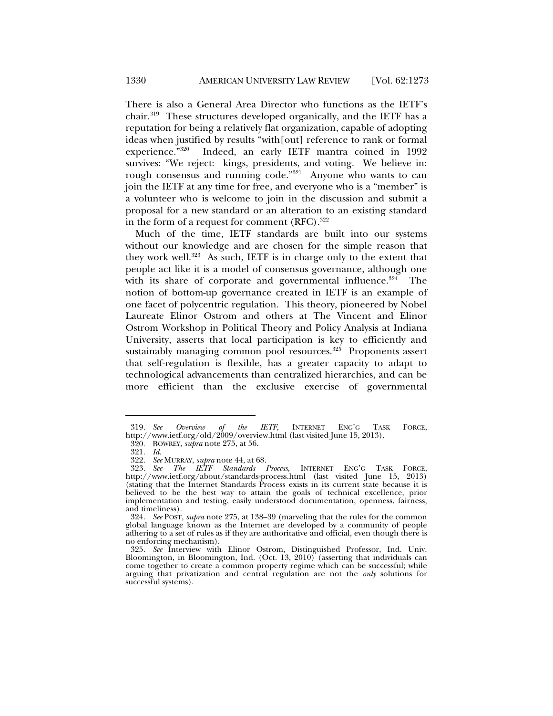There is also a General Area Director who functions as the IETF's chair.319 These structures developed organically, and the IETF has a reputation for being a relatively flat organization, capable of adopting ideas when justified by results "with[out] reference to rank or formal experience."320 Indeed, an early IETF mantra coined in 1992 survives: "We reject: kings, presidents, and voting. We believe in: rough consensus and running code."<sup>321</sup> Anyone who wants to can join the IETF at any time for free, and everyone who is a "member" is a volunteer who is welcome to join in the discussion and submit a proposal for a new standard or an alteration to an existing standard in the form of a request for comment  $(RFC).$ <sup>322</sup>

Much of the time, IETF standards are built into our systems without our knowledge and are chosen for the simple reason that they work well.<sup>323</sup> As such, IETF is in charge only to the extent that people act like it is a model of consensus governance, although one with its share of corporate and governmental influence. $324$  The notion of bottom-up governance created in IETF is an example of one facet of polycentric regulation. This theory, pioneered by Nobel Laureate Elinor Ostrom and others at The Vincent and Elinor Ostrom Workshop in Political Theory and Policy Analysis at Indiana University, asserts that local participation is key to efficiently and sustainably managing common pool resources.<sup>325</sup> Proponents assert that self-regulation is flexible, has a greater capacity to adapt to technological advancements than centralized hierarchies, and can be more efficient than the exclusive exercise of governmental

 <sup>319.</sup> *See Overview of the IETF*, INTERNET ENG'G TASK FORCE, http://www.ietf.org/old/2009/overview.html (last visited June 15, 2013).

 <sup>320.</sup> BOWREY, *supra* note 275, at 56.

 <sup>321.</sup> *Id.* 

 <sup>322.</sup> *See* MURRAY, *supra* note 44, at 68.

 <sup>323.</sup> *See The IETF Standards Process*, INTERNET ENG'G TASK FORCE, http://www.ietf.org/about/standards-process.html (last visited June 15, 2013) (stating that the Internet Standards Process exists in its current state because it is believed to be the best way to attain the goals of technical excellence, prior implementation and testing, easily understood documentation, openness, fairness, and timeliness).

 <sup>324.</sup> *See* POST, *supra* note 275, at 138–39 (marveling that the rules for the common global language known as the Internet are developed by a community of people adhering to a set of rules as if they are authoritative and official, even though there is no enforcing mechanism).

 <sup>325.</sup> *See* Interview with Elinor Ostrom, Distinguished Professor, Ind. Univ. Bloomington, in Bloomington, Ind. (Oct. 13, 2010) (asserting that individuals can come together to create a common property regime which can be successful; while arguing that privatization and central regulation are not the *only* solutions for successful systems).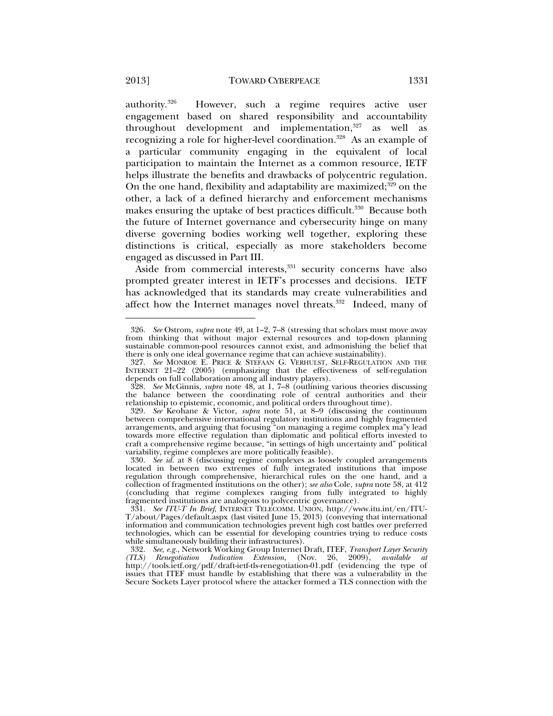authority.326 However, such a regime requires active user engagement based on shared responsibility and accountability throughout development and implementation, $327$  as well as recognizing a role for higher-level coordination.<sup>328</sup> As an example of a particular community engaging in the equivalent of local participation to maintain the Internet as a common resource, IETF helps illustrate the benefits and drawbacks of polycentric regulation. On the one hand, flexibility and adaptability are maximized; $329$  on the other, a lack of a defined hierarchy and enforcement mechanisms makes ensuring the uptake of best practices difficult.<sup>330</sup> Because both the future of Internet governance and cybersecurity hinge on many diverse governing bodies working well together, exploring these distinctions is critical, especially as more stakeholders become engaged as discussed in Part III.

Aside from commercial interests,<sup>331</sup> security concerns have also prompted greater interest in IETF's processes and decisions. IETF has acknowledged that its standards may create vulnerabilities and affect how the Internet manages novel threats.<sup>332</sup> Indeed, many of

 <sup>326.</sup> *See* Ostrom, *supra* note 49, at 1–2, 7–8 (stressing that scholars must move away from thinking that without major external resources and top-down planning sustainable common-pool resources cannot exist, and admonishing the belief that there is only one ideal governance regime that can achieve sustainability).

 <sup>327.</sup> *See* MONROE E. PRICE & STEFAAN G. VERHULST, SELF-REGULATION AND THE INTERNET 21–22 (2005) (emphasizing that the effectiveness of self-regulation depends on full collaboration among all industry players).

 <sup>328.</sup> *See* McGinnis, *supra* note 48, at 1, 7–8 (outlining various theories discussing the balance between the coordinating role of central authorities and their relationship to epistemic, economic, and political orders throughout time).

 <sup>329.</sup> *See* Keohane & Victor, *supra* note 51, at 8–9 (discussing the continuum between comprehensive international regulatory institutions and highly fragmented arrangements, and arguing that focusing "on managing a regime complex ma"y lead towards more effective regulation than diplomatic and political efforts invested to craft a comprehensive regime because, "in settings of high uncertainty and" political variability, regime complexes are more politically feasible).

 <sup>330.</sup> *See id.* at 8 (discussing regime complexes as loosely coupled arrangements located in between two extremes of fully integrated institutions that impose regulation through comprehensive, hierarchical rules on the one hand, and a collection of fragmented institutions on the other); *see also* Cole, *supra* note 58, at 412 (concluding that regime complexes ranging from fully integrated to highly fragmented institutions are analogous to polycentric governance).

 <sup>331.</sup> *See ITU-T In Brief*, INTERNET TELECOMM. UNION, http://www.itu.int/en/ITU-T/about/Pages/default.aspx (last visited June 15, 2013) (conveying that international information and communication technologies prevent high cost battles over preferred technologies, which can be essential for developing countries trying to reduce costs while simultaneously building their infrastructures).

 <sup>332.</sup> *See, e.g.*, Network Working Group Internet Draft, ITEF, *Transport Layer Security (TLS) Renegotiation Indication Extension*, (Nov. 26, 2009), *available at* http://tools.ietf.org/pdf/draft-ietf-tls-renegotiation-01.pdf (evidencing the type of issues that ITEF must handle by establishing that there was a vulnerability in the Secure Sockets Layer protocol where the attacker formed a TLS connection with the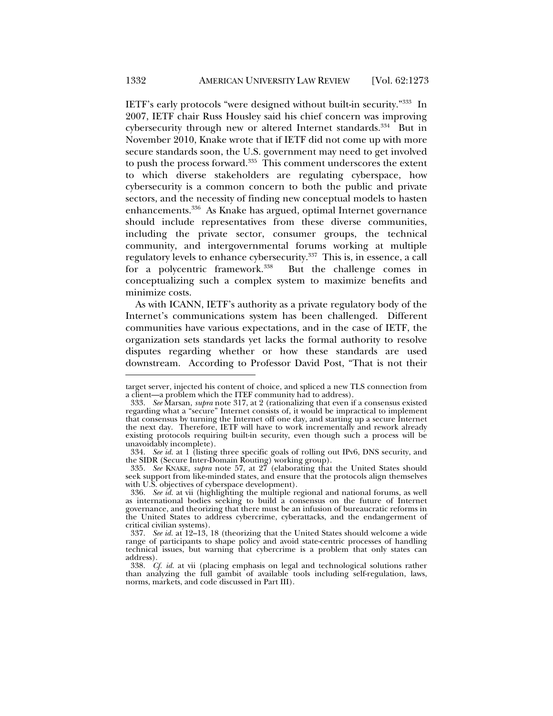IETF's early protocols "were designed without built-in security."333 In 2007, IETF chair Russ Housley said his chief concern was improving cybersecurity through new or altered Internet standards.<sup>334</sup> But in November 2010, Knake wrote that if IETF did not come up with more secure standards soon, the U.S. government may need to get involved to push the process forward.<sup>335</sup> This comment underscores the extent to which diverse stakeholders are regulating cyberspace, how cybersecurity is a common concern to both the public and private sectors, and the necessity of finding new conceptual models to hasten enhancements.336 As Knake has argued, optimal Internet governance should include representatives from these diverse communities, including the private sector, consumer groups, the technical community, and intergovernmental forums working at multiple regulatory levels to enhance cybersecurity.<sup>337</sup> This is, in essence, a call for a polycentric framework.338 But the challenge comes in conceptualizing such a complex system to maximize benefits and minimize costs.

As with ICANN, IETF's authority as a private regulatory body of the Internet's communications system has been challenged. Different communities have various expectations, and in the case of IETF, the organization sets standards yet lacks the formal authority to resolve disputes regarding whether or how these standards are used downstream. According to Professor David Post, "That is not their

target server, injected his content of choice, and spliced a new TLS connection from a client—a problem which the ITEF community had to address).

 <sup>333.</sup> *See* Marsan, *supra* note 317, at 2 (rationalizing that even if a consensus existed regarding what a "secure" Internet consists of, it would be impractical to implement that consensus by turning the Internet off one day, and starting up a secure Internet the next day. Therefore, IETF will have to work incrementally and rework already existing protocols requiring built-in security, even though such a process will be unavoidably incomplete).

 <sup>334.</sup> *See id.* at 1 (listing three specific goals of rolling out IPv6, DNS security, and the SIDR (Secure Inter-Domain Routing) working group).

 <sup>335.</sup> *See* KNAKE, *supra* note 57, at 27 (elaborating that the United States should seek support from like-minded states, and ensure that the protocols align themselves with U.S. objectives of cyberspace development).

 <sup>336.</sup> *See id.* at vii (highlighting the multiple regional and national forums, as well as international bodies seeking to build a consensus on the future of Internet governance, and theorizing that there must be an infusion of bureaucratic reforms in the United States to address cybercrime, cyberattacks, and the endangerment of critical civilian systems).

 <sup>337.</sup> *See id.* at 12–13, 18 (theorizing that the United States should welcome a wide range of participants to shape policy and avoid state-centric processes of handling technical issues, but warning that cybercrime is a problem that only states can address).

 <sup>338.</sup> *Cf. id.* at vii (placing emphasis on legal and technological solutions rather than analyzing the full gambit of available tools including self-regulation, laws, norms, markets, and code discussed in Part III).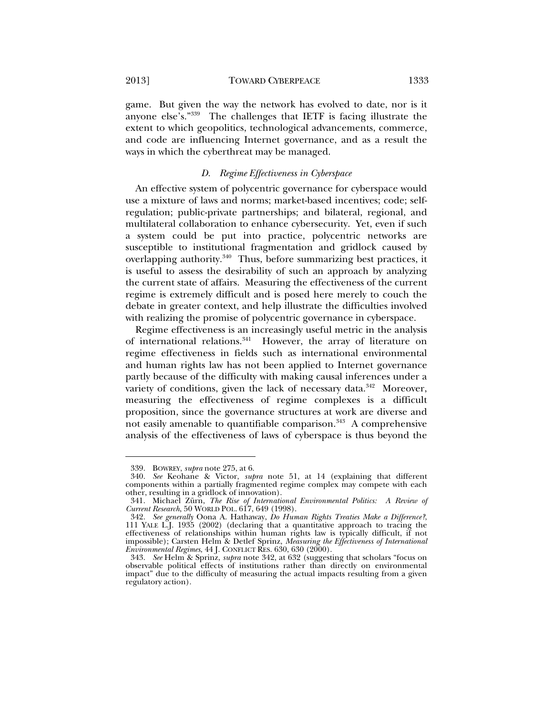2013] TOWARD CYBERPEACE 1333

game. But given the way the network has evolved to date, nor is it anyone else's."339 The challenges that IETF is facing illustrate the extent to which geopolitics, technological advancements, commerce, and code are influencing Internet governance, and as a result the ways in which the cyberthreat may be managed.

### *D. Regime Effectiveness in Cyberspace*

An effective system of polycentric governance for cyberspace would use a mixture of laws and norms; market-based incentives; code; selfregulation; public-private partnerships; and bilateral, regional, and multilateral collaboration to enhance cybersecurity. Yet, even if such a system could be put into practice, polycentric networks are susceptible to institutional fragmentation and gridlock caused by overlapping authority.340 Thus, before summarizing best practices, it is useful to assess the desirability of such an approach by analyzing the current state of affairs. Measuring the effectiveness of the current regime is extremely difficult and is posed here merely to couch the debate in greater context, and help illustrate the difficulties involved with realizing the promise of polycentric governance in cyberspace.

Regime effectiveness is an increasingly useful metric in the analysis of international relations.<sup>341</sup> However, the array of literature on regime effectiveness in fields such as international environmental and human rights law has not been applied to Internet governance partly because of the difficulty with making causal inferences under a variety of conditions, given the lack of necessary data.<sup>342</sup> Moreover, measuring the effectiveness of regime complexes is a difficult proposition, since the governance structures at work are diverse and not easily amenable to quantifiable comparison.<sup>343</sup> A comprehensive analysis of the effectiveness of laws of cyberspace is thus beyond the

 <sup>339.</sup> BOWREY, *supra* note 275, at 6.

 <sup>340.</sup> *See* Keohane & Victor, *supra* note 51, at 14 (explaining that different components within a partially fragmented regime complex may compete with each other, resulting in a gridlock of innovation).

 <sup>341.</sup> Michael Zürn, *The Rise of International Environmental Politics: A Review of Current Research*, 50 WORLD POL. 617, 649 (1998).

 <sup>342.</sup> *See generally* Oona A. Hathaway, *Do Human Rights Treaties Make a Difference?*, 111 YALE L.J. 1935 (2002) (declaring that a quantitative approach to tracing the effectiveness of relationships within human rights law is typically difficult, if not impossible); Carsten Helm & Detlef Sprinz, *Measuring the Effectiveness of International Environmental Regimes*, 44 J. CONFLICT RES. 630, 630 (2000).

 <sup>343.</sup> *See* Helm & Sprinz, *supra* note 342, at 632 (suggesting that scholars "focus on observable political effects of institutions rather than directly on environmental impact" due to the difficulty of measuring the actual impacts resulting from a given regulatory action).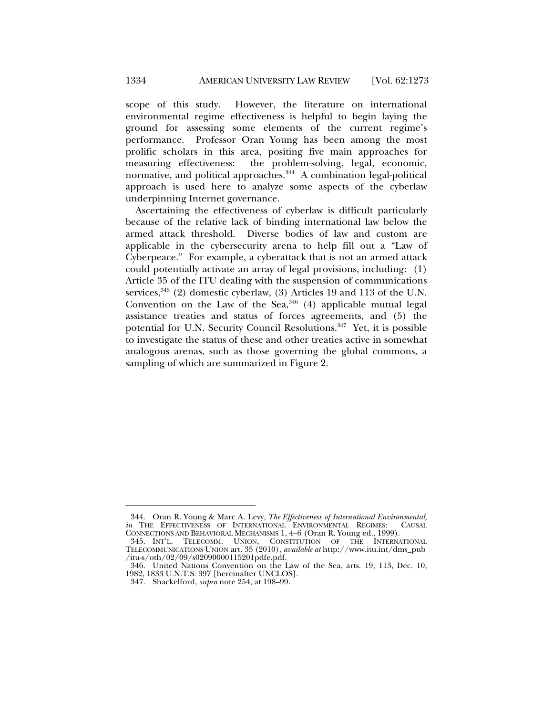scope of this study. However, the literature on international environmental regime effectiveness is helpful to begin laying the ground for assessing some elements of the current regime's performance. Professor Oran Young has been among the most prolific scholars in this area, positing five main approaches for measuring effectiveness: the problem-solving, legal, economic, normative, and political approaches.<sup>344</sup> A combination legal-political approach is used here to analyze some aspects of the cyberlaw underpinning Internet governance.

Ascertaining the effectiveness of cyberlaw is difficult particularly because of the relative lack of binding international law below the armed attack threshold. Diverse bodies of law and custom are applicable in the cybersecurity arena to help fill out a "Law of Cyberpeace." For example, a cyberattack that is not an armed attack could potentially activate an array of legal provisions, including: (1) Article 35 of the ITU dealing with the suspension of communications services,  $345$  (2) domestic cyberlaw, (3) Articles 19 and 113 of the U.N. Convention on the Law of the Sea,  $346$  (4) applicable mutual legal assistance treaties and status of forces agreements, and (5) the potential for U.N. Security Council Resolutions.<sup>347</sup> Yet, it is possible to investigate the status of these and other treaties active in somewhat analogous arenas, such as those governing the global commons, a sampling of which are summarized in Figure 2.

 <sup>344.</sup> Oran R. Young & Marc A. Levy, *The Effectiveness of International Environmental*, *in* THE EFFECTIVENESS OF INTERNATIONAL ENVIRONMENTAL REGIMES: CAUSAL CONNECTIONS AND BEHAVIORAL MECHANISMS 1, 4–6 (Oran R. Young ed., 1999).

 <sup>345.</sup> INT'L. TELECOMM. UNION, CONSTITUTION OF THE INTERNATIONAL TELECOMMUNICATIONS UNION art. 35 (2010), *available at* http://www.itu.int/dms\_pub /itu-s/oth/02/09/s02090000115201pdfe.pdf.

 <sup>346.</sup> United Nations Convention on the Law of the Sea, arts. 19, 113, Dec. 10, 1982, 1833 U.N.T.S. 397 [hereinafter UNCLOS].

 <sup>347.</sup> Shackelford, *supra* note 254, at 198–99.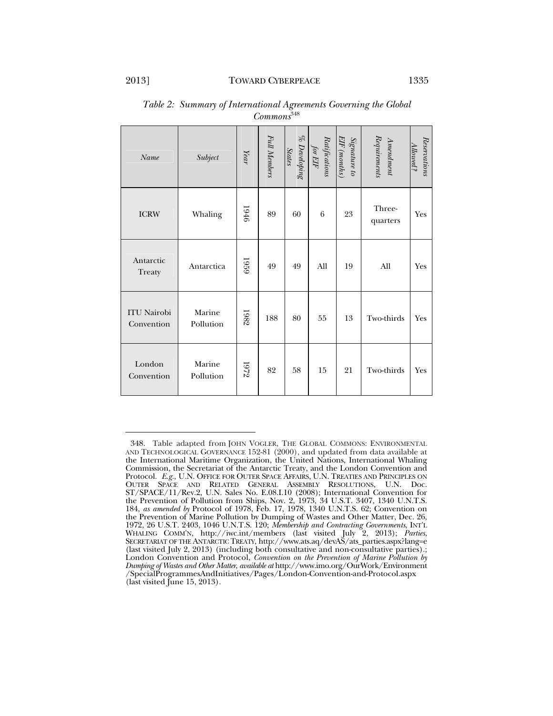| Name                             | Subject             | Year        | Full Members | % Developing<br>States | Ratifications<br>for EIF | Signature to<br>EIF (months) | ${\it Reguirement}$<br>$A$ mendment | Reservations<br>Allowed? |
|----------------------------------|---------------------|-------------|--------------|------------------------|--------------------------|------------------------------|-------------------------------------|--------------------------|
| <b>ICRW</b>                      | Whaling             | 1946        | 89           | 60                     | 6                        | 23                           | Three-<br>quarters                  | Yes                      |
| Antarctic<br>Treaty              | Antarctica          | <b>6261</b> | 49           | 49                     | All                      | 19                           | All                                 | Yes                      |
| <b>ITU Nairobi</b><br>Convention | Marine<br>Pollution | 1982        | 188          | 80                     | 55                       | 13                           | Two-thirds                          | Yes                      |
| London<br>Convention             | Marine<br>Pollution | 1972        | 82           | 58                     | 15                       | 21                           | Two-thirds                          | Yes                      |

| Table 2: Summary of International Agreements Governing the Global |  |
|-------------------------------------------------------------------|--|
| Commons <sup>348</sup>                                            |  |

 <sup>348.</sup> Table adapted from JOHN VOGLER, THE GLOBAL COMMONS: ENVIRONMENTAL AND TECHNOLOGICAL GOVERNANCE 152-81 (2000), and updated from data available at the International Maritime Organization, the United Nations, International Whaling Commission, the Secretariat of the Antarctic Treaty, and the London Convention and Protocol. *E.g.*, U.N. OFFICE FOR OUTER SPACE AFFAIRS, U.N. TREATIES AND PRINCIPLES ON OUTER SPACE AND RELATED GENERAL ASSEMBLY RESOLUTIONS, U.N. Doc. ST/SPACE/11/Rev.2, U.N. Sales No. E.08.I.10 (2008); International Convention for the Prevention of Pollution from Ships, Nov. 2, 1973, 34 U.S.T. 3407, 1340 U.N.T.S. 184, *as amended by* Protocol of 1978, Feb. 17, 1978, 1340 U.N.T.S. 62; Convention on the Prevention of Marine Pollution by Dumping of Wastes and Other Matter, Dec. 26, 1972, 26 U.S.T. 2403, 1046 U.N.T.S. 120; *Membership and Contracting Governments*, INT'L WHALING COMM'N, http://iwc.int/members (last visited July 2, 2013); *Parties*, SECRETARIAT OF THE ANTARCTIC TREATY, http://www.ats.aq/devAS/ats\_parties.aspx?lang=e (last visited July 2, 2013) (including both consultative and non-consultative parties).; London Convention and Protocol, *Convention on the Prevention of Marine Pollution by Dumping of Wastes and Other Matter*, *available at* http://www.imo.org/OurWork/Environment /SpecialProgrammesAndInitiatives/Pages/London-Convention-and-Protocol.aspx (last visited June 15, 2013).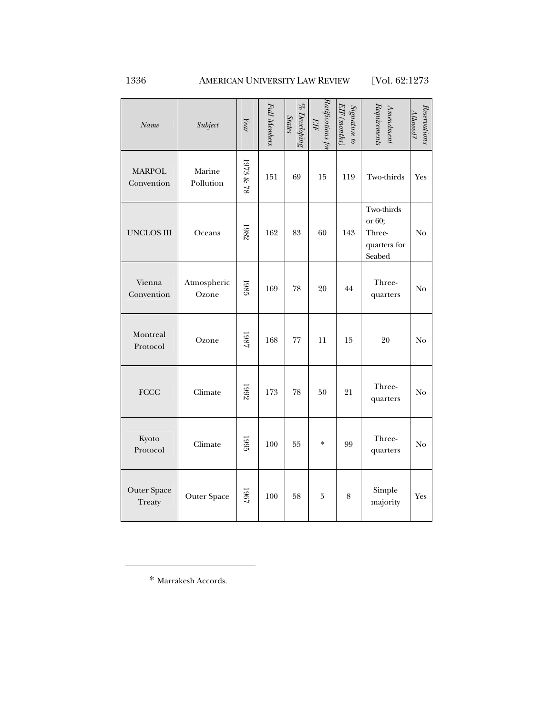1336 AMERICAN UNIVERSITY LAW REVIEW [Vol. 62:1273

| Name                         | Subject              | $\it Year$ | Full Members | $\%$ Developing<br><b>States</b> | Ratifications for<br>EIF | Signature to<br>EIF (months) | Requirements<br>$A$ mendment                             | Reservation<br>llowed? |
|------------------------------|----------------------|------------|--------------|----------------------------------|--------------------------|------------------------------|----------------------------------------------------------|------------------------|
| <b>MARPOL</b><br>Convention  | Marine<br>Pollution  | 1973 & 78  | 151          | 69                               | 15                       | 119                          | Two-thirds                                               | Yes                    |
| <b>UNCLOS III</b>            | Oceans               | 1982       | 162          | 83                               | 60                       | 143                          | Two-thirds<br>or 60;<br>Three-<br>quarters for<br>Seabed | No                     |
| Vienna<br>Convention         | Atmospheric<br>Ozone | 1985       | 169          | 78                               | 20                       | 44                           | Three-<br>quarters                                       | No                     |
| Montreal<br>Protocol         | Ozone                | 1987       | 168          | $77\,$                           | 11                       | 15                           | 20                                                       | No                     |
| <b>FCCC</b>                  | Climate              | 1992       | 173          | 78                               | 50                       | 21                           | Three-<br>quarters                                       | N <sub>o</sub>         |
| Kyoto<br>Protocol            | Climate              | 1995       | 100          | 55                               | $\ast$                   | 99                           | Three-<br>quarters                                       | No                     |
| <b>Outer Space</b><br>Treaty | <b>Outer Space</b>   | 1961       | 100          | 58                               | $\bf 5$                  | $\,8\,$                      | Simple<br>majority                                       | Yes                    |

\* Marrakesh Accords.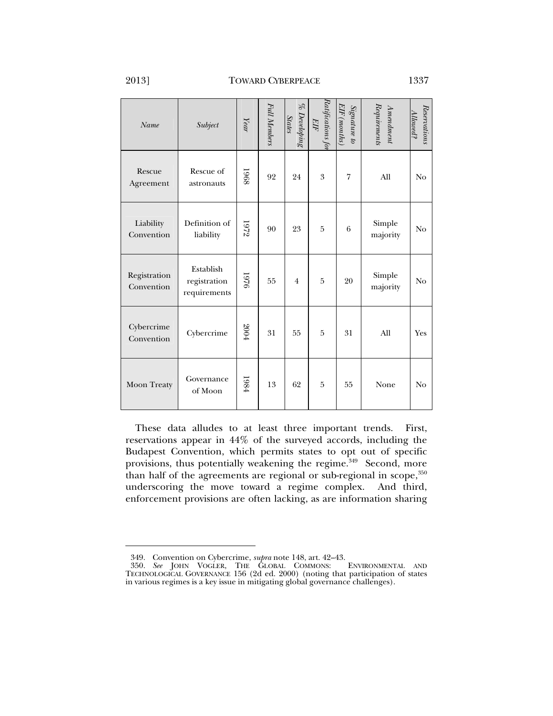l

| Name                       | Subject                                   | Year | Full Members | % Developing<br><b>States</b> | Ratifications for<br>EIF | EIF (months)<br>Signature to | $\emph{Request}$<br>$A$ mendment | Reservation:<br>Allowed? |
|----------------------------|-------------------------------------------|------|--------------|-------------------------------|--------------------------|------------------------------|----------------------------------|--------------------------|
| Rescue<br>Agreement        | Rescue of<br>astronauts                   | 1968 | 92           | 24                            | 3                        | 7                            | All                              | N <sub>o</sub>           |
| Liability<br>Convention    | Definition of<br>liability                | 1972 | 90           | 23                            | $\overline{5}$           | 6                            | Simple<br>majority               | N <sub>o</sub>           |
| Registration<br>Convention | Establish<br>registration<br>requirements | 1976 | 55           | $\overline{4}$                | $\bf 5$                  | 20                           | Simple<br>majority               | N <sub>o</sub>           |
| Cybercrime<br>Convention   | Cybercrime                                | 2004 | 31           | 55                            | 5                        | 31                           | All                              | Yes                      |
| Moon Treaty                | Governance<br>of Moon                     | 1984 | 13           | 62                            | 5                        | 55                           | None                             | N <sub>o</sub>           |

These data alludes to at least three important trends. First, reservations appear in 44% of the surveyed accords, including the Budapest Convention, which permits states to opt out of specific provisions, thus potentially weakening the regime.<sup>349</sup> Second, more than half of the agreements are regional or sub-regional in scope, $350$ underscoring the move toward a regime complex. And third, enforcement provisions are often lacking, as are information sharing

 <sup>349.</sup> Convention on Cybercrime, *supra* note 148, art. 42–43. 350. See JOHN VOGLER, THE GLOBAL COMMONS: TECHNOLOGICAL GOVERNANCE 156 (2d ed. 2000) (noting that participation of states in various regimes is a key issue in mitigating global governance challenges).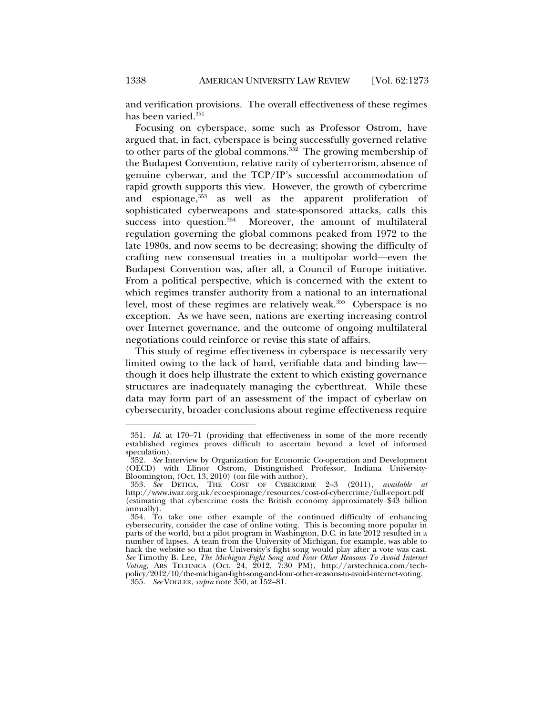and verification provisions. The overall effectiveness of these regimes has been varied.<sup>351</sup>

Focusing on cyberspace, some such as Professor Ostrom, have argued that, in fact, cyberspace is being successfully governed relative to other parts of the global commons.<sup>352</sup> The growing membership of the Budapest Convention, relative rarity of cyberterrorism, absence of genuine cyberwar, and the TCP/IP's successful accommodation of rapid growth supports this view. However, the growth of cybercrime and espionage, 353 as well as the apparent proliferation of sophisticated cyberweapons and state-sponsored attacks, calls this success into question.<sup>354</sup> Moreover, the amount of multilateral regulation governing the global commons peaked from 1972 to the late 1980s, and now seems to be decreasing; showing the difficulty of crafting new consensual treaties in a multipolar world—even the Budapest Convention was, after all, a Council of Europe initiative. From a political perspective, which is concerned with the extent to which regimes transfer authority from a national to an international level, most of these regimes are relatively weak.<sup>355</sup> Cyberspace is no exception. As we have seen, nations are exerting increasing control over Internet governance, and the outcome of ongoing multilateral negotiations could reinforce or revise this state of affairs.

This study of regime effectiveness in cyberspace is necessarily very limited owing to the lack of hard, verifiable data and binding law though it does help illustrate the extent to which existing governance structures are inadequately managing the cyberthreat. While these data may form part of an assessment of the impact of cyberlaw on cybersecurity, broader conclusions about regime effectiveness require

 <sup>351.</sup> *Id.* at 170–71 (providing that effectiveness in some of the more recently established regimes proves difficult to ascertain beyond a level of informed speculation).

 <sup>352.</sup> *See* Interview by Organization for Economic Co-operation and Development (OECD) with Elinor Ostrom, Distinguished Professor, Indiana University-Bloomington, (Oct. 13, 2010) (on file with author).

 <sup>353.</sup> *See* DETICA, THE COST OF CYBERCRIME 2–3 (2011), *available at* http://www.iwar.org.uk/ecoespionage/resources/cost-of-cybercrime/full-report.pdf (estimating that cybercrime costs the British economy approximately \$43 billion annually).

 <sup>354.</sup> To take one other example of the continued difficulty of enhancing cybersecurity, consider the case of online voting. This is becoming more popular in parts of the world, but a pilot program in Washington, D.C. in late 2012 resulted in a number of lapses. A team from the University of Michigan, for example, was able to hack the website so that the University's fight song would play after a vote was cast. *See* Timothy B. Lee, *The Michigan Fight Song and Four Other Reasons To Avoid Internet Voting*, ARS TECHNICA (Oct. 24, 2012, 7:30 PM), http://arstechnica.com/techpolicy/2012/10/the-michigan-fight-song-and-four-other-reasons-to-avoid-internet-voting. 355. *See* VOGLER, *supra* note 350, at 152–81.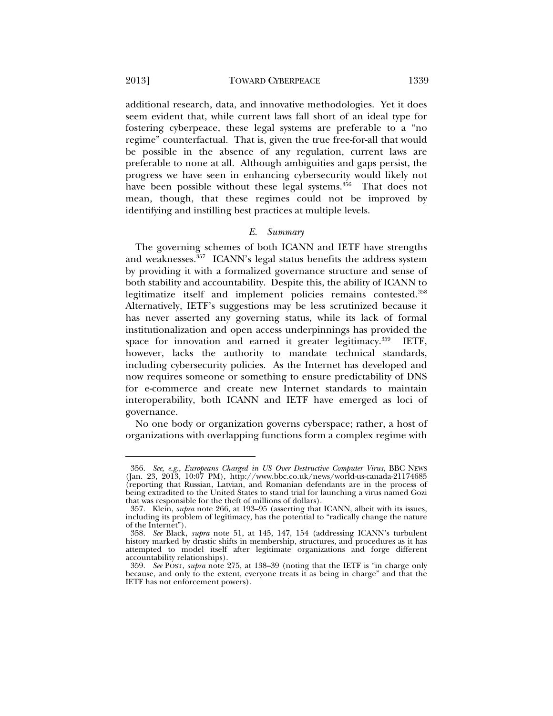l

additional research, data, and innovative methodologies. Yet it does seem evident that, while current laws fall short of an ideal type for fostering cyberpeace, these legal systems are preferable to a "no regime" counterfactual. That is, given the true free-for-all that would be possible in the absence of any regulation, current laws are preferable to none at all. Although ambiguities and gaps persist, the progress we have seen in enhancing cybersecurity would likely not have been possible without these legal systems.<sup>356</sup> That does not mean, though, that these regimes could not be improved by identifying and instilling best practices at multiple levels.

#### *E. Summary*

The governing schemes of both ICANN and IETF have strengths and weaknesses.<sup>357</sup> ICANN's legal status benefits the address system by providing it with a formalized governance structure and sense of both stability and accountability. Despite this, the ability of ICANN to legitimatize itself and implement policies remains contested.358 Alternatively, IETF's suggestions may be less scrutinized because it has never asserted any governing status, while its lack of formal institutionalization and open access underpinnings has provided the space for innovation and earned it greater legitimacy.<sup>359</sup> IETF, however, lacks the authority to mandate technical standards, including cybersecurity policies. As the Internet has developed and now requires someone or something to ensure predictability of DNS for e-commerce and create new Internet standards to maintain interoperability, both ICANN and IETF have emerged as loci of governance.

No one body or organization governs cyberspace; rather, a host of organizations with overlapping functions form a complex regime with

 <sup>356.</sup> *See, e.g.*, *Europeans Charged in US Over Destructive Computer Virus*, BBC NEWS (Jan. 23, 2013, 10:07 PM), http://www.bbc.co.uk/news/world-us-canada-21174685 (reporting that Russian, Latvian, and Romanian defendants are in the process of being extradited to the United States to stand trial for launching a virus named Gozi that was responsible for the theft of millions of dollars).

 <sup>357.</sup> Klein, *supra* note 266, at 193–95 (asserting that ICANN, albeit with its issues, including its problem of legitimacy, has the potential to "radically change the nature of the Internet").

 <sup>358.</sup> *See* Black, *supra* note 51, at 145, 147, 154 (addressing ICANN's turbulent history marked by drastic shifts in membership, structures, and procedures as it has attempted to model itself after legitimate organizations and forge different accountability relationships).

 <sup>359.</sup> *See* POST, *supra* note 275, at 138–39 (noting that the IETF is "in charge only because, and only to the extent, everyone treats it as being in charge" and that the IETF has not enforcement powers).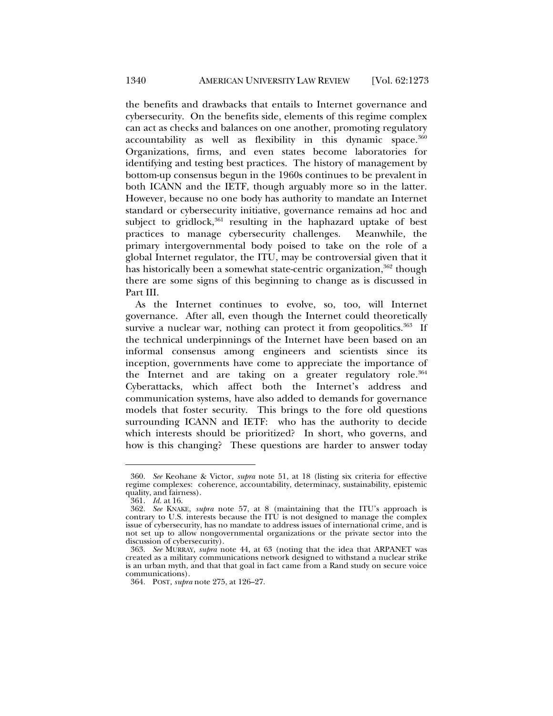the benefits and drawbacks that entails to Internet governance and cybersecurity. On the benefits side, elements of this regime complex can act as checks and balances on one another, promoting regulatory  $accountability$  as well as flexibility in this dynamic space.  $360$ Organizations, firms, and even states become laboratories for identifying and testing best practices. The history of management by bottom-up consensus begun in the 1960s continues to be prevalent in both ICANN and the IETF, though arguably more so in the latter. However, because no one body has authority to mandate an Internet standard or cybersecurity initiative, governance remains ad hoc and subject to gridlock,<sup>361</sup> resulting in the haphazard uptake of best practices to manage cybersecurity challenges. Meanwhile, the primary intergovernmental body poised to take on the role of a global Internet regulator, the ITU, may be controversial given that it has historically been a somewhat state-centric organization,<sup>362</sup> though there are some signs of this beginning to change as is discussed in Part III.

As the Internet continues to evolve, so, too, will Internet governance. After all, even though the Internet could theoretically survive a nuclear war, nothing can protect it from geopolitics. $363$  If the technical underpinnings of the Internet have been based on an informal consensus among engineers and scientists since its inception, governments have come to appreciate the importance of the Internet and are taking on a greater regulatory role.<sup>364</sup> Cyberattacks, which affect both the Internet's address and communication systems, have also added to demands for governance models that foster security. This brings to the fore old questions surrounding ICANN and IETF: who has the authority to decide which interests should be prioritized? In short, who governs, and how is this changing? These questions are harder to answer today

 <sup>360.</sup> *See* Keohane & Victor, *supra* note 51, at 18 (listing six criteria for effective regime complexes: coherence, accountability, determinacy, sustainability, epistemic quality, and fairness).

 <sup>361.</sup> *Id.* at 16.

 <sup>362.</sup> *See* KNAKE, *supra* note 57, at 8 (maintaining that the ITU's approach is contrary to U.S. interests because the ITU is not designed to manage the complex issue of cybersecurity, has no mandate to address issues of international crime, and is not set up to allow nongovernmental organizations or the private sector into the discussion of cybersecurity).

 <sup>363.</sup> *See* MURRAY, *supra* note 44, at 63 (noting that the idea that ARPANET was created as a military communications network designed to withstand a nuclear strike is an urban myth, and that that goal in fact came from a Rand study on secure voice communications).

 <sup>364.</sup> POST, *supra* note 275, at 126–27.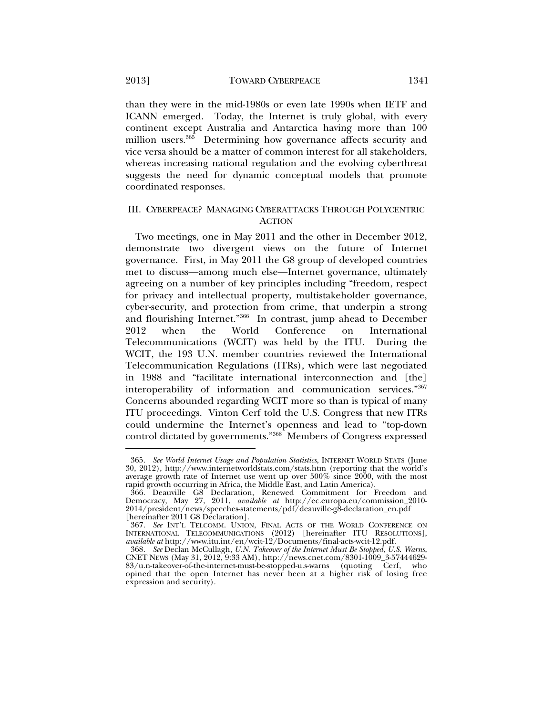than they were in the mid-1980s or even late 1990s when IETF and ICANN emerged. Today, the Internet is truly global, with every continent except Australia and Antarctica having more than 100

million users.<sup>365</sup> Determining how governance affects security and vice versa should be a matter of common interest for all stakeholders, whereas increasing national regulation and the evolving cyberthreat suggests the need for dynamic conceptual models that promote coordinated responses.

## III. CYBERPEACE? MANAGING CYBERATTACKS THROUGH POLYCENTRIC **ACTION**

Two meetings, one in May 2011 and the other in December 2012, demonstrate two divergent views on the future of Internet governance. First, in May 2011 the G8 group of developed countries met to discuss—among much else—Internet governance, ultimately agreeing on a number of key principles including "freedom, respect for privacy and intellectual property, multistakeholder governance, cyber-security, and protection from crime, that underpin a strong and flourishing Internet."366 In contrast, jump ahead to December 2012 when the World Conference on International Telecommunications (WCIT) was held by the ITU. During the WCIT, the 193 U.N. member countries reviewed the International Telecommunication Regulations (ITRs), which were last negotiated in 1988 and "facilitate international interconnection and [the] interoperability of information and communication services."367 Concerns abounded regarding WCIT more so than is typical of many ITU proceedings. Vinton Cerf told the U.S. Congress that new ITRs could undermine the Internet's openness and lead to "top-down control dictated by governments."368 Members of Congress expressed

 <sup>365.</sup> *See World Internet Usage and Population Statistics*, INTERNET WORLD STATS (June 30, 2012), http://www.internetworldstats.com/stats.htm (reporting that the world's average growth rate of Internet use went up over 500% since 2000, with the most rapid growth occurring in Africa, the Middle East, and Latin America).

 <sup>366.</sup> Deauville G8 Declaration, Renewed Commitment for Freedom and Democracy, May 27, 2011, *available at* http://ec.europa.eu/commission\_2010- 2014/president/news/speeches-statements/pdf/deauville-g8-declaration\_en.pdf [hereinafter 2011 G8 Declaration].

 <sup>367.</sup> *See* INT'L TELCOMM. UNION, FINAL ACTS OF THE WORLD CONFERENCE ON INTERNATIONAL TELECOMMUNICATIONS (2012) [hereinafter ITU RESOLUTIONS], *available at* http://www.itu.int/en/wcit-12/Documents/final-acts-wcit-12.pdf.

 <sup>368.</sup> *See* Declan McCullagh, *U.N. Takeover of the Internet Must Be Stopped, U.S. Warns*, CNET NEWS (May 31, 2012, 9:33 AM), http://news.cnet.com/8301-1009\_3-57444629- 83/u.n-takeover-of-the-internet-must-be-stopped-u.s-warns (quoting Cerf, who opined that the open Internet has never been at a higher risk of losing free expression and security).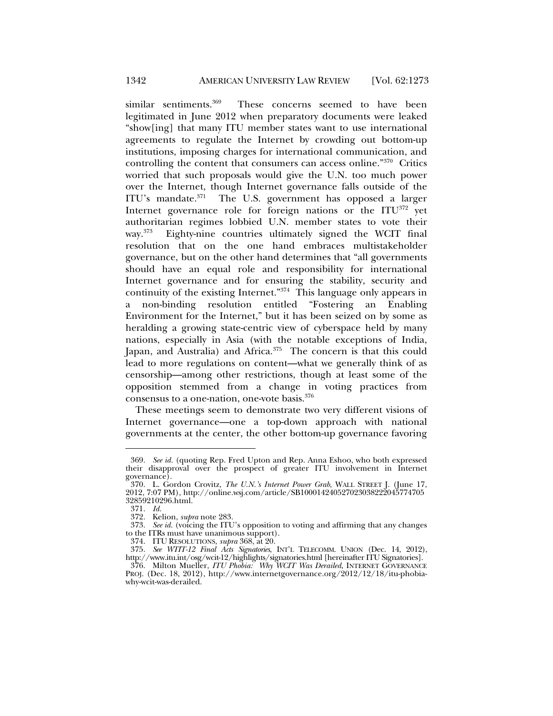similar sentiments.<sup>369</sup> These concerns seemed to have been legitimated in June 2012 when preparatory documents were leaked "show[ing] that many ITU member states want to use international agreements to regulate the Internet by crowding out bottom-up institutions, imposing charges for international communication, and controlling the content that consumers can access online."370 Critics worried that such proposals would give the U.N. too much power over the Internet, though Internet governance falls outside of the ITU's mandate.371 The U.S. government has opposed a larger Internet governance role for foreign nations or the ITU372 yet authoritarian regimes lobbied U.N. member states to vote their way.<sup>373</sup> Eighty-nine countries ultimately signed the WCIT final resolution that on the one hand embraces multistakeholder governance, but on the other hand determines that "all governments should have an equal role and responsibility for international Internet governance and for ensuring the stability, security and continuity of the existing Internet."374 This language only appears in a non-binding resolution entitled "Fostering an Enabling Environment for the Internet," but it has been seized on by some as heralding a growing state-centric view of cyberspace held by many nations, especially in Asia (with the notable exceptions of India, Japan, and Australia) and Africa.<sup>375</sup> The concern is that this could lead to more regulations on content—what we generally think of as censorship—among other restrictions, though at least some of the opposition stemmed from a change in voting practices from consensus to a one-nation, one-vote basis.376

These meetings seem to demonstrate two very different visions of Internet governance—one a top-down approach with national governments at the center, the other bottom-up governance favoring

 <sup>369.</sup> *See id.* (quoting Rep. Fred Upton and Rep. Anna Eshoo, who both expressed their disapproval over the prospect of greater ITU involvement in Internet governance).

 <sup>370.</sup> L. Gordon Crovitz, *The U.N.'s Internet Power Grab*, WALL STREET J. (June 17, 2012, 7:07 PM), http://online.wsj.com/article/SB100014240527023038222045774705 32859210296.html.

 <sup>371.</sup> *Id.* 

 <sup>372.</sup> Kelion, *supra* note 283.

 <sup>373.</sup> *See id.* (voicing the ITU's opposition to voting and affirming that any changes to the ITRs must have unanimous support).

 <sup>374.</sup> ITU RESOLUTIONS, *supra* 368, at 20.

 <sup>375.</sup> *See WTIT-12 Final Acts Signatories*, INT'L TELECOMM. UNION (Dec. 14, 2012), http://www.itu.int/osg/wcit-12/highlights/signatories.html [hereinafter ITU Signatories].

 <sup>376.</sup> Milton Mueller, *ITU Phobia: Why WCIT Was Derailed*, INTERNET GOVERNANCE PROJ. (Dec. 18, 2012), http://www.internetgovernance.org/2012/12/18/itu-phobiawhy-wcit-was-derailed.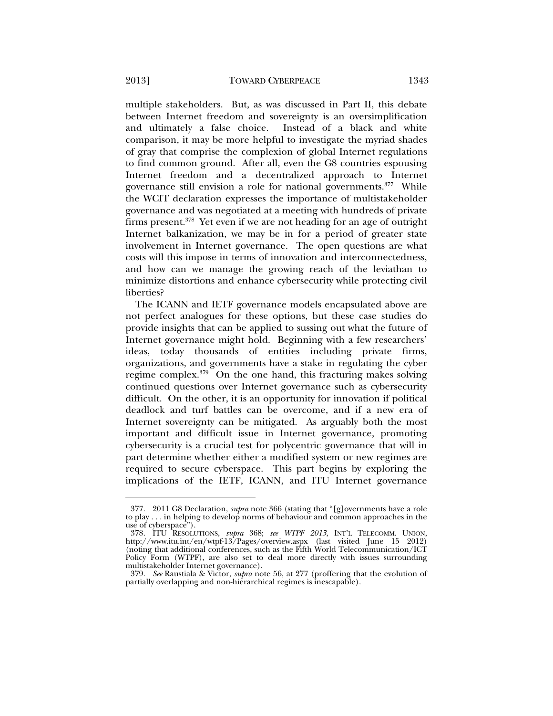multiple stakeholders. But, as was discussed in Part II, this debate between Internet freedom and sovereignty is an oversimplification and ultimately a false choice. Instead of a black and white comparison, it may be more helpful to investigate the myriad shades of gray that comprise the complexion of global Internet regulations to find common ground. After all, even the G8 countries espousing Internet freedom and a decentralized approach to Internet governance still envision a role for national governments.<sup>377</sup> While the WCIT declaration expresses the importance of multistakeholder governance and was negotiated at a meeting with hundreds of private firms present.378 Yet even if we are not heading for an age of outright Internet balkanization, we may be in for a period of greater state involvement in Internet governance. The open questions are what costs will this impose in terms of innovation and interconnectedness, and how can we manage the growing reach of the leviathan to minimize distortions and enhance cybersecurity while protecting civil liberties?

The ICANN and IETF governance models encapsulated above are not perfect analogues for these options, but these case studies do provide insights that can be applied to sussing out what the future of Internet governance might hold. Beginning with a few researchers' ideas, today thousands of entities including private firms, organizations, and governments have a stake in regulating the cyber regime complex.379 On the one hand, this fracturing makes solving continued questions over Internet governance such as cybersecurity difficult. On the other, it is an opportunity for innovation if political deadlock and turf battles can be overcome, and if a new era of Internet sovereignty can be mitigated. As arguably both the most important and difficult issue in Internet governance, promoting cybersecurity is a crucial test for polycentric governance that will in part determine whether either a modified system or new regimes are required to secure cyberspace. This part begins by exploring the implications of the IETF, ICANN, and ITU Internet governance

 <sup>377. 2011</sup> G8 Declaration, *supra* note 366 (stating that "[g]overnments have a role to play . . . in helping to develop norms of behaviour and common approaches in the use of cyberspace").

 <sup>378.</sup> ITU RESOLUTIONS, *supra* 368; *see WTPF 2013*, INT'L TELECOMM. UNION, http://www.itu.int/en/wtpf-13/Pages/overview.aspx (last visited June 15 2012) (noting that additional conferences, such as the Fifth World Telecommunication/ICT Policy Form (WTPF), are also set to deal more directly with issues surrounding multistakeholder Internet governance).

 <sup>379.</sup> *See* Raustiala & Victor, *supra* note 56, at 277 (proffering that the evolution of partially overlapping and non-hierarchical regimes is inescapable).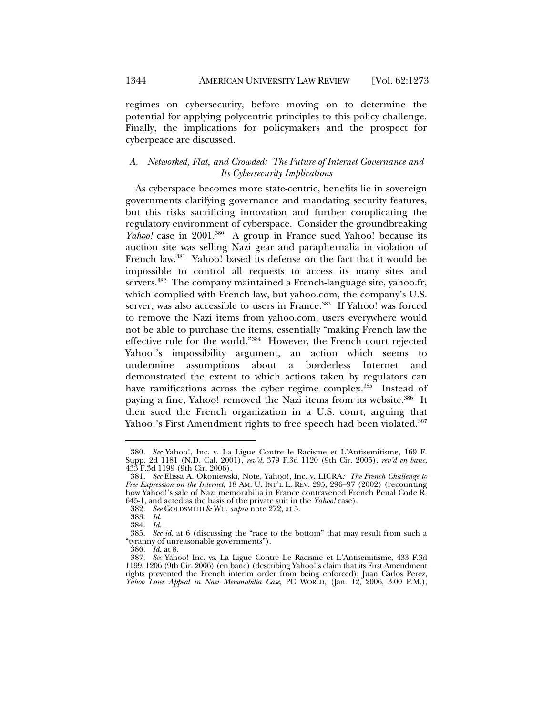1344 **AMERICAN UNIVERSITY LAW REVIEW** [Vol. 62:1273]

regimes on cybersecurity, before moving on to determine the potential for applying polycentric principles to this policy challenge. Finally, the implications for policymakers and the prospect for cyberpeace are discussed.

## *A. Networked, Flat, and Crowded: The Future of Internet Governance and Its Cybersecurity Implications*

As cyberspace becomes more state-centric, benefits lie in sovereign governments clarifying governance and mandating security features, but this risks sacrificing innovation and further complicating the regulatory environment of cyberspace. Consider the groundbreaking *Yahoo!* case in 2001.<sup>380</sup> A group in France sued Yahoo! because its auction site was selling Nazi gear and paraphernalia in violation of French law.<sup>381</sup> Yahoo! based its defense on the fact that it would be impossible to control all requests to access its many sites and servers.<sup>382</sup> The company maintained a French-language site, yahoo.fr, which complied with French law, but yahoo.com, the company's U.S. server, was also accessible to users in France.<sup>383</sup> If Yahoo! was forced to remove the Nazi items from yahoo.com, users everywhere would not be able to purchase the items, essentially "making French law the effective rule for the world."384 However, the French court rejected Yahoo!'s impossibility argument, an action which seems to undermine assumptions about a borderless Internet and demonstrated the extent to which actions taken by regulators can have ramifications across the cyber regime complex.<sup>385</sup> Instead of paying a fine, Yahoo! removed the Nazi items from its website.<sup>386</sup> It then sued the French organization in a U.S. court, arguing that Yahoo!'s First Amendment rights to free speech had been violated.<sup>387</sup>

 <sup>380.</sup> *See* Yahoo!, Inc. v. La Ligue Contre le Racisme et L'Antisemitisme, 169 F. Supp. 2d 1181 (N.D. Cal. 2001), *rev'd*, 379 F.3d 1120 (9th Cir. 2005), *rev'd en banc*, 433 F.3d 1199 (9th Cir. 2006).

 <sup>381.</sup> *See* Elissa A. Okoniewski, Note, Yahoo!, Inc. v. LICRA*: The French Challenge to Free Expression on the Internet*, 18 AM. U. INT'L L. REV. 295, 296–97 (2002) (recounting how Yahoo!'s sale of Nazi memorabilia in France contravened French Penal Code R. 645-1, and acted as the basis of the private suit in the *Yahoo!* case).

 <sup>382.</sup> *See* GOLDSMITH & WU, *supra* note 272, at 5.

 <sup>383.</sup> *Id.*

 <sup>384.</sup> *Id.*

 <sup>385.</sup> *See id.* at 6 (discussing the "race to the bottom" that may result from such a "tyranny of unreasonable governments").

 <sup>386.</sup> *Id.* at 8.

 <sup>387.</sup> *See* Yahoo! Inc. vs. La Ligue Contre Le Racisme et L'Antisemitisme, 433 F.3d 1199, 1206 (9th Cir. 2006) (en banc) (describing Yahoo!'s claim that its First Amendment rights prevented the French interim order from being enforced); Juan Carlos Perez, *Yahoo Loses Appeal in Nazi Memorabilia Case*, PC WORLD, (Jan. 12, 2006, 3:00 P.M.),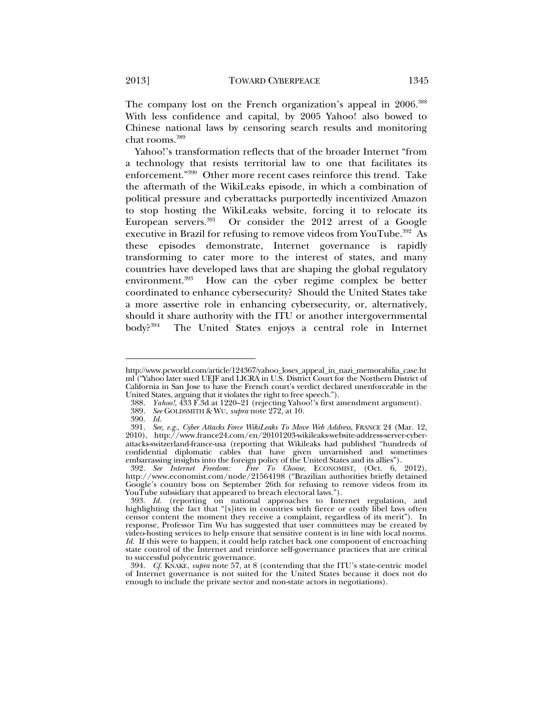The company lost on the French organization's appeal in 2006.<sup>388</sup> With less confidence and capital, by 2005 Yahoo! also bowed to Chinese national laws by censoring search results and monitoring chat rooms.389

Yahoo!'s transformation reflects that of the broader Internet "from a technology that resists territorial law to one that facilitates its enforcement."390 Other more recent cases reinforce this trend. Take the aftermath of the WikiLeaks episode, in which a combination of political pressure and cyberattacks purportedly incentivized Amazon to stop hosting the WikiLeaks website, forcing it to relocate its European servers.<sup>391</sup> Or consider the 2012 arrest of a Google executive in Brazil for refusing to remove videos from YouTube.<sup>392</sup> As these episodes demonstrate, Internet governance is rapidly transforming to cater more to the interest of states, and many countries have developed laws that are shaping the global regulatory environment.<sup>393</sup> How can the cyber regime complex be better coordinated to enhance cybersecurity? Should the United States take a more assertive role in enhancing cybersecurity, or, alternatively, should it share authority with the ITU or another intergovernmental body?394 The United States enjoys a central role in Internet

http://www.pcworld.com/article/124367/yahoo\_loses\_appeal\_in\_nazi\_memorabilia\_case.ht ml ("Yahoo later sued UEJF and LICRA in U.S. District Court for the Northern District of California in San Jose to have the French court's verdict declared unenforceable in the United States, arguing that it violates the right to free speech.").

 <sup>388.</sup> *Yahoo!*, 433 F.3d at 1220–21 (rejecting Yahoo!'s first amendment argument).

 <sup>389.</sup> *See* GOLDSMITH & WU, *supra* note 272, at 10.

 <sup>390.</sup> *Id.*

 <sup>391.</sup> *See, e.g.*, *Cyber Attacks Force WikiLeaks To Move Web Address*, FRANCE 24 (Mar. 12, 2010), http://www.france24.com/en/20101203-wikileaks-website-address-server-cyberattacks-switzerland-france-usa (reporting that Wikileaks had published "hundreds of confidential diplomatic cables that have given unvarnished and sometimes embarrassing insights into the foreign policy of the United States and its allies").

 <sup>392.</sup> *See Internet Freedom: Free To Choose*, ECONOMIST, (Oct. 6, 2012), http://www.economist.com/node/21564198 ("Brazilian authorities briefly detained Google's country boss on September 26th for refusing to remove videos from its YouTube subsidiary that appeared to breach electoral laws.").

 <sup>393.</sup> *Id.* (reporting on national approaches to Internet regulation, and highlighting the fact that "[s]ites in countries with fierce or costly libel laws often censor content the moment they receive a complaint, regardless of its merit"). In response, Professor Tim Wu has suggested that user committees may be created by video-hosting services to help ensure that sensitive content is in line with local norms. *Id.* If this were to happen, it could help ratchet back one component of encroaching state control of the Internet and reinforce self-governance practices that are critical to successful polycentric governance.

 <sup>394.</sup> *Cf.* KNAKE, *supra* note 57, at 8 (contending that the ITU's state-centric model of Internet governance is not suited for the United States because it does not do enough to include the private sector and non-state actors in negotiations).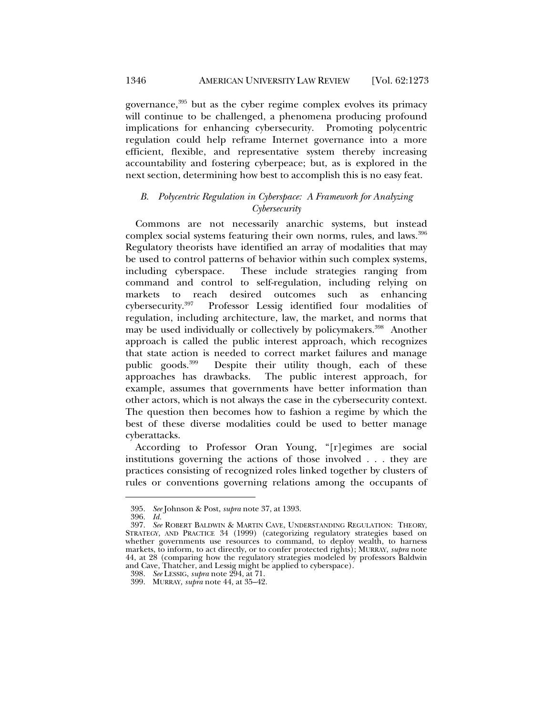governance,<sup>395</sup> but as the cyber regime complex evolves its primacy will continue to be challenged, a phenomena producing profound implications for enhancing cybersecurity. Promoting polycentric regulation could help reframe Internet governance into a more efficient, flexible, and representative system thereby increasing accountability and fostering cyberpeace; but, as is explored in the next section, determining how best to accomplish this is no easy feat.

## *B. Polycentric Regulation in Cyberspace: A Framework for Analyzing Cybersecurity*

Commons are not necessarily anarchic systems, but instead complex social systems featuring their own norms, rules, and laws.<sup>396</sup> Regulatory theorists have identified an array of modalities that may be used to control patterns of behavior within such complex systems, including cyberspace. These include strategies ranging from command and control to self-regulation, including relying on markets to reach desired outcomes such as enhancing cybersecurity.397 Professor Lessig identified four modalities of regulation, including architecture, law, the market, and norms that may be used individually or collectively by policymakers.<sup>398</sup> Another approach is called the public interest approach, which recognizes that state action is needed to correct market failures and manage public goods.399 Despite their utility though, each of these approaches has drawbacks. The public interest approach, for example, assumes that governments have better information than other actors, which is not always the case in the cybersecurity context. The question then becomes how to fashion a regime by which the best of these diverse modalities could be used to better manage cyberattacks.

According to Professor Oran Young, "[r]egimes are social institutions governing the actions of those involved . . . they are practices consisting of recognized roles linked together by clusters of rules or conventions governing relations among the occupants of

 <sup>395.</sup> *See* Johnson & Post, *supra* note 37, at 1393.

 <sup>396.</sup> *Id.*

 <sup>397.</sup> *See* ROBERT BALDWIN & MARTIN CAVE, UNDERSTANDING REGULATION: THEORY, STRATEGY, AND PRACTICE 34 (1999) (categorizing regulatory strategies based on whether governments use resources to command, to deploy wealth, to harness markets, to inform, to act directly, or to confer protected rights); MURRAY, *supra* note 44, at 28 (comparing how the regulatory strategies modeled by professors Baldwin and Cave, Thatcher, and Lessig might be applied to cyberspace).

 <sup>398.</sup> *See* LESSIG, *supra* note 294, at 71.

 <sup>399.</sup> MURRAY, *supra* note 44, at 35–42.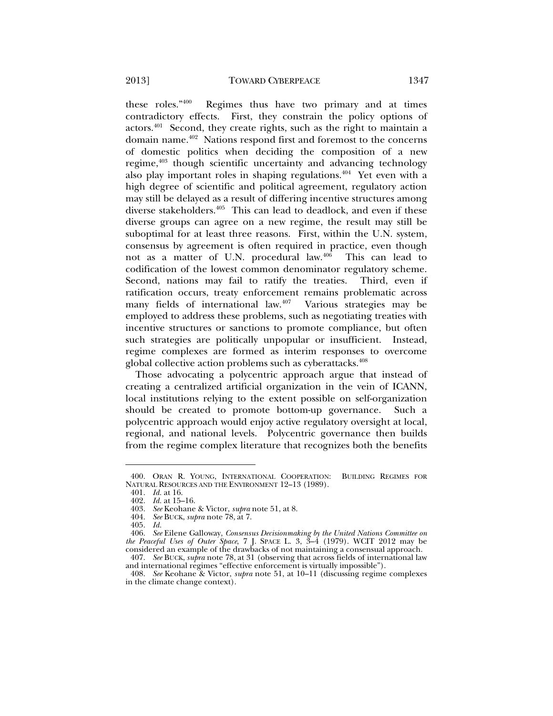these roles."400 Regimes thus have two primary and at times contradictory effects. First, they constrain the policy options of actors.<sup> $401$ </sup> Second, they create rights, such as the right to maintain a domain name.<sup>402</sup> Nations respond first and foremost to the concerns of domestic politics when deciding the composition of a new regime,<sup>403</sup> though scientific uncertainty and advancing technology also play important roles in shaping regulations.<sup> $404$ </sup> Yet even with a high degree of scientific and political agreement, regulatory action may still be delayed as a result of differing incentive structures among diverse stakeholders.<sup>405</sup> This can lead to deadlock, and even if these diverse groups can agree on a new regime, the result may still be suboptimal for at least three reasons. First, within the U.N. system, consensus by agreement is often required in practice, even though not as a matter of U.N. procedural law.406 This can lead to codification of the lowest common denominator regulatory scheme. Second, nations may fail to ratify the treaties. Third, even if ratification occurs, treaty enforcement remains problematic across many fields of international law. $407$  Various strategies may be employed to address these problems, such as negotiating treaties with incentive structures or sanctions to promote compliance, but often such strategies are politically unpopular or insufficient. Instead, regime complexes are formed as interim responses to overcome global collective action problems such as cyberattacks.<sup>408</sup>

Those advocating a polycentric approach argue that instead of creating a centralized artificial organization in the vein of ICANN, local institutions relying to the extent possible on self-organization should be created to promote bottom-up governance. Such a polycentric approach would enjoy active regulatory oversight at local, regional, and national levels. Polycentric governance then builds from the regime complex literature that recognizes both the benefits

 <sup>400.</sup> ORAN R. YOUNG, INTERNATIONAL COOPERATION: BUILDING REGIMES FOR NATURAL RESOURCES AND THE ENVIRONMENT 12–13 (1989).

 <sup>401.</sup> *Id.* at 16.

 <sup>402.</sup> *Id.* at 15–16.

 <sup>403.</sup> *See* Keohane & Victor, *supra* note 51, at 8.

 <sup>404.</sup> *See* BUCK, *supra* note 78, at 7.

 <sup>405.</sup> *Id.*

 <sup>406.</sup> *See* Eilene Galloway, *Consensus Decisionmaking by the United Nations Committee on the Peaceful Uses of Outer Space*, 7 J. SPACE L. 3, 3–4 (1979). WCIT 2012 may be considered an example of the drawbacks of not maintaining a consensual approach.

 <sup>407.</sup> *See* BUCK, *supra* note 78, at 31 (observing that across fields of international law and international regimes "effective enforcement is virtually impossible").

 <sup>408.</sup> *See* Keohane & Victor, *supra* note 51, at 10–11 (discussing regime complexes in the climate change context).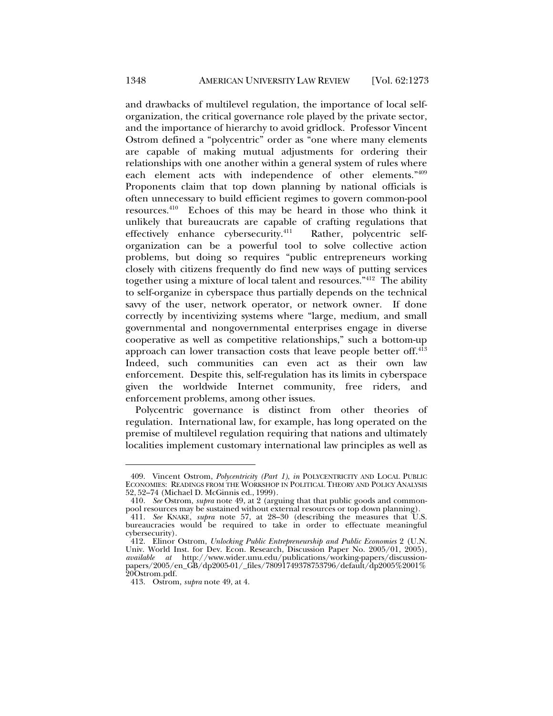and drawbacks of multilevel regulation, the importance of local selforganization, the critical governance role played by the private sector, and the importance of hierarchy to avoid gridlock. Professor Vincent Ostrom defined a "polycentric" order as "one where many elements are capable of making mutual adjustments for ordering their relationships with one another within a general system of rules where each element acts with independence of other elements."409 Proponents claim that top down planning by national officials is often unnecessary to build efficient regimes to govern common-pool resources.410 Echoes of this may be heard in those who think it unlikely that bureaucrats are capable of crafting regulations that effectively enhance cybersecurity.<sup>411</sup> Rather, polycentric selforganization can be a powerful tool to solve collective action problems, but doing so requires "public entrepreneurs working closely with citizens frequently do find new ways of putting services together using a mixture of local talent and resources."412 The ability to self-organize in cyberspace thus partially depends on the technical savvy of the user, network operator, or network owner. If done correctly by incentivizing systems where "large, medium, and small governmental and nongovernmental enterprises engage in diverse cooperative as well as competitive relationships," such a bottom-up approach can lower transaction costs that leave people better off.<sup>413</sup> Indeed, such communities can even act as their own law enforcement. Despite this, self-regulation has its limits in cyberspace given the worldwide Internet community, free riders, and enforcement problems, among other issues.

Polycentric governance is distinct from other theories of regulation. International law, for example, has long operated on the premise of multilevel regulation requiring that nations and ultimately localities implement customary international law principles as well as

 <sup>409.</sup> Vincent Ostrom, *Polycentricity (Part 1)*, *in* POLYCENTRICITY AND LOCAL PUBLIC ECONOMIES: READINGS FROM THE WORKSHOP IN POLITICAL THEORY AND POLICY ANALYSIS 52, 52–74 (Michael D. McGinnis ed., 1999).

 <sup>410.</sup> *See* Ostrom, *supra* note 49, at 2 (arguing that that public goods and commonpool resources may be sustained without external resources or top down planning).

 <sup>411.</sup> *See* KNAKE, *supra* note 57, at 28–30 (describing the measures that U.S. bureaucracies would be required to take in order to effectuate meaningful cybersecurity).

 <sup>412.</sup> Elinor Ostrom, *Unlocking Public Entrepreneurship and Public Economies* 2 (U.N. Univ. World Inst. for Dev. Econ. Research, Discussion Paper No. 2005/01, 2005), *available at* http://www.wider.unu.edu/publications/working-papers/discussionpapers/2005/en\_GB/dp2005-01/\_files/78091749378753796/default/dp2005%2001% 20Ostrom.pdf.

 <sup>413.</sup> Ostrom, *supra* note 49, at 4.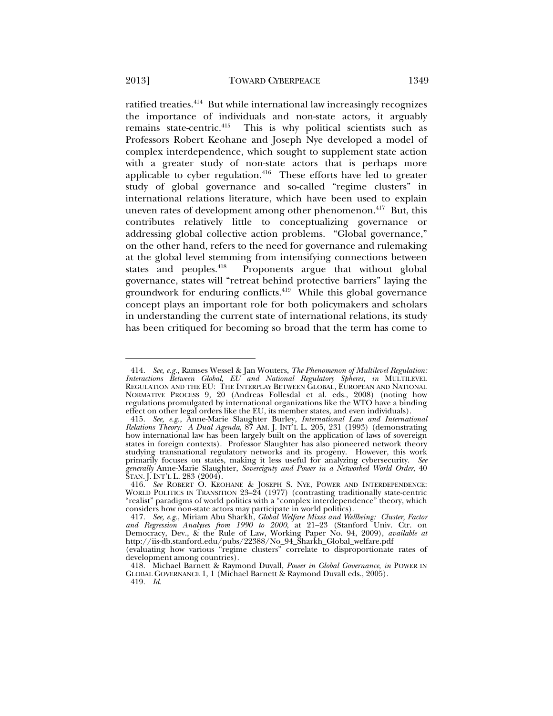ratified treaties.414 But while international law increasingly recognizes the importance of individuals and non-state actors, it arguably remains state-centric.<sup>415</sup> This is why political scientists such as Professors Robert Keohane and Joseph Nye developed a model of complex interdependence, which sought to supplement state action with a greater study of non-state actors that is perhaps more applicable to cyber regulation. $416$  These efforts have led to greater study of global governance and so-called "regime clusters" in international relations literature, which have been used to explain uneven rates of development among other phenomenon.<sup>417</sup> But, this contributes relatively little to conceptualizing governance or addressing global collective action problems. "Global governance," on the other hand, refers to the need for governance and rulemaking at the global level stemming from intensifying connections between<br>states and peoples.<sup>418</sup> Proponents argue that without global Proponents argue that without global governance, states will "retreat behind protective barriers" laying the groundwork for enduring conflicts.<sup>419</sup> While this global governance concept plays an important role for both policymakers and scholars in understanding the current state of international relations, its study

has been critiqued for becoming so broad that the term has come to

(evaluating how various "regime clusters" correlate to disproportionate rates of development among countries).

419. *Id.*

 <sup>414.</sup> *See, e.g.*, Ramses Wessel & Jan Wouters, *The Phenomenon of Multilevel Regulation: Interactions Between Global, EU and National Regulatory Spheres*, *in* MULTILEVEL REGULATION AND THE EU: THE INTERPLAY BETWEEN GLOBAL, EUROPEAN AND NATIONAL NORMATIVE PROCESS 9, 20 (Andreas Follesdal et al. eds., 2008) (noting how regulations promulgated by international organizations like the WTO have a binding effect on other legal orders like the EU, its member states, and even individuals).

 <sup>415.</sup> *See, e.g.*, Anne-Marie Slaughter Burley, *International Law and International Relations Theory: A Dual Agenda*, 87 AM. J. INT'L L. 205, 231 (1993) (demonstrating how international law has been largely built on the application of laws of sovereign states in foreign contexts). Professor Slaughter has also pioneered network theory studying transnational regulatory networks and its progeny. However, this work primarily focuses on states, making it less useful for analyzing cybersecurity. *See generally* Anne-Marie Slaughter, *Sovereignty and Power in a Networked World Order*, 40 STAN. J. INT'L L. 283 (2004).

 <sup>416.</sup> *See* ROBERT O. KEOHANE & JOSEPH S. NYE, POWER AND INTERDEPENDENCE: WORLD POLITICS IN TRANSITION 23-24 (1977) (contrasting traditionally state-centric "realist" paradigms of world politics with a "complex interdependence" theory, which considers how non-state actors may participate in world politics).

 <sup>417.</sup> *See, e.g.*, Miriam Abu Sharkh, *Global Welfare Mixes and Wellbeing: Cluster, Factor and Regression Analyses from 1990 to 2000*, at 21–23 (Stanford Univ. Ctr. on Democracy, Dev., & the Rule of Law, Working Paper No. 94, 2009), *available at* http://iis-db.stanford.edu/pubs/22388/No\_94\_Sharkh\_Global\_welfare.pdf

 <sup>418.</sup> Michael Barnett & Raymond Duvall, *Power in Global Governance*, *in* POWER IN GLOBAL GOVERNANCE 1, 1 (Michael Barnett & Raymond Duvall eds., 2005).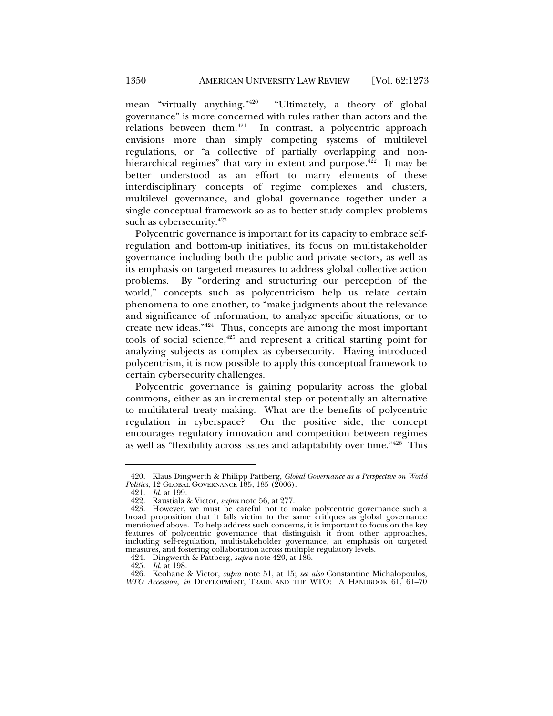mean "virtually anything."420 "Ultimately, a theory of global governance" is more concerned with rules rather than actors and the relations between them. $421$  In contrast, a polycentric approach envisions more than simply competing systems of multilevel regulations, or "a collective of partially overlapping and nonhierarchical regimes" that vary in extent and purpose.<sup>422</sup> It may be better understood as an effort to marry elements of these interdisciplinary concepts of regime complexes and clusters, multilevel governance, and global governance together under a single conceptual framework so as to better study complex problems such as cybersecurity.<sup>423</sup>

Polycentric governance is important for its capacity to embrace selfregulation and bottom-up initiatives, its focus on multistakeholder governance including both the public and private sectors, as well as its emphasis on targeted measures to address global collective action problems. By "ordering and structuring our perception of the world," concepts such as polycentricism help us relate certain phenomena to one another, to "make judgments about the relevance and significance of information, to analyze specific situations, or to create new ideas."424 Thus, concepts are among the most important tools of social science, $425$  and represent a critical starting point for analyzing subjects as complex as cybersecurity. Having introduced polycentrism, it is now possible to apply this conceptual framework to certain cybersecurity challenges.

Polycentric governance is gaining popularity across the global commons, either as an incremental step or potentially an alternative to multilateral treaty making. What are the benefits of polycentric regulation in cyberspace? On the positive side, the concept encourages regulatory innovation and competition between regimes as well as "flexibility across issues and adaptability over time."426 This

 <sup>420.</sup> Klaus Dingwerth & Philipp Pattberg, *Global Governance as a Perspective on World Politics*, 12 GLOBAL GOVERNANCE 185, 185 (2006).

 <sup>421.</sup> *Id.* at 199.

 <sup>422.</sup> Raustiala & Victor, *supra* note 56, at 277.

<sup>423.</sup> However, we must be careful not to make polycentric governance such a broad proposition that it falls victim to the same critiques as global governance mentioned above. To help address such concerns, it is important to focus on the key features of polycentric governance that distinguish it from other approaches, including self-regulation, multistakeholder governance, an emphasis on targeted measures, and fostering collaboration across multiple regulatory levels.

 <sup>424.</sup> Dingwerth & Pattberg, *supra* note 420, at 186.

 <sup>425.</sup> *Id.* at 198.

 <sup>426.</sup> Keohane & Victor, *supra* note 51, at 15; *see also* Constantine Michalopoulos, *WTO Accession*, *in* DEVELOPMENT, TRADE AND THE WTO: A HANDBOOK 61, 61–70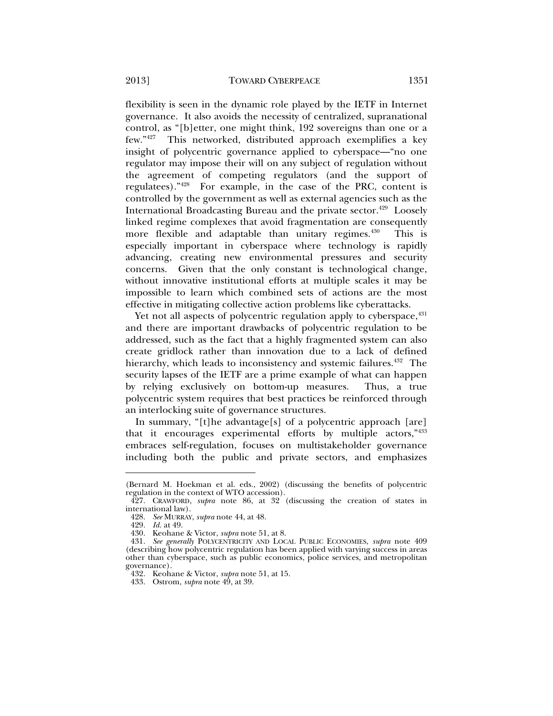flexibility is seen in the dynamic role played by the IETF in Internet governance. It also avoids the necessity of centralized, supranational control, as "[b]etter, one might think, 192 sovereigns than one or a few."427 This networked, distributed approach exemplifies a key insight of polycentric governance applied to cyberspace—"no one regulator may impose their will on any subject of regulation without the agreement of competing regulators (and the support of regulatees)."428 For example, in the case of the PRC, content is controlled by the government as well as external agencies such as the International Broadcasting Bureau and the private sector.<sup>429</sup> Loosely linked regime complexes that avoid fragmentation are consequently more flexible and adaptable than unitary regimes.<sup>430</sup> This is especially important in cyberspace where technology is rapidly advancing, creating new environmental pressures and security concerns. Given that the only constant is technological change, without innovative institutional efforts at multiple scales it may be impossible to learn which combined sets of actions are the most effective in mitigating collective action problems like cyberattacks.

Yet not all aspects of polycentric regulation apply to cyberspace,  $431$ and there are important drawbacks of polycentric regulation to be addressed, such as the fact that a highly fragmented system can also create gridlock rather than innovation due to a lack of defined hierarchy, which leads to inconsistency and systemic failures.<sup>432</sup> The security lapses of the IETF are a prime example of what can happen by relying exclusively on bottom-up measures. Thus, a true polycentric system requires that best practices be reinforced through an interlocking suite of governance structures.

In summary, "[t]he advantage[s] of a polycentric approach [are] that it encourages experimental efforts by multiple actors,"433 embraces self-regulation, focuses on multistakeholder governance including both the public and private sectors, and emphasizes

<sup>(</sup>Bernard M. Hoekman et al. eds., 2002) (discussing the benefits of polycentric regulation in the context of WTO accession).

 <sup>427.</sup> CRAWFORD, *supra* note 86, at 32 (discussing the creation of states in international law).

 <sup>428.</sup> *See* MURRAY, *supra* note 44, at 48.

 <sup>429.</sup> *Id.* at 49.

 <sup>430.</sup> Keohane & Victor, *supra* note 51, at 8.

 <sup>431.</sup> *See generally* POLYCENTRICITY AND LOCAL PUBLIC ECONOMIES, *supra* note 409 (describing how polycentric regulation has been applied with varying success in areas other than cyberspace, such as public economics, police services, and metropolitan governance).

 <sup>432.</sup> Keohane & Victor, *supra* note 51, at 15.

 <sup>433.</sup> Ostrom, *supra* note 49, at 39.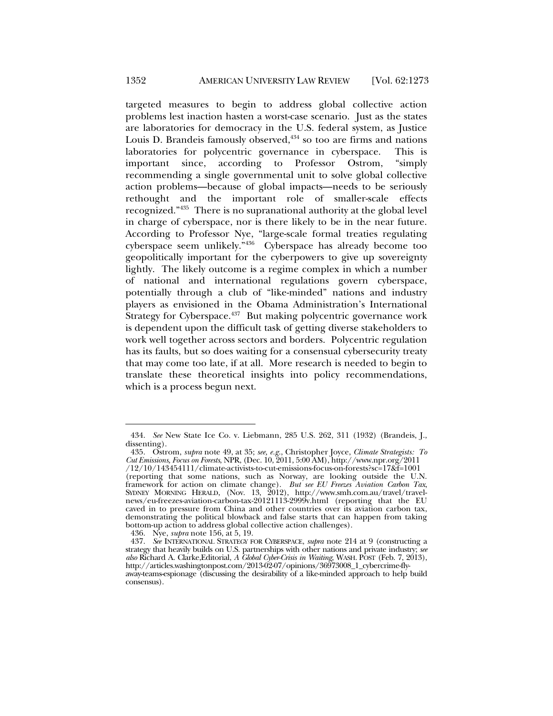targeted measures to begin to address global collective action problems lest inaction hasten a worst-case scenario. Just as the states are laboratories for democracy in the U.S. federal system, as Justice Louis D. Brandeis famously observed, $434$  so too are firms and nations laboratories for polycentric governance in cyberspace. This is important since, according to Professor Ostrom, "simply recommending a single governmental unit to solve global collective action problems—because of global impacts—needs to be seriously rethought and the important role of smaller-scale effects recognized."435 There is no supranational authority at the global level in charge of cyberspace, nor is there likely to be in the near future. According to Professor Nye, "large-scale formal treaties regulating cyberspace seem unlikely."436 Cyberspace has already become too geopolitically important for the cyberpowers to give up sovereignty lightly. The likely outcome is a regime complex in which a number of national and international regulations govern cyberspace, potentially through a club of "like-minded" nations and industry players as envisioned in the Obama Administration's International Strategy for Cyberspace.<sup>437</sup> But making polycentric governance work is dependent upon the difficult task of getting diverse stakeholders to work well together across sectors and borders. Polycentric regulation has its faults, but so does waiting for a consensual cybersecurity treaty that may come too late, if at all. More research is needed to begin to translate these theoretical insights into policy recommendations, which is a process begun next.

436. Nye, *supra* note 156, at 5, 19.

 <sup>434.</sup> *See* New State Ice Co. v. Liebmann, 285 U.S. 262, 311 (1932) (Brandeis, J., dissenting).

 <sup>435.</sup> Ostrom, *supra* note 49, at 35; *see, e.g.*, Christopher Joyce, *Climate Strategists: To Cut Emissions, Focus on Forests*, NPR, (Dec. 10, 2011, 5:00 AM), http://www.npr.org/2011

<sup>/12/10/143454111/</sup>climate-activists-to-cut-emissions-focus-on-forests?sc=17&f=1001 (reporting that some nations, such as Norway, are looking outside the U.N. framework for action on climate change). *But see EU Freezes Aviation Carbon Tax*, SYDNEY MORNING HERALD, (Nov. 13, 2012), http://www.smh.com.au/travel/travelnews/eu-freezes-aviation-carbon-tax-20121113-2999v.html (reporting that the EU caved in to pressure from China and other countries over its aviation carbon tax, demonstrating the political blowback and false starts that can happen from taking bottom-up action to address global collective action challenges).

 <sup>437.</sup> *See* INTERNATIONAL STRATEGY FOR CYBERSPACE, *supra* note 214 at 9 (constructing a strategy that heavily builds on U.S. partnerships with other nations and private industry; *see also* Richard A. Clarke,Editorial, *A Global Cyber-Crisis in Waiting*, WASH. POST (Feb. 7, 2013), http://articles.washingtonpost.com/2013-02-07/opinions/36973008\_1\_cybercrime-flyaway-teams-espionage (discussing the desirability of a like-minded approach to help build consensus).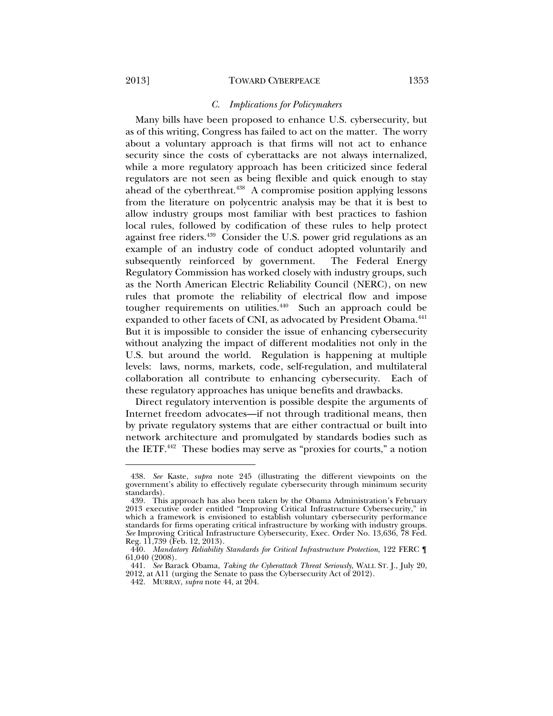l

## *C. Implications for Policymakers*

Many bills have been proposed to enhance U.S. cybersecurity, but as of this writing, Congress has failed to act on the matter. The worry about a voluntary approach is that firms will not act to enhance security since the costs of cyberattacks are not always internalized, while a more regulatory approach has been criticized since federal regulators are not seen as being flexible and quick enough to stay ahead of the cyberthreat.<sup>438</sup> A compromise position applying lessons from the literature on polycentric analysis may be that it is best to allow industry groups most familiar with best practices to fashion local rules, followed by codification of these rules to help protect against free riders.<sup>439</sup> Consider the U.S. power grid regulations as an example of an industry code of conduct adopted voluntarily and subsequently reinforced by government. The Federal Energy Regulatory Commission has worked closely with industry groups, such as the North American Electric Reliability Council (NERC), on new rules that promote the reliability of electrical flow and impose tougher requirements on utilities. $440$  Such an approach could be expanded to other facets of CNI, as advocated by President Obama.<sup>441</sup> But it is impossible to consider the issue of enhancing cybersecurity without analyzing the impact of different modalities not only in the U.S. but around the world. Regulation is happening at multiple levels: laws, norms, markets, code, self-regulation, and multilateral collaboration all contribute to enhancing cybersecurity. Each of these regulatory approaches has unique benefits and drawbacks.

Direct regulatory intervention is possible despite the arguments of Internet freedom advocates—if not through traditional means, then by private regulatory systems that are either contractual or built into network architecture and promulgated by standards bodies such as the IETF.442 These bodies may serve as "proxies for courts," a notion

 <sup>438.</sup> *See* Kaste, *supra* note 245 (illustrating the different viewpoints on the government's ability to effectively regulate cybersecurity through minimum security standards).

 <sup>439.</sup> This approach has also been taken by the Obama Administration's February 2013 executive order entitled "Improving Critical Infrastructure Cybersecurity," in which a framework is envisioned to establish voluntary cybersecurity performance standards for firms operating critical infrastructure by working with industry groups. *See* Improving Critical Infrastructure Cybersecurity, Exec. Order No. 13,636, 78 Fed. Reg. 11,739 (Feb. 12, 2013).

 <sup>440.</sup> *Mandatory Reliability Standards for Critical Infrastructure Protection*, 122 FERC ¶ 61,040 (2008).

 <sup>441.</sup> *See* Barack Obama, *Taking the Cyberattack Threat Seriously*, WALL ST. J., July 20, 2012, at A11 (urging the Senate to pass the Cybersecurity Act of 2012).

 <sup>442.</sup> MURRAY, *supra* note 44, at 204.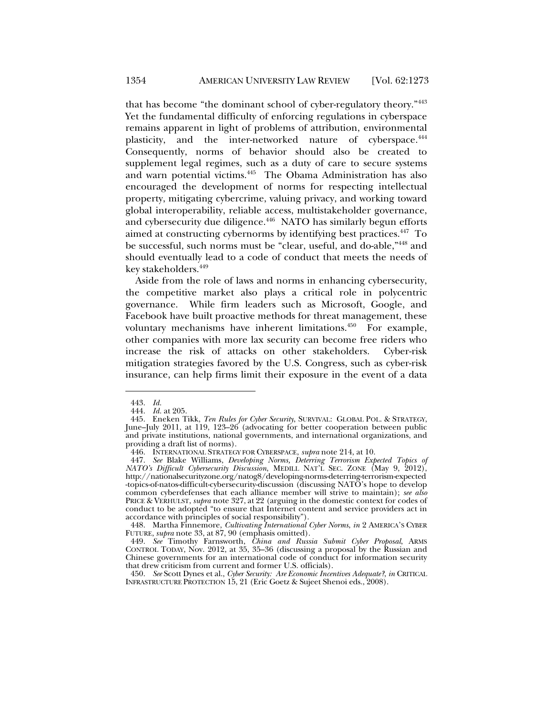that has become "the dominant school of cyber-regulatory theory."443 Yet the fundamental difficulty of enforcing regulations in cyberspace remains apparent in light of problems of attribution, environmental plasticity, and the inter-networked nature of cyberspace.<sup>444</sup> Consequently, norms of behavior should also be created to supplement legal regimes, such as a duty of care to secure systems and warn potential victims.445 The Obama Administration has also encouraged the development of norms for respecting intellectual property, mitigating cybercrime, valuing privacy, and working toward global interoperability, reliable access, multistakeholder governance, and cybersecurity due diligence.<sup>446</sup> NATO has similarly begun efforts aimed at constructing cybernorms by identifying best practices.<sup>447</sup> To be successful, such norms must be "clear, useful, and do-able,"448 and should eventually lead to a code of conduct that meets the needs of key stakeholders.<sup>449</sup>

Aside from the role of laws and norms in enhancing cybersecurity, the competitive market also plays a critical role in polycentric governance. While firm leaders such as Microsoft, Google, and Facebook have built proactive methods for threat management, these voluntary mechanisms have inherent limitations.<sup>450</sup> For example, other companies with more lax security can become free riders who increase the risk of attacks on other stakeholders. Cyber-risk mitigation strategies favored by the U.S. Congress, such as cyber-risk insurance, can help firms limit their exposure in the event of a data

l

 450. *See* Scott Dynes et al., *Cyber Security: Are Economic Incentives Adequate?*, *in* CRITICAL INFRASTRUCTURE PROTECTION 15, 21 (Eric Goetz & Sujeet Shenoi eds., 2008).

 <sup>443.</sup> *Id.*

 <sup>444.</sup> *Id.* at 205.

 <sup>445.</sup> Eneken Tikk, *Ten Rules for Cyber Security*, SURVIVAL: GLOBAL POL. & STRATEGY, June–July 2011, at 119, 123–26 (advocating for better cooperation between public and private institutions, national governments, and international organizations, and providing a draft list of norms).

 <sup>446.</sup> INTERNATIONAL STRATEGY FOR CYBERSPACE, *supra* note 214, at 10.

 <sup>447.</sup> *See* Blake Williams, *Developing Norms, Deterring Terrorism Expected Topics of NATO's Difficult Cybersecurity Discussion*, MEDILL NAT'L SEC. ZONE (May 9, 2012), http://nationalsecurityzone.org/natog8/developing-norms-deterring-terrorism-expected -topics-of-natos-difficult-cybersecurity-discussion (discussing NATO's hope to develop common cyberdefenses that each alliance member will strive to maintain); *see also* PRICE & VERHULST, *supra* note 327, at 22 (arguing in the domestic context for codes of conduct to be adopted "to ensure that Internet content and service providers act in accordance with principles of social responsibility").

 <sup>448.</sup> Martha Finnemore, *Cultivating International Cyber Norms*, *in* 2 AMERICA'S CYBER FUTURE, *supra* note 33, at 87, 90 (emphasis omitted).

 <sup>449.</sup> *See* Timothy Farnsworth, *China and Russia Submit Cyber Proposal*, ARMS CONTROL TODAY, Nov. 2012, at 35, 35–36 (discussing a proposal by the Russian and Chinese governments for an international code of conduct for information security that drew criticism from current and former U.S. officials).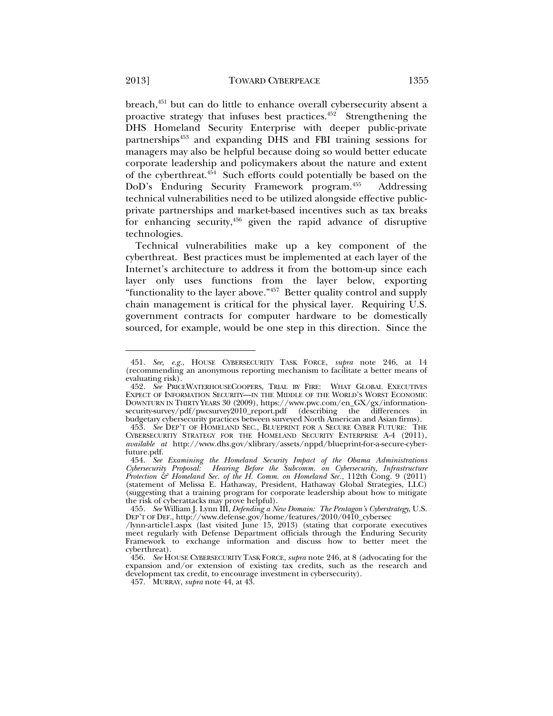breach,<sup>451</sup> but can do little to enhance overall cybersecurity absent a proactive strategy that infuses best practices. $452$  Strengthening the DHS Homeland Security Enterprise with deeper public-private partnerships<sup>453</sup> and expanding DHS and FBI training sessions for managers may also be helpful because doing so would better educate corporate leadership and policymakers about the nature and extent of the cyberthreat.454 Such efforts could potentially be based on the DoD's Enduring Security Framework program.455 Addressing technical vulnerabilities need to be utilized alongside effective publicprivate partnerships and market-based incentives such as tax breaks for enhancing security,456 given the rapid advance of disruptive technologies.

Technical vulnerabilities make up a key component of the cyberthreat. Best practices must be implemented at each layer of the Internet's architecture to address it from the bottom-up since each layer only uses functions from the layer below, exporting "functionality to the layer above."457 Better quality control and supply chain management is critical for the physical layer. Requiring U.S. government contracts for computer hardware to be domestically sourced, for example, would be one step in this direction. Since the

457. MURRAY, *supra* note 44, at 43.

 <sup>451.</sup> *See, e.g.*, HOUSE CYBERSECURITY TASK FORCE, *supra* note 246, at 14 (recommending an anonymous reporting mechanism to facilitate a better means of evaluating risk).

 <sup>452.</sup> *See* PRICEWATERHOUSECOOPERS, TRIAL BY FIRE: WHAT GLOBAL EXECUTIVES EXPECT OF INFORMATION SECURITY—IN THE MIDDLE OF THE WORLD'S WORST ECONOMIC DOWNTURN IN THIRTY YEARS 30 (2009), https://www.pwc.com/en\_GX/gx/informationsecurity-survey/pdf/pwcsurvey2010\_report.pdf (describing the differences in budgetary cybersecurity practices between surveyed North American and Asian firms).

 <sup>453.</sup> *See* DEP'T OF HOMELAND SEC., BLUEPRINT FOR A SECURE CYBER FUTURE: THE CYBERSECURITY STRATEGY FOR THE HOMELAND SECURITY ENTERPRISE A-4 (2011), *available at* http://www.dhs.gov/xlibrary/assets/nppd/blueprint-for-a-secure-cyberfuture.pdf.

 <sup>454.</sup> *See Examining the Homeland Security Impact of the Obama Administrations Cybersecurity Proposal: Hearing Before the Subcomm. on Cybersecurity, Infrastructure Protection & Homeland Sec. of the H. Comm. on Homeland Sec.*, 112th Cong. 9 (2011) (statement of Melissa E. Hathaway, President, Hathaway Global Strategies, LLC) (suggesting that a training program for corporate leadership about how to mitigate the risk of cyberattacks may prove helpful).

 <sup>455.</sup> *See* William J. Lynn III, *Defending a New Domain: The Pentagon's Cyberstrategy*, U.S. DEP'T OF DEF., http://www.defense.gov/home/features/2010/0410\_cybersec

<sup>/</sup>lynn-article1.aspx (last visited June 15, 2013) (stating that corporate executives meet regularly with Defense Department officials through the Enduring Security Framework to exchange information and discuss how to better meet the cyberthreat).

 <sup>456.</sup> *See* HOUSE CYBERSECURITY TASK FORCE, *supra* note 246, at 8 (advocating for the expansion and/or extension of existing tax credits, such as the research and development tax credit, to encourage investment in cybersecurity).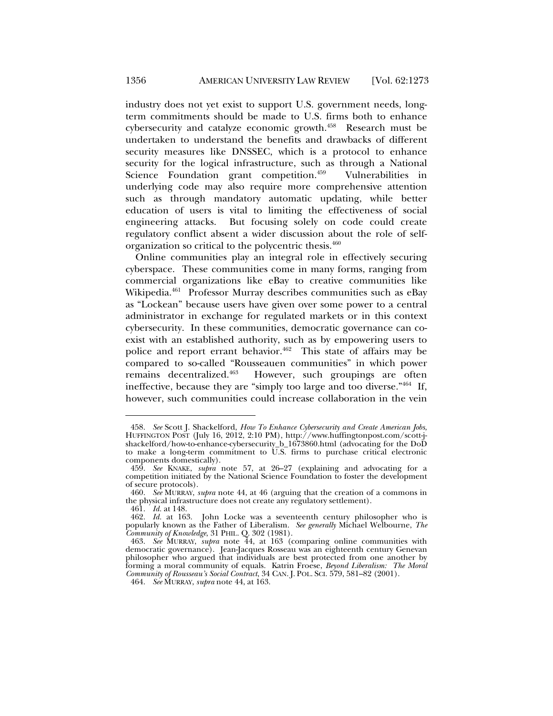industry does not yet exist to support U.S. government needs, longterm commitments should be made to U.S. firms both to enhance cybersecurity and catalyze economic growth.458 Research must be undertaken to understand the benefits and drawbacks of different security measures like DNSSEC, which is a protocol to enhance security for the logical infrastructure, such as through a National Science Foundation grant competition.<sup>459</sup> Vulnerabilities in underlying code may also require more comprehensive attention such as through mandatory automatic updating, while better education of users is vital to limiting the effectiveness of social engineering attacks. But focusing solely on code could create regulatory conflict absent a wider discussion about the role of selforganization so critical to the polycentric thesis.460

Online communities play an integral role in effectively securing cyberspace. These communities come in many forms, ranging from commercial organizations like eBay to creative communities like Wikipedia.461 Professor Murray describes communities such as eBay as "Lockean" because users have given over some power to a central administrator in exchange for regulated markets or in this context cybersecurity. In these communities, democratic governance can coexist with an established authority, such as by empowering users to police and report errant behavior.<sup>462</sup> This state of affairs may be compared to so-called "Rousseauen communities" in which power remains decentralized.<sup>463</sup> However, such groupings are often However, such groupings are often ineffective, because they are "simply too large and too diverse."464 If, however, such communities could increase collaboration in the vein

 <sup>458.</sup> *See* Scott J. Shackelford, *How To Enhance Cybersecurity and Create American Jobs*, HUFFINGTON POST (July 16, 2012, 2:10 PM), http://www.huffingtonpost.com/scott-jshackelford/how-to-enhance-cybersecurity\_b\_1673860.html (advocating for the DoD to make a long-term commitment to  $\overline{U.S.}$  firms to purchase critical electronic components domestically).

 <sup>459.</sup> *See* KNAKE, *supra* note 57, at 26–27 (explaining and advocating for a competition initiated by the National Science Foundation to foster the development of secure protocols).

 <sup>460.</sup> *See* MURRAY, *supra* note 44, at 46 (arguing that the creation of a commons in the physical infrastructure does not create any regulatory settlement).

 <sup>461.</sup> *Id.* at 148.

 <sup>462.</sup> *Id.* at 163. John Locke was a seventeenth century philosopher who is popularly known as the Father of Liberalism. *See generally* Michael Welbourne, *The Community of Knowledge*, 31 PHIL. Q. 302 (1981).

 <sup>463.</sup> *See* MURRAY, *supra* note 44, at 163 (comparing online communities with democratic governance). Jean-Jacques Rosseau was an eighteenth century Genevan philosopher who argued that individuals are best protected from one another by forming a moral community of equals. Katrin Froese, *Beyond Liberalism: The Moral Community of Rousseau's Social Contract*, 34 CAN. J. POL. SCI. 579, 581–82 (2001).

 <sup>464.</sup> *See* MURRAY, *supra* note 44, at 163.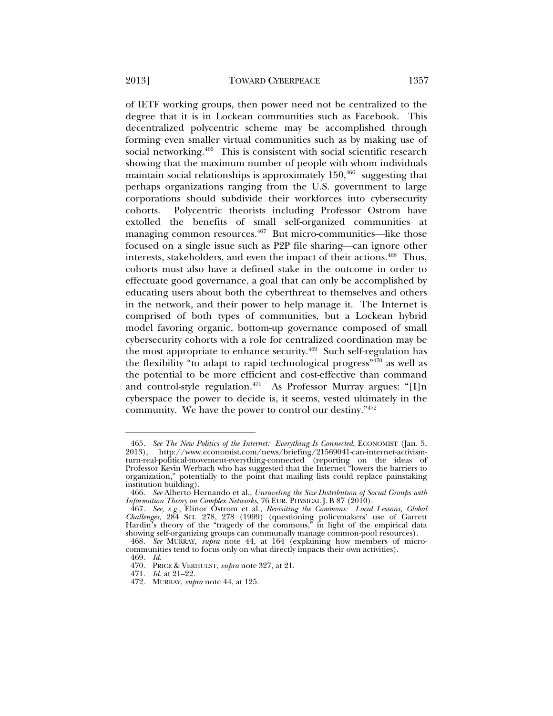of IETF working groups, then power need not be centralized to the degree that it is in Lockean communities such as Facebook. This decentralized polycentric scheme may be accomplished through forming even smaller virtual communities such as by making use of social networking.<sup>465</sup> This is consistent with social scientific research showing that the maximum number of people with whom individuals maintain social relationships is approximately  $150,466$  suggesting that perhaps organizations ranging from the U.S. government to large corporations should subdivide their workforces into cybersecurity cohorts. Polycentric theorists including Professor Ostrom have extolled the benefits of small self-organized communities at managing common resources.<sup>467</sup> But micro-communities—like those focused on a single issue such as P2P file sharing—can ignore other interests, stakeholders, and even the impact of their actions.<sup>468</sup> Thus, cohorts must also have a defined stake in the outcome in order to effectuate good governance, a goal that can only be accomplished by educating users about both the cyberthreat to themselves and others in the network, and their power to help manage it. The Internet is comprised of both types of communities, but a Lockean hybrid model favoring organic, bottom-up governance composed of small cybersecurity cohorts with a role for centralized coordination may be the most appropriate to enhance security.<sup>469</sup> Such self-regulation has the flexibility "to adapt to rapid technological progress" $470$  as well as the potential to be more efficient and cost-effective than command and control-style regulation.<sup>471</sup> As Professor Murray argues: "[I]n cyberspace the power to decide is, it seems, vested ultimately in the community. We have the power to control our destiny."472

 <sup>465.</sup> *See The New Politics of the Internet: Everything Is Connected*, ECONOMIST (Jan. 5, 2013), http://www.economist.com/news/briefing/21569041-can-internet-activismturn-real-political-movement-everything-connected (reporting on the ideas of Professor Kevin Werbach who has suggested that the Internet "lowers the barriers to organization," potentially to the point that mailing lists could replace painstaking institution building).

 <sup>466.</sup> *See* Alberto Hernando et al., *Unraveling the Size Distribution of Social Groups with Information Theory on Complex Networks*, 76 EUR. PHYSICAL J. B 87 (2010).

 <sup>467.</sup> *See, e.g.*, Elinor Ostrom et al., *Revisiting the Commons: Local Lessons, Global Challenges*, 284 SCI. 278, 278 (1999) (questioning policymakers' use of Garrett Hardin's theory of the "tragedy of the commons," in light of the empirical data showing self-organizing groups can communally manage common-pool resources).

 <sup>468.</sup> *See* MURRAY, *supra* note 44, at 164 (explaining how members of microcommunities tend to focus only on what directly impacts their own activities).

 <sup>469.</sup> *Id.* 470. PRICE & VERHULST, *supra* note 327, at 21.

 <sup>471.</sup> *Id.* at 21–22.

 <sup>472.</sup> MURRAY, *supra* note 44, at 125.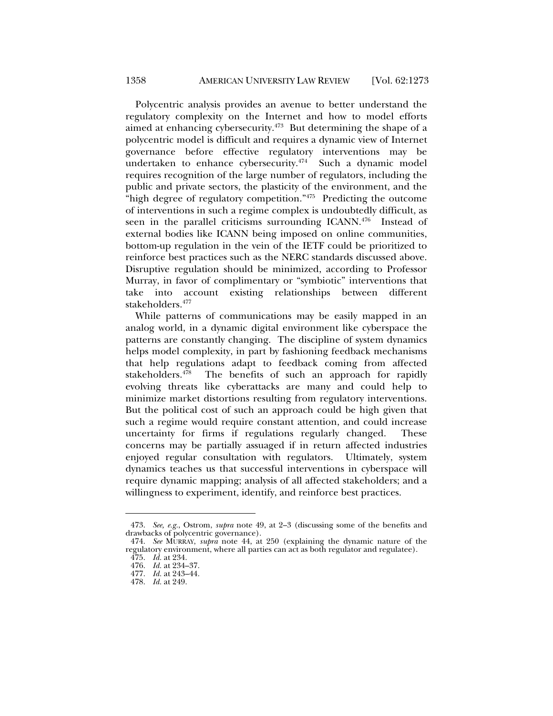Polycentric analysis provides an avenue to better understand the regulatory complexity on the Internet and how to model efforts aimed at enhancing cybersecurity.<sup>473</sup> But determining the shape of a polycentric model is difficult and requires a dynamic view of Internet governance before effective regulatory interventions may be undertaken to enhance cybersecurity.<sup>474</sup> Such a dynamic model requires recognition of the large number of regulators, including the public and private sectors, the plasticity of the environment, and the "high degree of regulatory competition."<sup>475</sup> Predicting the outcome of interventions in such a regime complex is undoubtedly difficult, as seen in the parallel criticisms surrounding ICANN.<sup>476</sup> Instead of external bodies like ICANN being imposed on online communities, bottom-up regulation in the vein of the IETF could be prioritized to reinforce best practices such as the NERC standards discussed above. Disruptive regulation should be minimized, according to Professor Murray, in favor of complimentary or "symbiotic" interventions that take into account existing relationships between different stakeholders.477

While patterns of communications may be easily mapped in an analog world, in a dynamic digital environment like cyberspace the patterns are constantly changing. The discipline of system dynamics helps model complexity, in part by fashioning feedback mechanisms that help regulations adapt to feedback coming from affected stakeholders.<sup>478</sup> The benefits of such an approach for rapidly evolving threats like cyberattacks are many and could help to minimize market distortions resulting from regulatory interventions. But the political cost of such an approach could be high given that such a regime would require constant attention, and could increase uncertainty for firms if regulations regularly changed. These concerns may be partially assuaged if in return affected industries enjoyed regular consultation with regulators. Ultimately, system dynamics teaches us that successful interventions in cyberspace will require dynamic mapping; analysis of all affected stakeholders; and a willingness to experiment, identify, and reinforce best practices.

 <sup>473.</sup> *See, e.g.*, Ostrom, *supra* note 49, at 2–3 (discussing some of the benefits and drawbacks of polycentric governance).

 <sup>474.</sup> *See* MURRAY, *supra* note 44, at 250 (explaining the dynamic nature of the regulatory environment, where all parties can act as both regulator and regulatee).

 <sup>475.</sup> *Id.* at 234. 476. *Id.* at 234–37.

 <sup>477.</sup> *Id.* at 243–44.

 <sup>478.</sup> *Id.* at 249.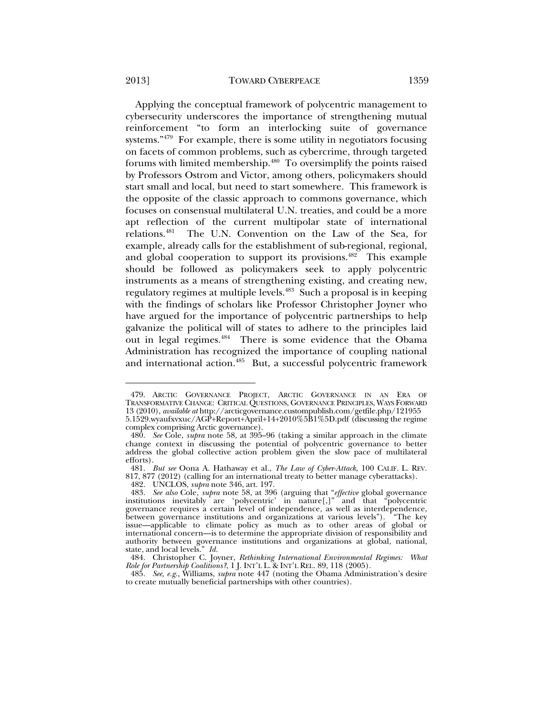Applying the conceptual framework of polycentric management to cybersecurity underscores the importance of strengthening mutual reinforcement "to form an interlocking suite of governance systems." $479$  For example, there is some utility in negotiators focusing on facets of common problems, such as cybercrime, through targeted forums with limited membership.<sup>480</sup> To oversimplify the points raised by Professors Ostrom and Victor, among others, policymakers should start small and local, but need to start somewhere. This framework is the opposite of the classic approach to commons governance, which focuses on consensual multilateral U.N. treaties, and could be a more apt reflection of the current multipolar state of international relations.481 The U.N. Convention on the Law of the Sea, for example, already calls for the establishment of sub-regional, regional, and global cooperation to support its provisions.<sup>482</sup> This example should be followed as policymakers seek to apply polycentric instruments as a means of strengthening existing, and creating new, regulatory regimes at multiple levels.<sup>483</sup> Such a proposal is in keeping with the findings of scholars like Professor Christopher Joyner who have argued for the importance of polycentric partnerships to help galvanize the political will of states to adhere to the principles laid out in legal regimes.484 There is some evidence that the Obama Administration has recognized the importance of coupling national and international action.<sup>485</sup> But, a successful polycentric framework

 <sup>479.</sup> ARCTIC GOVERNANCE PROJECT, ARCTIC GOVERNANCE IN AN ERA OF TRANSFORMATIVE CHANGE: CRITICAL QUESTIONS, GOVERNANCE PRINCIPLES, WAYS FORWARD 13 (2010), *available at* http://arcticgovernance.custompublish.com/getfile.php/121955 5.1529.wyaufxvxuc/AGP+Report+April+14+2010%5B1%5D.pdf (discussing the regime complex comprising Arctic governance).

 <sup>480.</sup> *See* Cole, *supra* note 58, at 395–96 (taking a similar approach in the climate change context in discussing the potential of polycentric governance to better address the global collective action problem given the slow pace of multilateral efforts).

 <sup>481.</sup> *But see* Oona A. Hathaway et al., *The Law of Cyber-Attack*, 100 CALIF. L. REV. 817, 877 (2012) (calling for an international treaty to better manage cyberattacks).

 <sup>482.</sup> UNCLOS, *supra* note 346, art. 197.

 <sup>483.</sup> *See also* Cole, *supra* note 58, at 396 (arguing that "*effective* global governance institutions inevitably are 'polycentric' in nature[,]" and that "polycentric governance requires a certain level of independence, as well as interdependence, between governance institutions and organizations at various levels"). "The key issue—applicable to climate policy as much as to other areas of global or international concern—is to determine the appropriate division of responsibility and authority between governance institutions and organizations at global, national, state, and local levels." *Id.*

 <sup>484.</sup> Christopher C. Joyner, *Rethinking International Environmental Regimes: What Role for Partnership Coalitions?*, 1 J. INT'L L. & INT'L REL. 89, 118 (2005).

 <sup>485.</sup> *See, e.g.*, Williams, *supra* note 447 (noting the Obama Administration's desire to create mutually beneficial partnerships with other countries).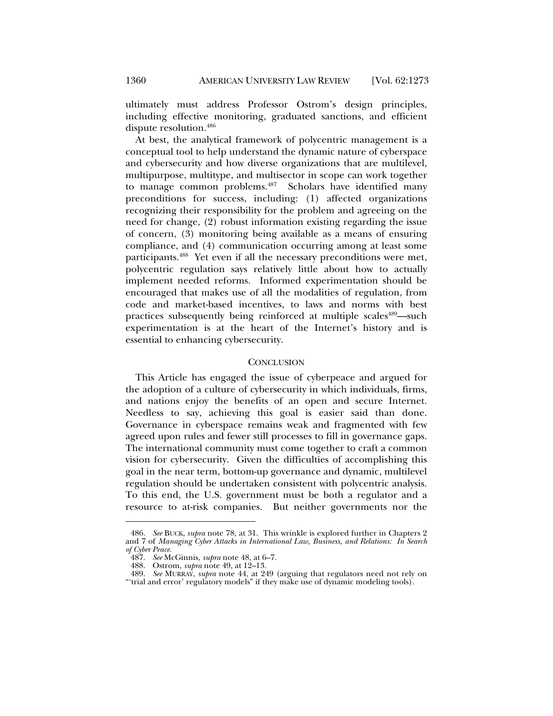ultimately must address Professor Ostrom's design principles, including effective monitoring, graduated sanctions, and efficient dispute resolution.486

At best, the analytical framework of polycentric management is a conceptual tool to help understand the dynamic nature of cyberspace and cybersecurity and how diverse organizations that are multilevel, multipurpose, multitype, and multisector in scope can work together to manage common problems.487 Scholars have identified many preconditions for success, including: (1) affected organizations recognizing their responsibility for the problem and agreeing on the need for change, (2) robust information existing regarding the issue of concern, (3) monitoring being available as a means of ensuring compliance, and (4) communication occurring among at least some participants.488 Yet even if all the necessary preconditions were met, polycentric regulation says relatively little about how to actually implement needed reforms. Informed experimentation should be encouraged that makes use of all the modalities of regulation, from code and market-based incentives, to laws and norms with best practices subsequently being reinforced at multiple scales<sup>489</sup>—such experimentation is at the heart of the Internet's history and is essential to enhancing cybersecurity.

## **CONCLUSION**

This Article has engaged the issue of cyberpeace and argued for the adoption of a culture of cybersecurity in which individuals, firms, and nations enjoy the benefits of an open and secure Internet. Needless to say, achieving this goal is easier said than done. Governance in cyberspace remains weak and fragmented with few agreed upon rules and fewer still processes to fill in governance gaps. The international community must come together to craft a common vision for cybersecurity. Given the difficulties of accomplishing this goal in the near term, bottom-up governance and dynamic, multilevel regulation should be undertaken consistent with polycentric analysis. To this end, the U.S. government must be both a regulator and a resource to at-risk companies. But neither governments nor the

 <sup>486.</sup> *See* BUCK, *supra* note 78, at 31. This wrinkle is explored further in Chapters 2 and 7 of *Managing Cyber Attacks in International Law, Business, and Relations: In Search of Cyber Peace*.

 <sup>487.</sup> *See* McGinnis, *supra* note 48, at 6–7.

 <sup>488.</sup> Ostrom, *supra* note 49, at 12–13.

 <sup>489.</sup> *See* MURRAY, *supra* note 44, at 249 (arguing that regulators need not rely on "'trial and error' regulatory models" if they make use of dynamic modeling tools).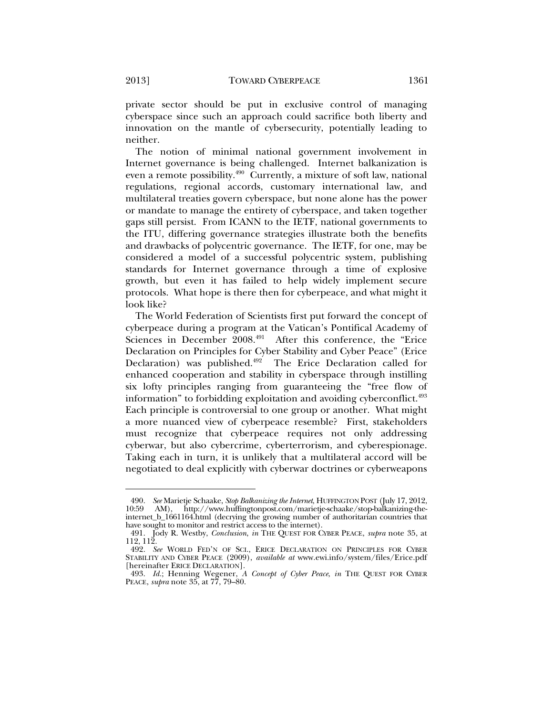private sector should be put in exclusive control of managing cyberspace since such an approach could sacrifice both liberty and innovation on the mantle of cybersecurity, potentially leading to neither.

The notion of minimal national government involvement in Internet governance is being challenged. Internet balkanization is even a remote possibility.490 Currently, a mixture of soft law, national regulations, regional accords, customary international law, and multilateral treaties govern cyberspace, but none alone has the power or mandate to manage the entirety of cyberspace, and taken together gaps still persist. From ICANN to the IETF, national governments to the ITU, differing governance strategies illustrate both the benefits and drawbacks of polycentric governance. The IETF, for one, may be considered a model of a successful polycentric system, publishing standards for Internet governance through a time of explosive growth, but even it has failed to help widely implement secure protocols. What hope is there then for cyberpeace, and what might it look like?

The World Federation of Scientists first put forward the concept of cyberpeace during a program at the Vatican's Pontifical Academy of Sciences in December 2008.<sup>491</sup> After this conference, the "Erice Declaration on Principles for Cyber Stability and Cyber Peace" (Erice Declaration) was published.<sup>492</sup> The Erice Declaration called for enhanced cooperation and stability in cyberspace through instilling six lofty principles ranging from guaranteeing the "free flow of information" to forbidding exploitation and avoiding cyberconflict.<sup>493</sup> Each principle is controversial to one group or another. What might a more nuanced view of cyberpeace resemble? First, stakeholders must recognize that cyberpeace requires not only addressing cyberwar, but also cybercrime, cyberterrorism, and cyberespionage. Taking each in turn, it is unlikely that a multilateral accord will be negotiated to deal explicitly with cyberwar doctrines or cyberweapons

 <sup>490.</sup> *See* Marietje Schaake, *Stop Balkanizing the Internet*, HUFFINGTON POST (July 17, 2012, 10:59 AM), http://www.huffingtonpost.com/marietje-schaake/stop-balkanizing-theinternet\_b\_1661164.html (decrying the growing number of authoritarian countries that have sought to monitor and restrict access to the internet).

 <sup>491.</sup> Jody R. Westby, *Conclusion*, *in* THE QUEST FOR CYBER PEACE, *supra* note 35, at 112, 112.

 <sup>492.</sup> *See* WORLD FED'N OF SCI., ERICE DECLARATION ON PRINCIPLES FOR CYBER STABILITY AND CYBER PEACE (2009), *available at* www.ewi.info/system/files/Erice.pdf [hereinafter ERICE DECLARATION].

 <sup>493.</sup> *Id.*; Henning Wegener, *A Concept of Cyber Peace*, *in* THE QUEST FOR CYBER PEACE, *supra* note 35, at 77, 79–80.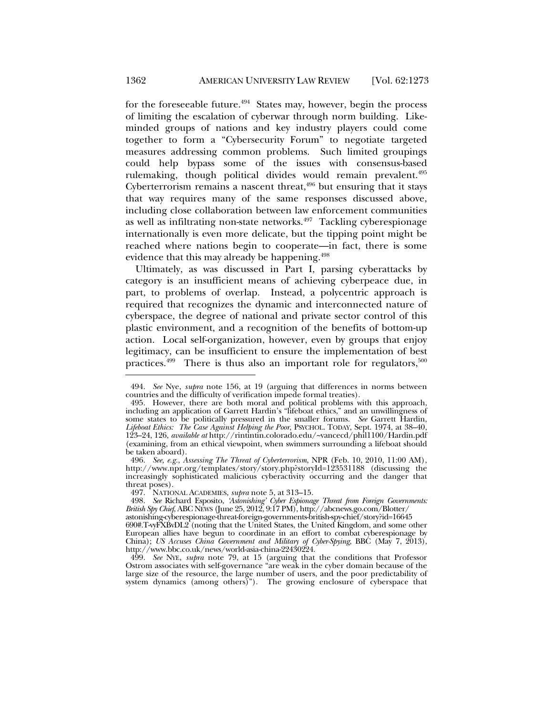for the foreseeable future.<sup>494</sup> States may, however, begin the process of limiting the escalation of cyberwar through norm building. Likeminded groups of nations and key industry players could come together to form a "Cybersecurity Forum" to negotiate targeted measures addressing common problems. Such limited groupings could help bypass some of the issues with consensus-based rulemaking, though political divides would remain prevalent.<sup>495</sup> Cyberterrorism remains a nascent threat, $496$  but ensuring that it stays that way requires many of the same responses discussed above, including close collaboration between law enforcement communities as well as infiltrating non-state networks. $497$  Tackling cyberespionage internationally is even more delicate, but the tipping point might be reached where nations begin to cooperate—in fact, there is some evidence that this may already be happening.<sup>498</sup>

Ultimately, as was discussed in Part I, parsing cyberattacks by category is an insufficient means of achieving cyberpeace due, in part, to problems of overlap. Instead, a polycentric approach is required that recognizes the dynamic and interconnected nature of cyberspace, the degree of national and private sector control of this plastic environment, and a recognition of the benefits of bottom-up action. Local self-organization, however, even by groups that enjoy legitimacy, can be insufficient to ensure the implementation of best practices. $499$  There is thus also an important role for regulators,  $500$ 

 <sup>494.</sup> *See* Nye, *supra* note 156, at 19 (arguing that differences in norms between countries and the difficulty of verification impede formal treaties).

 <sup>495.</sup> However, there are both moral and political problems with this approach, including an application of Garrett Hardin's "lifeboat ethics," and an unwillingness of some states to be politically pressured in the smaller forums. *See* Garrett Hardin, *Lifeboat Ethics: The Case Against Helping the Poor*, PSYCHOL. TODAY, Sept. 1974, at 38–40, 123–24, 126, *available at* http://rintintin.colorado.edu/~vancecd/phil1100/Hardin.pdf (examining, from an ethical viewpoint, when swimmers surrounding a lifeboat should be taken aboard).

 <sup>496.</sup> *See, e.g.*, *Assessing The Threat of Cyberterrorism*, NPR (Feb. 10, 2010, 11:00 AM), http://www.npr.org/templates/story/story.php?storyId=123531188 (discussing the increasingly sophisticated malicious cyberactivity occurring and the danger that threat poses).

 <sup>497.</sup> NATIONAL ACADEMIES, *supra* note 5, at 313–15.

 <sup>498.</sup> *See* Richard Esposito, *'Astonishing' Cyber Espionage Threat from Foreign Governments: British Spy Chief*, ABC NEWS (June 25, 2012, 9:17 PM), http://abcnews.go.com/Blotter/

astonishing-cyberespionage-threat-foreign-governments-british-spy-chief/story?id=16645

<sup>690#.</sup>T-vyFXBvDL2 (noting that the United States, the United Kingdom, and some other European allies have begun to coordinate in an effort to combat cyberespionage by China); *US Accuses China Government and Military of Cyber-Spying*, BBC (May 7, 2013), http://www.bbc.co.uk/news/world-asia-china-22430224.

 <sup>499.</sup> *See* NYE, *supra* note 79, at 15 (arguing that the conditions that Professor Ostrom associates with self-governance "are weak in the cyber domain because of the large size of the resource, the large number of users, and the poor predictability of system dynamics (among others)"). The growing enclosure of cyberspace that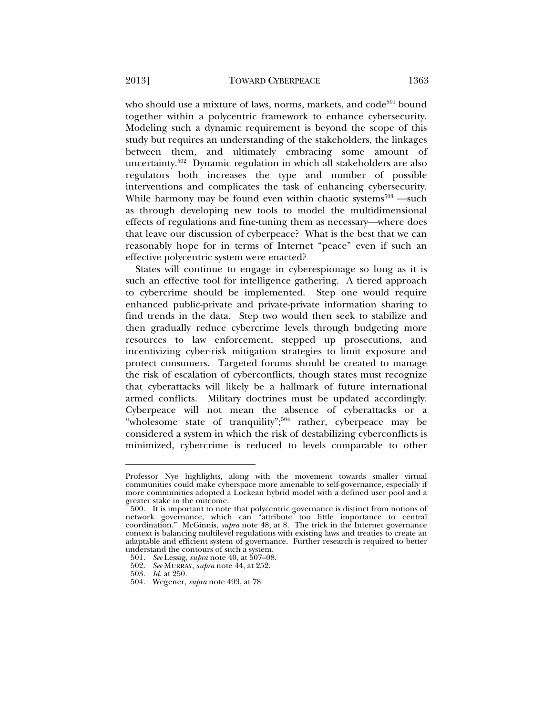who should use a mixture of laws, norms, markets, and code<sup>501</sup> bound together within a polycentric framework to enhance cybersecurity. Modeling such a dynamic requirement is beyond the scope of this study but requires an understanding of the stakeholders, the linkages between them, and ultimately embracing some amount of uncertainty.502 Dynamic regulation in which all stakeholders are also regulators both increases the type and number of possible interventions and complicates the task of enhancing cybersecurity. While harmony may be found even within chaotic systems $503$  —such as through developing new tools to model the multidimensional effects of regulations and fine-tuning them as necessary—where does that leave our discussion of cyberpeace? What is the best that we can reasonably hope for in terms of Internet "peace" even if such an effective polycentric system were enacted?

States will continue to engage in cyberespionage so long as it is such an effective tool for intelligence gathering. A tiered approach to cybercrime should be implemented. Step one would require enhanced public-private and private-private information sharing to find trends in the data. Step two would then seek to stabilize and then gradually reduce cybercrime levels through budgeting more resources to law enforcement, stepped up prosecutions, and incentivizing cyber-risk mitigation strategies to limit exposure and protect consumers. Targeted forums should be created to manage the risk of escalation of cyberconflicts, though states must recognize that cyberattacks will likely be a hallmark of future international armed conflicts. Military doctrines must be updated accordingly. Cyberpeace will not mean the absence of cyberattacks or a "wholesome state of tranquility"; $504$  rather, cyberpeace may be considered a system in which the risk of destabilizing cyberconflicts is minimized, cybercrime is reduced to levels comparable to other

Professor Nye highlights, along with the movement towards smaller virtual communities could make cyberspace more amenable to self-governance, especially if more communities adopted a Lockean hybrid model with a defined user pool and a greater stake in the outcome.

 <sup>500.</sup> It is important to note that polycentric governance is distinct from notions of network governance, which can "attribute too little importance to central coordination." McGinnis, *supra* note 48, at 8. The trick in the Internet governance context is balancing multilevel regulations with existing laws and treaties to create an adaptable and efficient system of governance. Further research is required to better understand the contours of such a system.

 <sup>501.</sup> *See* Lessig, *supra* note 40, at 507–08.

 <sup>502.</sup> *See* MURRAY, *supra* note 44, at 252.

 <sup>503.</sup> *Id.* at 250.

 <sup>504.</sup> Wegener, *supra* note 493, at 78.